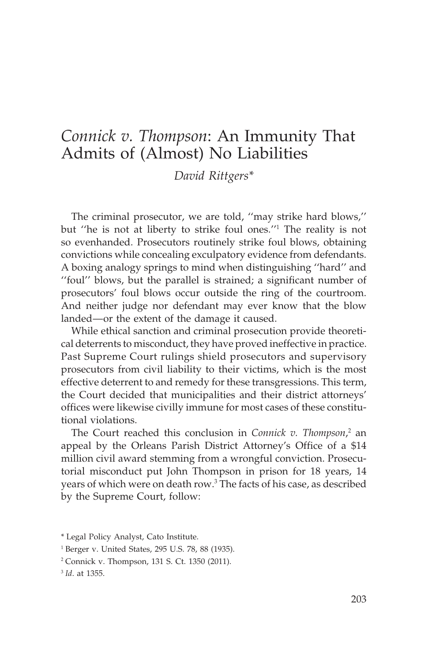# *Connick v. Thompson*: An Immunity That Connick v. Thompson: An Immunity That<br>Admits of (Almost) No Liabilities<br>David Rittgers\* *Connick v. Thompson*: An Immunity That<br>Admits of (Almost) No Liabilities<br>*David Rittgers*<sup>\*</sup><br>The criminal prosecutor, we are told, "may strike hard blows,"

dmits of (Almost) No Liabilities<br>David Rittgers\*<br>The criminal prosecutor, we are told, "may strike hard blows,"<br>it "he is not at liberty to strike foul ones."<sup>1</sup> The reality is not<br>evenhanded. Prosecutors routinely strike David Rittgers\*<br>
The criminal prosecutor, we are told, "may strike hard blows,"<br>
but "he is not at liberty to strike foul ones."<sup>1</sup> The reality is not<br>
so evenhanded. Prosecutors routinely strike foul blows, obtaining<br>
con David Rittgers\*<br>The criminal prosecutor, we are told, "may strike hard blows,"<br>but "he is not at liberty to strike foul ones."<sup>1</sup> The reality is not<br>so evenhanded. Prosecutors routinely strike foul blows, obtaining<br>convict The criminal prosecutor, we are told, "may strike hard blows,"<br>but "he is not at liberty to strike foul ones."<sup>1</sup> The reality is not<br>so evenhanded. Prosecutors routinely strike foul blows, obtaining<br>convictions while conce The criminal prosecutor, we are told, "may strike hard blows,"<br>but "he is not at liberty to strike foul ones."<sup>1</sup> The reality is not<br>so evenhanded. Prosecutors routinely strike foul blows, obtaining<br>convictions while conce The criminal prosecutor, we are told, "may strike hard blows,"<br>but "he is not at liberty to strike foul ones."<sup>1</sup> The reality is not<br>so evenhanded. Prosecutors routinely strike foul blows, obtaining<br>convictions while conce but "he is not at liberty to strike foul ones."<sup>1</sup> The reality is not so evenhanded. Prosecutors routinely strike foul blows, obtaining convictions while concealing exculpatory evidence from defendants. A boxing analogy sp so evenhanded. Prosecutors routinely strike foul blows, obtaining<br>convictions while concealing exculpatory evidence from defendants.<br>A boxing analogy springs to mind when distinguishing "hard" and<br>"foul" blows, but the par convictions while concealing exculpatory evidence free A boxing analogy springs to mind when distinguishi "foul" blows, but the parallel is strained; a signific prosecutors' foul blows occur outside the ring of t<br>And neith boxing analogy springs to mind when distinguishing "hard" and oul" blows, but the parallel is strained; a significant number of osecutors' foul blows occur outside the ring of the courtroom.<br>And neither judge nor defendant

"foul" blows, but the parallel is strained; a significant number of prosecutors" foul blows occur outside the ring of the courtroom.<br>And neither judge nor defendant may ever know that the blow landed—or the extent of the d prosecutors' foul blows occur outside the ring of the courtroom.<br>And neither judge nor defendant may ever know that the blow<br>landed—or the extent of the damage it caused.<br>While ethical sanction and criminal prosecution pro And neither judge nor defendant may ever know that the blow<br>landed—or the extent of the damage it caused.<br>While ethical sanction and criminal prosecution provide theoreti-<br>cal deterrents to misconduct, they have proved ine landed—or the extent of the damage it caused.<br>While ethical sanction and criminal prosecution provide theoreti-<br>cal deterrents to misconduct, they have proved ineffective in practice.<br>Past Supreme Court rulings shield pros While ethical sanction and criminal prosecution provide theoreti-<br>cal deterrents to misconduct, they have proved ineffective in practice.<br>Past Supreme Court rulings shield prosecutors and supervisory<br>prosecutors from civil cal deterrents to misconduct, they have proved ineffective in practice.<br>Past Supreme Court rulings shield prosecutors and supervisory<br>prosecutors from civil liability to their victims, which is the most<br>effective deterren Past Supreme Court<br>prosecutors from civi<br>effective deterrent to a<br>the Court decided tha<br>offices were likewise c<br>tional violations.<br>The Court reached<br>appeal by the Orlear osecutors from civil liability to their victims, which is the most<br>fective deterrent to and remedy for these transgressions. This term,<br>e Court decided that municipalities and their district attorneys'<br>fices were likewise

effective deterrent to and remedy for these transgressions. This term,<br>the Court decided that municipalities and their district attorneys'<br>offices were likewise civilly immune for most cases of these constitu-<br>tional viola the Court decided that municipalities and their district attorneys'<br>offices were likewise civilly immune for most cases of these constitu-<br>tional violations.<br>The Court reached this conclusion in *Connick v. Thompson*,<sup>2</sup> a offices were likewise civilly immune for most cases of these constitutional violations.<br>The Court reached this conclusion in *Connick v. Thompson*,<sup>2</sup> an appeal by the Orleans Parish District Attorney's Office of a \$14 mil tional violations.<br>
The Court reached this conclusion in *Connick v. Thompson*,<sup>2</sup> an<br>
appeal by the Orleans Parish District Attorney's Office of a \$14<br>
million civil award stemming from a wrongful conviction. Prosecu-<br>
to The Court reached this conclusian<br>ppeal by the Orleans Parish Dist<br>million civil award stemming from<br>torial misconduct put John Thomp<br>years of which were on death row.<sup>3</sup> J<br>by the Supreme Court, follow: % years of which were on death row.<sup>9</sup> The face by the Supreme Court, follow:<br><sup>\*</sup> Legal Policy Analyst, Cato Institute.<br><sup>1</sup> Berger v. United States, 295 U.S. 78, 88 (1935).<br><sup>2</sup> Connick v. Thompson, 131 S. Ct. 1350 (2011).<br>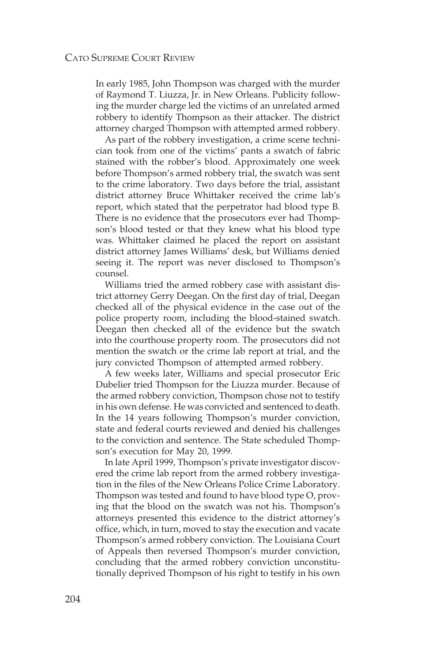SUPREME COURT REVIEW<br>In early 1985, John Thompson was charged with the murder<br>of Raymond T. Liuzza, Jr. in New Orleans. Publicity follow-<br>ing the murder charge led the victims of an unrelated armed SUPREME COURT REVIEW<br>In early 1985, John Thompson was charged with the murder<br>of Raymond T. Liuzza, Jr. in New Orleans. Publicity follow-<br>ing the murder charge led the victims of an unrelated armed<br>robbery to identify Thom SUPREME COURT REVIEW<br>In early 1985, John Thompson was charged with the murder<br>of Raymond T. Liuzza, Jr. in New Orleans. Publicity follow-<br>ing the murder charge led the victims of an unrelated armed<br>robbery to identify Thom FUPREME COURT REVIEW<br>
In early 1985, John Thompson was charged with the murder<br>
of Raymond T. Liuzza, Jr. in New Orleans. Publicity follow-<br>
ing the murder charge led the victims of an unrelated armed<br>
robbery to identify In early 1985, John Thompson was charged with the murder of Raymond T. Liuzza, Jr. in New Orleans. Publicity following the murder charge led the victims of an unrelated armed robbery to identify Thompson as their attacker. early 1985, John Thompson was charged with the murder Raymond T. Liuzza, Jr. in New Orleans. Publicity follow-<br>g the murder charge led the victims of an unrelated armed<br>bbery to identify Thompson as their attacker. The dis of Raymond T. Liuzza, Jr. in New Orleans. Publicity following the murder charge led the victims of an unrelated armed robbery to identify Thompson as their attacker. The district attorney charged Thompson with attempted ar

ing the murder charge led the victims of an unrelated armed<br>robbery to identify Thompson as their attacker. The district<br>attorney charged Thompson with attempted armed robbery.<br>As part of the robbery investigation, a crime robbery to identify Thompson as their attacker. The district attorney charged Thompson with attempted armed robbery.<br>As part of the robbery investigation, a crime scene technician took from one of the victims' pants a swat attorney charged Thompson with attempted armed robbery.<br>As part of the robbery investigation, a crime scene techni-<br>cian took from one of the victims' pants a swatch of fabric<br>stained with the robber's blood. Approximately As part of the robbery investigation, a crime scene techni-<br>cian took from one of the victims' pants a swatch of fabric<br>stained with the robber's blood. Approximately one week<br>before Thompson's armed robbery trial, the swa cian took from one of the victims' pants a swatch of fabric<br>stained with the robber's blood. Approximately one week<br>before Thompson's armed robbery trial, the swatch was sent<br>to the crime laboratory. Two days before the tr stained with the robber's blood. Approximately one week<br>before Thompson's armed robbery trial, the swatch was sent<br>to the crime laboratory. Two days before the trial, assistant<br>district attorney Bruce Whittaker received th before Thompson's armed robbery trial, the swatch was sent<br>to the crime laboratory. Two days before the trial, assistant<br>district attorney Bruce Whittaker received the crime lab's<br>report, which stated that the perpetrator to the crime laboratory. Two days before the trial, assistant district attorney Bruce Whittaker received the crime lab's report, which stated that the perpetrator had blood type B. There is no evidence that the prosecutors district attorney Bruce Whittaker received the crime lab's<br>report, which stated that the perpetrator had blood type B.<br>There is no evidence that the prosecutors ever had Thomp-<br>son's blood tested or that they knew what his report, which stated that the perpetrator had blood type B.<br>There is no evidence that the prosecutors ever had Thompson's blood tested or that they knew what his blood type<br>was. Whittaker claimed he placed the report on as counsel. n's blood tested or that they knew what his blood type<br>as. Whittaker claimed he placed the report on assistant<br>strict attorney James Williams' desk, but Williams denied<br>eing it. The report was never disclosed to Thompson's was. Whittaker claimed he placed the report on assistant district attorney James Williams' desk, but Williams denied seeing it. The report was never disclosed to Thompson's counsel.<br>Williams tried the armed robbery case wi

district attorney James Williams' desk, but Williams denied<br>seeing it. The report was never disclosed to Thompson's<br>counsel.<br>Williams tried the armed robbery case with assistant dis-<br>trict attorney Gerry Deegan. On the fir seeing it. The report was never disclosed to Thompson's counsel.<br>
Williams tried the armed robbery case with assistant dis-<br>
trict attorney Gerry Deegan. On the first day of trial, Deegan<br>
checked all of the physical evide counsel.<br>
Williams tried the armed robbery case with assistant dis-<br>
trict attorney Gerry Deegan. On the first day of trial, Deegan<br>
checked all of the physical evidence in the case out of the<br>
police property room, includ Williams tried the armed robbery case with assistant district attorney Gerry Deegan. On the first day of trial, Deegan checked all of the physical evidence in the case out of the police property room, including the blood-s trict attorney Gerry Deegan. On the first day of trial, Deegan checked all of the physical evidence in the case out of the police property room, including the blood-stained swatch. Deegan then checked all of the evidence b checked all of the physical evidence in the case out of the police property room, including the blood-stained swatch. Deegan then checked all of the evidence but the swatch into the courthouse property room. The prosecutor blice property room, including the blood-stained swatch.<br>
eegan then checked all of the evidence but the swatch<br>
to the courthouse property room. The prosecutors did not<br>
ention the swatch or the crime lab report at trial, Deegan then checked all of the evidence but the swatch<br>into the courthouse property room. The prosecutors did not<br>mention the swatch or the crime lab report at trial, and the<br>jury convicted Thompson of attempted armed robb

into the courthouse property room. The prosecutors did not<br>mention the swatch or the crime lab report at trial, and the<br>jury convicted Thompson of attempted armed robbery.<br>A few weeks later, Williams and special prosecutor mention the swatch or the crime lab report at trial, and the<br>jury convicted Thompson of attempted armed robbery.<br>A few weeks later, Williams and special prosecutor Eric<br>Dubelier tried Thompson for the Liuzza murder. Becaus jury convicted Thompson of attempted armed robbery.<br>A few weeks later, Williams and special prosecutor Eric<br>Dubelier tried Thompson for the Liuzza murder. Because of<br>the armed robbery conviction, Thompson chose not to test A few weeks later, Williams and special prosecutor Eric Dubelier tried Thompson for the Liuzza murder. Because of the armed robbery conviction, Thompson chose not to testify in his own defense. He was convicted and sentenc Dubelier tried Thompson for the Liuzza murder. Because of<br>the armed robbery conviction, Thompson chose not to testify<br>in his own defense. He was convicted and sentenced to death.<br>In the 14 years following Thompson's murder the armed robbery conviction, Thomps<br>in his own defense. He was convicted an<br>In the 14 years following Thompson'<br>state and federal courts reviewed and<br>to the conviction and sentence. The Sta<br>son's execution for May 20, 199 his own defense. He was convicted and sentenced to death.<br>
the 14 years following Thompson's murder conviction,<br>
the and federal courts reviewed and denied his challenges<br>
the conviction and sentence. The State scheduled T In the 14 years following Thompson's murder conviction,<br>state and federal courts reviewed and denied his challenges<br>to the conviction and sentence. The State scheduled Thomp-<br>son's execution for May 20, 1999.<br>In late April

state and federal courts reviewed and denied his challenges<br>to the conviction and sentence. The State scheduled Thomp-<br>son's execution for May 20, 1999.<br>In late April 1999, Thompson's private investigator discov-<br>ered the to the conviction and sentence. The State scheduled Thompson's execution for May 20, 1999.<br>In late April 1999, Thompson's private investigator discovered the crime lab report from the armed robbery investigation in the fil son's execution for May 20, 1999.<br>In late April 1999, Thompson's private investigator discovered the crime lab report from the armed robbery investiga-<br>tion in the files of the New Orleans Police Crime Laboratory.<br>Thompson In late April 1999, Thompson's private investigator discovered the crime lab report from the armed robbery investigation in the files of the New Orleans Police Crime Laboratory.<br>Thompson was tested and found to have blood ered the crime lab report from the armed robbery investigation in the files of the New Orleans Police Crime Laboratory.<br>Thompson was tested and found to have blood type O, proving that the blood on the swatch was not his. tion in the files of the New Orleans Police Crime Laboratory.<br>Thompson was tested and found to have blood type O, proving that the blood on the swatch was not his. Thompson's<br>attorneys presented this evidence to the distri Thompson was tested and found to have blood type O, proving that the blood on the swatch was not his. Thompson's attorney's presented this evidence to the district attorney's office, which, in turn, moved to stay the execu ing that the blood on the swatch was not his. Thompson's<br>attorneys presented this evidence to the district attorney's<br>office, which, in turn, moved to stay the execution and vacate<br>Thompson's armed robbery conviction. The attorneys presented this evidence to the district attorney's<br>office, which, in turn, moved to stay the execution and vacate<br>Thompson's armed robbery conviction. The Louisiana Court<br>of Appeals then reversed Thompson's murde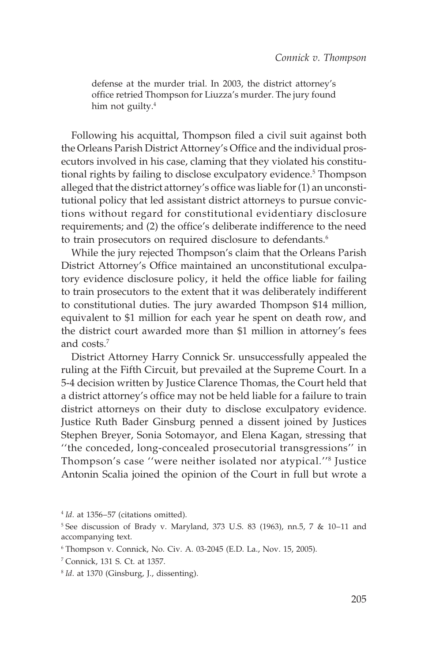Connick v. Thompson<br>defense at the murder trial. In 2003, the district attorney's<br>office retried Thompson for Liuzza's murder. The jury found<br>him not guilty.<sup>4</sup> Connick v. Thompson<br>defense at the murder trial. In 2003, the district attorney's<br>office retried Thompson for Liuzza's murder. The jury found<br>him not guilty.<sup>4</sup>

Connick v. Thompson<br>defense at the murder trial. In 2003, the district attorney's<br>office retried Thompson for Liuzza's murder. The jury found<br>him not guilty.<sup>4</sup><br>Following his acquittal, Thompson filed a civil suit against defense at the murder trial. In 2003, the district attorney's<br>office retried Thompson for Liuzza's murder. The jury found<br>him not guilty.<sup>4</sup><br>Following his acquittal, Thompson filed a civil suit against both<br>the Orleans Par office retried Thompson for Liuzza's murder. The jury found<br>him not guilty.<sup>4</sup><br>Following his acquittal, Thompson filed a civil suit against both<br>the Orleans Parish District Attorney's Office and the individual pros-<br>ecutor fillowing his acquittal, Thompson filed a civil suit against both<br>the Orleans Parish District Attorney's Office and the individual pros-<br>ecutors involved in his case, claming that they violated his constitu-<br>tional rights Following his acquittal, Thompson filed a civil suit against both<br>the Orleans Parish District Attorney's Office and the individual pros-<br>ecutors involved in his case, claming that they violated his constitu-<br>tional rights Following his acquittal, Thompson filed a civil suit against both<br>the Orleans Parish District Attorney's Office and the individual pros-<br>ecutors involved in his case, claming that they violated his constitu-<br>tional rights the Orleans Parish District Attorney's Office and the individual prosecutors involved in his case, claming that they violated his constitutional rights by failing to disclose exculpatory evidence.<sup>5</sup> Thompson alleged that ecutors involved in his case, claming that they violated his constitutional rights by failing to disclose exculpatory evidence.<sup>5</sup> Thompson alleged that the district attorney's office was liable for (1) an unconstitutional tional rights by failing to disclose exculpatory evidence.<sup>5</sup> Thompson<br>alleged that the district attorney's office was liable for (1) an unconsti-<br>tutional policy that led assistant district attorneys to pursue convic-<br>tio

tutional policy that led assistant district attorneys to pursue convictions without regard for constitutional evidentiary disclosure requirements; and (2) the office's deliberate indifference to the need to train prosecuto tions without regard for constitutional evidentiary disclosure<br>requirements; and (2) the office's deliberate indifference to the need<br>to train prosecutors on required disclosure to defendants.<sup>6</sup><br>While the jury rejected Th requirements; and (2) the office's deliberate indifference to the need<br>to train prosecutors on required disclosure to defendants.<sup>6</sup><br>While the jury rejected Thompson's claim that the Orleans Parish<br>District Attorney's Offi to train prosecutors on required disclosure to defendants.<sup>6</sup><br>While the jury rejected Thompson's claim that the Orleans Parish<br>District Attorney's Office maintained an unconstitutional exculpa-<br>tory evidence disclosure pol While the jury rejected Thompson's claim that the Orleans Parish<br>District Attorney's Office maintained an unconstitutional exculpa-<br>tory evidence disclosure policy, it held the office liable for failing<br>to train prosecutor to the disclosure policy, it held the office liable for failing<br>to train prosecutors to the extent that it was deliberately indifferent<br>to constitutional duties. The jury awarded Thompson \$14 million,<br>equivalent to \$1 mill tory evidence disclosure policy, it held the office liable for failing<br>to train prosecutors to the extent that it was deliberately indifferent<br>to constitutional duties. The jury awarded Thompson \$14 million,<br>equivalent to

to constitutional duties. The jury awarded Thompson \$14 million,<br>equivalent to \$1 million for each year he spent on death row, and<br>the district court awarded more than \$1 million in attorney's fees<br>and costs.<sup>7</sup><br>District A equivalent to \$1 million for each year he spent on death row, and<br>the district court awarded more than \$1 million in attorney's fees<br>and costs.<sup>7</sup><br>District Attorney Harry Connick Sr. unsuccessfully appealed the<br>ruling at t the district court awarded more than \$1 million in attorney's fees<br>and costs.<sup>7</sup><br>District Attorney Harry Connick Sr. unsuccessfully appealed the<br>ruling at the Fifth Circuit, but prevailed at the Supreme Court. In a<br>5-4 dec and costs.<sup>7</sup><br>District Attorney Harry Connick Sr. unsuccessfully appealed the<br>ruling at the Fifth Circuit, but prevailed at the Supreme Court. In a<br>5-4 decision written by Justice Clarence Thomas, the Court held that<br>a dis District Attorney Harry Connick Sr. unsuccessfully appealed the<br>ruling at the Fifth Circuit, but prevailed at the Supreme Court. In a<br>5-4 decision written by Justice Clarence Thomas, the Court held that<br>a district attorney ruling at the Fifth Circuit, but prevailed at the Supreme Court. In a<br>5-4 decision written by Justice Clarence Thomas, the Court held that<br>a district attorney's office may not be held liable for a failure to train<br>district 5-4 decision written by Justice Clarence Thomas, the Court held that<br>a district attorney's office may not be held liable for a failure to train<br>district attorneys on their duty to disclose exculpatory evidence.<br>Justice Rut a district attorney's office may not be held liable for a failure to train district attorneys on their duty to disclose exculpatory evidence. Justice Ruth Bader Ginsburg penned a dissent joined by Justices Stephen Breyer, district attorneys on their duty to disclose exculpatory evidence.<br>Justice Ruth Bader Ginsburg penned a dissent joined by Justices<br>Stephen Breyer, Sonia Sotomayor, and Elena Kagan, stressing that<br>"the conceded, long-concea 4 *Id.* at 1356–57 (citations omitted).<br>
4 *Id.* at 1356–57 (citations omitted).<br>
<sup>5</sup> See discussion of Brady v. Maryland, 373 U.S. 83 (1963), nn.5, 7 & 10–11 and<br>
<sup>5</sup> See discussion of Brady v. Maryland, 373 U.S. 83 (1963

<sup>&</sup>lt;sup>4</sup> Id. at 1356–57 (citations omitted).<br><sup>5</sup> See discussion of Brady v. Maryland, 373 U.S. 83 (1963), nn.5, 7 & 10<br>accompanying text.<br><sup>6</sup> Thompson v. Connick, No. Civ. A. 03-2045 (E.D. La., Nov. 15, 2005).<br><sup>7</sup> Connick, 131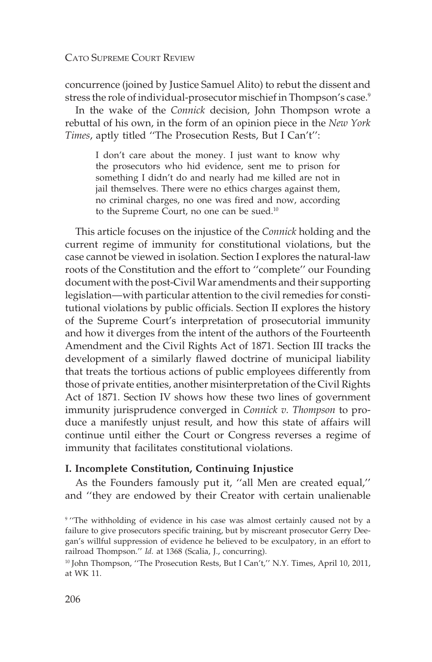CATO SUPREME COURT REVIEW<br>concurrence (joined by Justice Samuel Alito) to rebut the dissent and<br>stress the role of individual-prosecutor mischief in Thompson's case.<sup>9</sup><br>In the wake of the *Connick* decision, John Thompson

CATO SUPREME COURT REVIEW<br>concurrence (joined by Justice Samuel Alito) to rebut the dissent and<br>stress the role of individual-prosecutor mischief in Thompson's case.<sup>9</sup><br>In the wake of the *Connick* decision, John Thompson CATO SUPREME COURT REVIEW<br>
concurrence (joined by Justice Samuel Alito) to rebut the dissent and<br>
stress the role of individual-prosecutor mischief in Thompson's case.<sup>9</sup><br>
In the wake of the *Connick* decision, John Thomps *Times*, aptivarian and *Times*, apply Justice Samuel Alito) to rebut the dissestness the role of individual-prosecutor mischief in Thompson's In the wake of the *Connick* decision, John Thompson w rebuttal of his own, in the role of individual-prosecutor mischief in Thompson's case.<sup>9</sup><br>
ne wake of the *Connick* decision, John Thompson wrote a<br>
al of his own, in the form of an opinion piece in the *New York*<br>
aptly titled "The Prosecution R

the wake of the *Connick* decision, John Thompson wrote a<br>al of his own, in the form of an opinion piece in the *New York*<br>aptly titled "The Prosecution Rests, But I Can't":<br>I don't care about the money. I just want to kno rebuttal of his own, in the form of an opinion piece in the *New York Times*, aptly titled "The Prosecution Rests, But I Can't":<br>I don't care about the money. I just want to know why the prosecutors who hid evidence, sent the prosecutors who hid evidence, sent me to prison for I don't care about the money. I just want to know why<br>the prosecutors who hid evidence, sent me to prison for<br>something I didn't do and nearly had me killed are not in<br>jail themselves. There were no ethics charges against I don't care about the money. I just want to know why<br>the prosecutors who hid evidence, sent me to prison for<br>something I didn't do and nearly had me killed are not in<br>jail themselves. There were no ethics charges against

something I didn't do and nearly had me killed are not in<br>jail themselves. There were no ethics charges against them,<br>no criminal charges, no one was fired and now, according<br>to the Supreme Court, no one can be sued.<sup>10</sup><br>T Figure 1 interestives. There were no ethics charges against them,<br>no criminal charges, no one was fired and now, according<br>to the Supreme Court, no one can be sued.<sup>10</sup><br>This article focuses on the injustice of the *Connick* In Criminal charges, no one was fired and now, according<br>to the Supreme Court, no one can be sued.<sup>10</sup><br>This article focuses on the injustice of the *Connick* holding and the<br>current regime of immunity for constitutional vi document regiments and the injustice of the *Connick* holding and the current regime of immunity for constitutional violations, but the case cannot be viewed in isolation. Section I explores the natural-law roots of the Co This article focuses on the injustice of the *Connick* holding and the current regime of immunity for constitutional violations, but the case cannot be viewed in isolation. Section I explores the natural-law roots of the C current regime of immunity for constitutional violations, but the case cannot be viewed in isolation. Section I explores the natural-law roots of the Constitution and the effort to "complete" our Founding document with the case cannot be viewed in isolation. Section I explores the natural-law<br>roots of the Constitution and the effort to "complete" our Founding<br>document with the post-Civil War amendments and their supporting<br>legislation—with p roots of the Constitution and the effort to "complete" our Founding<br>document with the post-Civil War amendments and their supporting<br>legislation—with particular attention to the civil remedies for consti-<br>tutional violatio document with the post-Civil War amendments and their supporting<br>legislation—with particular attention to the civil remedies for consti-<br>tutional violations by public officials. Section II explores the history<br>of the Supre legislation—with particular attention to the civil remedies for constitutional violations by public officials. Section II explores the history of the Supreme Court's interpretation of prosecutorial immunity and how it dive tutional violations by public officials. Section II explores the history<br>of the Supreme Court's interpretation of prosecutorial immunity<br>and how it diverges from the intent of the authors of the Fourteenth<br>Amendment and th of the Supreme Court's interpretation of prosecutorial immunity<br>and how it diverges from the intent of the authors of the Fourteenth<br>Amendment and the Civil Rights Act of 1871. Section III tracks the<br>development of a simil and how it diverges from the intent of the authors of the Fourteenth<br>Amendment and the Civil Rights Act of 1871. Section III tracks the<br>development of a similarly flawed doctrine of municipal liability<br>that treats the tor Amendment and the Civil Rights Act of 1871. Section III tracks the development of a similarly flawed doctrine of municipal liability that treats the tortious actions of public employees differently from those of private en development of a similarly flawed doctrine of municipal liability<br>that treats the tortious actions of public employees differently from<br>those of private entities, another misinterpretation of the Civil Rights<br>Act of 1871. that treats the tortious actions of public employees differently from<br>those of private entities, another misinterpretation of the Civil Rights<br>Act of 1871. Section IV shows how these two lines of government<br>immunity jurisp those of private entities, another misinterpretation of the Act of 1871. Section IV shows how these two lines of immunity jurisprudence converged in *Connick v. Thom* duce a manifestly unjust result, and how this state of **I. Incomplete Constitution, Continuing Injustice**<br>Immunity jurisprudence converged in *Connick v. Thompson*<br>duce a manifestly unjust result, and how this state of affai<br>continue until either the Court or Congress reverses are a manifestly unjust result, and how this state of affairs will intinue until either the Court or Congress reverses a regime of munity that facilitates constitutional violations.<br> **Incomplete Constitution, Continuing In** continue until either the Court or Congress reverses a regime of<br>immunity that facilitates constitutional violations.<br>I. Incomplete Constitution, Continuing Injustice<br>As the Founders famously put it, "all Men are created e

<sup>&</sup>lt;sup>9</sup> "The withholding of evidence in his case was almost certainly caused not by a Incomplete Constitution, Continuing Injustice<br>
As the Founders famously put it, "all Men are created equal,"<br>
And "they are endowed by their Creator with certain unalienable<br>
"The withholding of evidence in his case was al As the Founders famously put it, "all Men are created equal,"<br>and "they are endowed by their Creator with certain unalienable<br><sup>9</sup>"The withholding of evidence in his case was almost certainly caused not by a<br>failure to give and "they are endowed by their Creator with certain unalienable"<br>"The withholding of evidence in his case was almost certainly caused not by a failure to give prosecutors specific training, but by miscreant prosecutor Gerr <sup>9</sup> "The withholding of evidence in his case was almost certainly caused not by a failure to give prosecutors specific training, but by miscreant prosecutor Gerry Deegan's willful suppression of evidence he believed to be <sup>9</sup> "The withhol<br>failure to give <sub>]</sub><br>gan's willful st<br>railroad Thomps<br><sup>10</sup> John Thomps<br>at WK 11.<br>206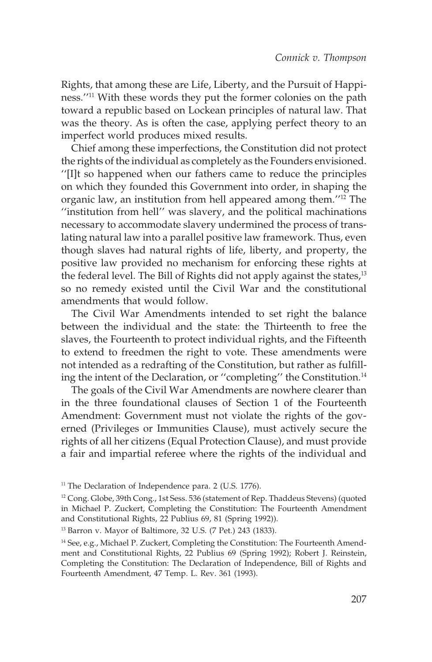*Connick v. Thompson* Connick v. Thompson<br>Rights, that among these are Life, Liberty, and the Pursuit of Happi-<br>ness.''<sup>11</sup> With these words they put the former colonies on the path<br>toward a republic based on Lockean principles of natural law. Connick v. Thompson<br>Rights, that among these are Life, Liberty, and the Pursuit of Happi-<br>ness.''<sup>11</sup> With these words they put the former colonies on the path<br>toward a republic based on Lockean principles of natural law. Connick v. Thompson<br>Rights, that among these are Life, Liberty, and the Pursuit of Happi-<br>ness.''<sup>11</sup> With these words they put the former colonies on the path<br>toward a republic based on Lockean principles of natural law. Connick v. Thompson<br>Rights, that among these are Life, Liberty, and the Pursuit of Happi-<br>ness."<sup>11</sup> With these words they put the former colonies on the path<br>toward a republic based on Lockean principles of natural law. T Rights, that among these are Life, Liberty, and<br>ness.''<sup>11</sup> With these words they put the former<br>toward a republic based on Lockean principle<br>was the theory. As is often the case, applying<br>imperfect world produces mixed re ghts, that among these are Life, Liberty, and the Pursuit of Happiss."<sup>11</sup> With these words they put the former colonies on the path ward a republic based on Lockean principles of natural law. That as the theory. As is oft

ness."<sup>11</sup> With these words they put the former colonies on the path toward a republic based on Lockean principles of natural law. That was the theory. As is often the case, applying perfect theory to an imperfect world pr toward a republic based on Lockean principles of natural law. That<br>was the theory. As is often the case, applying perfect theory to an<br>imperfect world produces mixed results.<br>Chief among these imperfections, the Constituti was the theory. As is often the case, applying perfect theory to an imperfect world produces mixed results.<br>Chief among these imperfections, the Constitution did not protect the rights of the individual as completely as th imperfect world produces mixed results.<br>Chief among these imperfections, the Constitution did not protect<br>the rights of the individual as completely as the Founders envisioned.<br>"[I]t so happened when our fathers came to re Chief among these imperfections, the Constitution did not protect<br>the rights of the individual as completely as the Founders envisioned.<br>"[I]t so happened when our fathers came to reduce the principles<br>on which they founde the rights of the individual as completely as the Founders envisioned.<br>"[I]t so happened when our fathers came to reduce the principles<br>on which they founded this Government into order, in shaping the<br>organic law, an insti "[I]t so happened when our fathers came to reduce the principles<br>on which they founded this Government into order, in shaping the<br>organic law, an institution from hell appeared among them."<sup>12</sup> The<br>"institution from hell" on which they founded this Government into order, in shaping the organic law, an institution from hell appeared among them."<sup>12</sup> The "institution from hell" was slavery, and the political machinations necessary to accommod "institution from hell" was slavery, and the political machinations necessary to accommodate slavery undermined the process of translating natural law into a parallel positive law framework. Thus, even though slaves had n "institution from hell" was slavery, and the political machinations<br>necessary to accommodate slavery undermined the process of trans-<br>lating natural law into a parallel positive law framework. Thus, even<br>though slaves had the federal level. The Bill of Rights did not apply against the states,<sup>13</sup> so no remedy existed until the Civil War and the constitutional amendments that would follow.<br>The Civil War Amendments intended to set right the b ough slaves had natural rights of life, liberty, and property, the sitive law provided no mechanism for enforcing these rights at e federal level. The Bill of Rights did not apply against the states,<sup>13</sup> no remedy existed

positive law provided no mechanism for enforcing these rights at<br>the federal level. The Bill of Rights did not apply against the states,<sup>13</sup><br>so no remedy existed until the Civil War and the constitutional<br>amendments that w the federal level. The Bill of Rights did not apply against the states,<sup>13</sup> so no remedy existed until the Civil War and the constitutional amendments that would follow.<br>The Civil War Amendments intended to set right the b so no remedy existed until the Civil War and the constitutional<br>amendments that would follow.<br>The Civil War Amendments intended to set right the balance<br>between the individual and the state: the Thirteenth to free the<br>slav amendments that would follow.<br>The Civil War Amendments intended to set right the balance<br>between the individual and the state: the Thirteenth to free the<br>slaves, the Fourteenth to protect individual rights, and the Fifteen The Civil War Amendments intended to set right the balance<br>between the individual and the state: the Thirteenth to free the<br>slaves, the Fourteenth to protect individual rights, and the Fifteenth<br>to extend to freedmen the r slaves, the Fourteenth to protect individual rights, and the Fifteenth<br>to extend to freedmen the right to vote. These amendments were<br>not intended as a redrafting of the Constitution, but rather as fulfill-<br>ing the intent

to extend to freedmen the right to vote. These amendments were<br>not intended as a redrafting of the Constitution, but rather as fulfill-<br>ing the intent of the Declaration, or "completing" the Constitution.<sup>14</sup><br>The goals of not intended as a redrafting of the Constitution, but rather as fulfilling the intent of the Declaration, or "completing" the Constitution.<sup>14</sup><br>The goals of the Civil War Amendments are nowhere clearer than<br>in the three fo ing the intent of the Declaration, or "completing" the Constitution.<sup>14</sup><br>The goals of the Civil War Amendments are nowhere clearer than<br>in the three foundational clauses of Section 1 of the Fourteenth<br>Amendment: Government The goals of the Civil War Amendments are nowhere clearer than<br>in the three foundational clauses of Section 1 of the Fourteenth<br>Amendment: Government must not violate the rights of the gov-<br>erned (Privileges or Immunities erned (Privileges or Immunities Clause), must actively secure the rights of all her citizens (Equal Protection Clause), and must provide a fair and impartial referee where the rights of the individual and <sup>11</sup> The Declarat

a rair and Impartial referee Where the rights of the individual and<br>
<sup>11</sup> The Declaration of Independence para. 2 (U.S. 1776).<br>
<sup>12</sup> Cong. Globe, 39th Cong., 1st Sess. 536 (statement of Rep. Thaddeus Stevens) (quoted<br>
in M

<sup>&</sup>lt;sup>13</sup> Barron v. Mayor of Baltimore, 32 U.S. (7 Pet.) 243 (1833).

<sup>&</sup>lt;sup>11</sup> The Declaration of Independence para. 2 (U.S. 1776).<br><sup>12</sup> Cong. Globe, 39th Cong., 1st Sess. 536 (statement of Rep. Thaddeus Stevens) (quoted<br>in Michael P. Zuckert, Completing the Constitution: The Fourteenth Amendmen <sup>14</sup> See, e.g., Michael P. Zuckert, Completing the Constitution: The Fourteenth Amendment and Constitutional Rights, 22 Publius 69 (Spring 1992); Robert J. Reinstein, Completing the Constitution: The Declaration of Indepe In Michael F. Zuckert, Completing the Constitution: The Fourteentif Americannelit<br>and Constitutional Rights, 22 Publius 69, 81 (Spring 1992)).<br><sup>13</sup> Barron v. Mayor of Baltimore, 32 U.S. (7 Pet.) 243 (1833).<br><sup>14</sup> See, e.g.,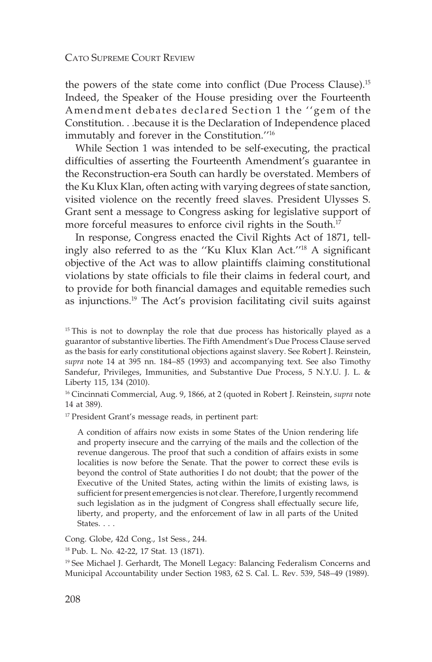CATO SUPREME COURT REVIEW<br>the powers of the state come into conflict (Due Process Clause).<sup>15</sup><br>Indeed, the Speaker of the House presiding over the Fourteenth<br>Amendment debates declared Section 1 the ''gem of the<br>Constituti CATO SUPREME COURT REVIEW<br>the powers of the state come into conflict (Due Process Clause).<sup>15</sup><br>Indeed, the Speaker of the House presiding over the Fourteenth<br>Amendment debates declared Section 1 the ''gem of the<br>Constituti CATO SUPREME COURT REVIEW<br>the powers of the state come into conflict (Due Process Clause).<sup>15</sup><br>Indeed, the Speaker of the House presiding over the Fourteenth<br>Amendment debates declared Section 1 the ''gem of the<br>Constituti the powers of the state come into conflict (Due Process Clause).<sup>15</sup><br>Indeed, the Speaker of the House presiding over the Fourteenth<br>Amendment debates declared Section 1 the "gem of the<br>Constitution...because it is the Decl

Indeed, the Speaker of the House presiding over the Fourteenth<br>Amendment debates declared Section 1 the "gem of the<br>Constitution...because it is the Declaration of Independence placed<br>immutably and forever in the Constitut Amendment debates declared Section 1 the "gem of the Constitution...because it is the Declaration of Independence placed immutably and forever in the Constitution."<sup>16</sup><br>While Section 1 was intended to be self-executing, th Constitution. . .because it is the Declaration of Independence placed<br>immutably and forever in the Constitution."<sup>16</sup><br>While Section 1 was intended to be self-executing, the practical<br>difficulties of asserting the Fourteent immutably and forever in the Constitution.<sup>716</sup><br>While Section 1 was intended to be self-executing, the practical<br>difficulties of asserting the Fourteenth Amendment's guarantee in<br>the Reconstruction-era South can hardly be While Section 1 was intended to be self-executing, the practical<br>difficulties of asserting the Fourteenth Amendment's guarantee in<br>the Reconstruction-era South can hardly be overstated. Members of<br>the Ku Klux Klan, often a difficulties of asserting the Fourteenth Amendment's guarantee in<br>the Reconstruction-era South can hardly be overstated. Members of<br>the Ku Klux Klan, often acting with varying degrees of state sanction,<br>visited violence on

the Ku Klux Klan, often acting with varying degrees of state sanction, visited violence on the recently freed slaves. President Ulysses S. Grant sent a message to Congress asking for legislative support of more forceful me visited violence on the recently freed slaves. President Ulysses S.<br>Grant sent a message to Congress asking for legislative support of<br>more forceful measures to enforce civil rights in the South.<sup>17</sup><br>In response, Congress Grant sent a message to Congress asking for legislative support of more forceful measures to enforce civil rights in the South.<sup>17</sup> In response, Congress enacted the Civil Rights Act of 1871, tellingly also referred to as more forceful measures to enforce civil rights in the South.<sup>17</sup><br>In response, Congress enacted the Civil Rights Act of 1871, tell-<br>ingly also referred to as the "Ku Klux Klan Act.<sup>718</sup> A significant<br>objective of the Act wa In response, Congress enacted the Civil Rights Act of 1871, tell-<br>ingly also referred to as the "Ku Klux Klan Act."<sup>18</sup> A significant<br>objective of the Act was to allow plaintiffs claiming constitutional<br>violations by state

violations by state officials to file their claims in federal court, and<br>to provide for both financial damages and equitable remedies such<br>as injunctions.<sup>19</sup> The Act's provision facilitating civil suits against<br><sup>15</sup> This as injunctions.<sup>19</sup> The Act's provision facilitating civil suits against<br><sup>15</sup> This is not to downplay the role that due process has historically played as a<br>guarantor of substantive liberties. The Fifth Amendment's Due Pr as the basis for early constitutional objections against slavery. See Robert J. Reinstein, *supra* note 14 at 395 nn. 184–85 (1993) and accompanying text. See also Timothy Sandefur, Privileges, Immunities, and Substantive <sup>15</sup> This is not to downplay the role that due process has historically played as a guarantor of substantive liberties. The Fifth Amendment's Due Process Clause served as the basis for early constitutional objections again <sup>15</sup> This is not to downplay the role that due process has historically played as a guarantor of substantive liberties. The Fifth Amendment's Due Process Clause served as the basis for early constitutional objections agai <sup>15</sup> This is not to downplay the role that due process has historically played as a guarantor of substantive liberties. The Fifth Amendment's Due Process Clause served as the basis for early constitutional objections again as the basis for early constitutional objections against slave<br> *supra* note 14 at 395 nn. 184–85 (1993) and accompanyin<br>
Sandefur, Privileges, Immunities, and Substantive Due<br> *Liberty* 115, 134 (2010).<br>
<sup>16</sup> Cincinnati

erty 115, 134 (2010).<br>
incinnati Commercial, Aug. 9, 1866, at 2 (quoted in Robert J. Reinstein, *supra* note<br>
at 389).<br>
resident Grant's message reads, in pertinent part:<br>
A condition of affairs now exists in some States o incinnati Commercial, Aug. 9, 1866, at 2 (quoted in Robert J. Reinstein, *supra* note at 389).<br>
resident Grant's message reads, in pertinent part:<br>
A condition of affairs now exists in some States of the Union rendering li resident Grant's message reads, in pertinent part:<br>A condition of affairs now exists in some States of the Union rendering life<br>and property insecure and the carrying of the mails and the collection of the<br>revenue dangerou localities is message reads, in pertinent part:<br>
A condition of affairs now exists in some States of the Union rendering life<br>
and property insecure and the carrying of the mails and the collection of the<br>
revenue dangerou Besident Grant's inessage reads, in pertinent part.<br>
A condition of affairs now exists in some States of the Union rendering life<br>
and property insecure and the carrying of the mails and the collection of the<br>
revenue dang A condition of affairs now exists in some States of the Union rendering life and property insecure and the carrying of the mails and the collection of the revenue dangerous. The proof that such a condition of affairs exist and property insecure and the carrying of the mails and the collection of the revenue dangerous. The proof that such a condition of affairs exists in some localities is now before the Senate. That the power to correct thes revenue dangerous. The proof that such a condition of affairs exists in some localities is now before the Senate. That the power to correct these evils is beyond the control of State authorities I do not doubt; that the po localities is now before the Senate. That the power to correct these evils is beyond the control of State authorities I do not doubt; that the power of the Executive of the United States, acting within the limits of existi beyond the con<br>Executive of th<br>sufficient for pre<br>such legislation<br>liberty, and pro<br>States.... Executive of the Ontect Jaakes, acting whanti the finits of existing taws, is<br>sufficient for present emergencies is not clear. Therefore, I urgently recommend<br>such legislation as in the judgment of Congress shall effectual

States....<br>
Cong. Globe, 42d Cong., 1st Sess., 244.<br>
<sup>18</sup> Pub. L. No. 42-22, 17 Stat. 13 (1871).<br>
<sup>19</sup> See Michael J. Gerhardt, The Monell Legacy: Balancing Federalism Concerns and<br>
Municipal Accountability under Section 1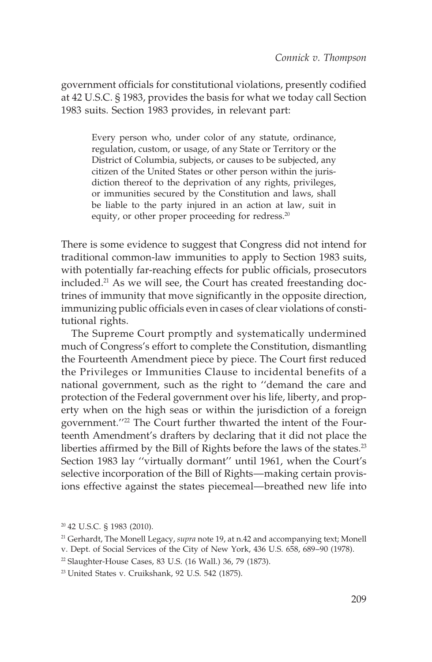*Connick v. Thompson* Connick v. Thompson<br>government officials for constitutional violations, presently codified<br>at 42 U.S.C. § 1983, provides the basis for what we today call Section<br>1983 suits. Section 1983 provides, in relevant part: Connick v. Thompson<br>government officials for constitutional violations, presently codified<br>at 42 U.S.C. § 1983, provides the basis for what we today call Section<br>1983 suits. Section 1983 provides, in relevant part: Connick<br>1983 government officials for constitutional violations, preser<br>1983 suits. Section 1983 provides, in relevant part:<br>1983 suits. Section 1983 provides, in relevant part:<br>1983 Every person who, under color of any st government officials for constitutional violations, presently codified<br>at 42 U.S.C. § 1983, provides the basis for what we today call Section<br>1983 suits. Section 1983 provides, in relevant part:<br>Every person who, under col

at 42 U.S.C. § 1983, provides the basis for what we today call Section<br>1983 suits. Section 1983 provides, in relevant part:<br>Every person who, under color of any statute, ordinance,<br>regulation, custom, or usage, of any Stat DER TROS, provides the basis for what we today can bection.<br>
This expection 1983 provides, in relevant part:<br>
Every person who, under color of any statute, ordinance,<br>
regulation, custom, or usage, of any State or Territor Ints. Section 1983 provides, in relevant part:<br>Every person who, under color of any statute, ordinance,<br>regulation, custom, or usage, of any State or Territory or the<br>District of Columbia, subjects, or causes to be subject Every person who, under color of any statute, ordinance, regulation, custom, or usage, of any State or Territory or the District of Columbia, subjects, or causes to be subjected, any citizen of the United States or other p Every person who, under color of any statute, ordinance, regulation, custom, or usage, of any State or Territory or the District of Columbia, subjects, or causes to be subjected, any citizen of the United States or other regulation, custom, or usage, of any State or Territory or the District of Columbia, subjects, or causes to be subjected, any citizen of the United States or other person within the jurisdiction thereof to the deprivation District of Columbia, subjects, or causes to be subjected, any<br>citizen of the United States or other person within the juris-<br>diction thereof to the deprivation of any rights, privileges,<br>or immunities secured by the Const

% or immunities secured by the Constitution and laws, shall<br>be liable to the party injured in an action at law, suit in<br>equity, or other proper proceeding for redress.<sup>20</sup><br>There is some evidence to suggest that Congress d be liable to the party injured in an action at law, suit in<br>equity, or other proper proceeding for redress.<sup>20</sup><br>There is some evidence to suggest that Congress did not intend for<br>traditional common-law immunities to apply equity, or other proper proceeding tor redress.<sup>20</sup><br>There is some evidence to suggest that Congress did not intend for<br>traditional common-law immunities to apply to Section 1983 suits,<br>with potentially far-reaching effects There is some evidence to suggest that Congress did not intend for traditional common-law immunities to apply to Section 1983 suits, with potentially far-reaching effects for public officials, prosecutors included.<sup>21</sup> As There is some evidence to suggest that Congress did not intend for traditional common-law immunities to apply to Section 1983 suits, with potentially far-reaching effects for public officials, prosecutors included.<sup>21</sup> As traditional common<br>with potentially far-<br>included.<sup>21</sup> As we w<br>trines of immunity t<br>immunizing public c<br>tutional rights.<br>The Supreme Co<br>much of Congress's ith potentially far-reaching effects for public officials, prosecutors<br>cluded.<sup>21</sup> As we will see, the Court has created freestanding doc-<br>nes of immunity that move significantly in the opposite direction,<br>munizing public

included.<sup>21</sup> As we will see, the Court has created freestanding doctrines of immunity that move significantly in the opposite direction, immunizing public officials even in cases of clear violations of constitutional righ trines of immunity that move significantly in the opposite direction,<br>immunizing public officials even in cases of clear violations of consti-<br>tutional rights.<br>The Supreme Court promptly and systematically undermined<br>much immunizing public officials even in cases of clear violations of constitutional rights.<br>The Supreme Court promptly and systematically undermined<br>much of Congress's effort to complete the Constitution, dismantling<br>the Fourt tutional rights.<br>The Supreme Court promptly and systematically undermined<br>much of Congress's effort to complete the Constitution, dismantling<br>the Fourteenth Amendment piece by piece. The Court first reduced<br>the Privileges The Supreme Court promptly and systematically undermined<br>much of Congress's effort to complete the Constitution, dismantling<br>the Fourteenth Amendment piece by piece. The Court first reduced<br>the Privileges or Immunities Cla much of Congress's effort to complete the Constitution, dismantling<br>the Fourteenth Amendment piece by piece. The Court first reduced<br>the Privileges or Immunities Clause to incidental benefits of a<br>national government, such the Fourteenth Amendment piece by piece. The Court first reduced<br>the Privileges or Immunities Clause to incidental benefits of a<br>national government, such as the right to "demand the care and<br>protection of the Federal gove the Privileges or Immunities Clause to incidental benefits of a<br>national government, such as the right to "demand the care and<br>protection of the Federal government over his life, liberty, and prop-<br>erty when on the high se national government, such as the right to "demand the care and<br>protection of the Federal government over his life, liberty, and prop-<br>erty when on the high seas or within the jurisdiction of a foreign<br>government."<sup>22</sup> The government."<sup>22</sup> The Court further thwarted the intent of the Four-<br>teenth Amendment's drafters by declaring that it did not place the<br>liberties affirmed by the Bill of Rights before the laws of the states.<sup>23</sup><br>Section 198 government."<sup>22</sup> The Court further thwarted the intent of the Four-<br>teenth Amendment's drafters by declaring that it did not place the<br>liberties affirmed by the Bill of Rights before the laws of the states.<sup>23</sup><br>Section 198 selective incorporation of the Bill of Rights—making certain provis-<br>ions effective against the states piecemeal—breathed new life into<br><sup>20</sup> 42 U.S.C. § 1983 (2010).<br><sup>21</sup> Gerhardt, The Monell Legacy, *supra* note 19, at n.

<sup>&</sup>lt;sup>20</sup> 42 U.S.C. § 1983 (2010).<br><sup>21</sup> Gerhardt, The Monell Legacy*, supra* note 19, at n.42 and accompanying text; Monell v. Dept. of Social Services of the City of New York, 436 U.S. 658, 689–90 (1978).<br><sup>22</sup> Slaughter-House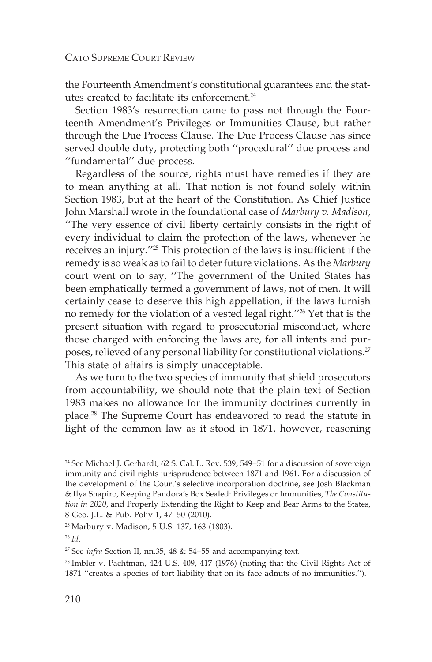CATO SUPREME COURT REVIEW<br>the Fourteenth Amendment's constitutional guarantees and the stat-<br>utes created to facilitate its enforcement.<sup>24</sup><br>Section 1983's resurrection came to pass not through the Four-

CATO SUPREME COURT REVIEW<br>the Fourteenth Amendment's constitutional guarantees and the stat-<br>utes created to facilitate its enforcement.<sup>24</sup><br>Section 1983's resurrection came to pass not through the Four-<br>teenth Amendment's CATO SUPREME COURT REVIEW<br>the Fourteenth Amendment's constitutional guarantees and the stat-<br>utes created to facilitate its enforcement.<sup>24</sup><br>Section 1983's resurrection came to pass not through the Four-<br>teenth Amendment's the Fourteenth Amendment's constitutional guarantees and the stat-<br>utes created to facilitate its enforcement.<sup>24</sup><br>Section 1983's resurrection came to pass not through the Four-<br>teenth Amendment's Privileges or Immunities the Fourteenth Amendment's constitutional guarantees and the stat-<br>utes created to facilitate its enforcement.<sup>24</sup><br>Section 1983's resurrection came to pass not through the Four-<br>teenth Amendment's Privileges or Immunities utes created to facilitate its enforcement.<sup>24</sup><br>
Section 1983's resurrection came to pass not through the Four-<br>
teenth Amendment's Privileges or Immunities Clause, but rather<br>
through the Due Process Clause. The Due Proce Section 1983's resurrection came to pass not through the Four-<br>enth Amendment's Privileges or Immunities Clause, but rather<br>rough the Due Process Clause. The Due Process Clause has since<br>rved double duty, protecting both "

teenth Amendment's Privileges or Immunities Clause, but rather<br>through the Due Process Clause. The Due Process Clause has since<br>served double duty, protecting both "procedural" due process and<br>"fundamental" due process.<br>Re through the Due Process Clause. The Due Process Clause has since<br>served double duty, protecting both "procedural" due process and<br>"fundamental" due process.<br>Regardless of the source, rights must have remedies if they are<br>t served double duty, protecting both "procedural" due process and "fundamental" due process.<br>Regardless of the source, rights must have remedies if they are<br>to mean anything at all. That notion is not found solely within<br>Se Regardless of the source, rights must have remedies if they are<br>to mean anything at all. That notion is not found solely within<br>Section 1983, but at the heart of the Constitution. As Chief Justice<br>John Marshall wrote in t to mean anything at all. That notion is not found solely within Section 1983, but at the heart of the Constitution. As Chief Justice John Marshall wrote in the foundational case of *Marbury v. Madison*, "The very essence o Section 1983, but at the heart of the Constitution. As Chief Justice<br>John Marshall wrote in the foundational case of *Marbury v*. *Madison*,<br>"The very essence of civil liberty certainly consists in the right of<br>every ind John Marshall wrote in the foundational case of *Marbury v. Madison*, "The very essence of civil liberty certainly consists in the right of every individual to claim the protection of the laws, whenever he receives an inj no remedy for the violation of a vested legal right."<sup>26</sup> Yet that is the present situation with regard to prosecutorial misconduct, where every individual to claim the protection of the laws, whenever he<br>receives an injury.<sup>725</sup> This protection of the laws is insufficient if the<br>remedy is so weak as to fail to deter future violations. As the *Marbury*<br>court receives an injury.<sup>725</sup> This protection of the laws is insufficient if the remedy is so weak as to fail to deter future violations. As the *Marbury* court went on to say, "The government of the United States has been emph remedy is so weak as to fail to deter future violations. As the *Marbury* court went on to say, "The government of the United States has been emphatically termed a government of laws, not of men. It will certainly cease to certainly cease to deserve this high appellation, if the laws furnish<br>no remedy for the violation of a vested legal right."<sup>26</sup> Yet that is the<br>present situation with regard to prosecutorial misconduct, where<br>those charge been emphatically termed a government of laws, not of men. It will<br>certainly cease to deserve this high appellation, if the laws furnish<br>no remedy for the violation of a vested legal right."<sup>26</sup> Yet that is the<br>present sit

those charged with enforcing the laws are, for all intents and purposes, relieved of any personal liability for constitutional violations.<sup>27</sup> This state of affairs is simply unacceptable.<br>As we turn to the two species of present situation with regard to prosecutorial misconduct, where<br>those charged with enforcing the laws are, for all intents and pur-<br>poses, relieved of any personal liability for constitutional violations.<sup>27</sup><br>This state o those charged with enforcing the laws are, for all intents and pur-<br>poses, relieved of any personal liability for constitutional violations.<sup>27</sup><br>This state of affairs is simply unacceptable.<br>As we turn to the two species o poses, relieved of any personal liability for constitutional violations.<sup>27</sup><br>This state of affairs is simply unacceptable.<br>As we turn to the two species of immunity that shield prosecutors<br>from accountability, we should no This state of affairs is simply unacceptable.<br>As we turn to the two species of immunity that shield prosecutors<br>from accountability, we should note that the plain text of Section<br>1983 makes no allowance for the immunity do

<sup>25</sup> Marbury v. Madison, 5 U.S. 137, 163 (1803).<br><sup>26</sup> Id.<br><sup>27</sup> See *infra* Section II, nn.35, 48 & 54–55 and accompanying text.<br><sup>28</sup> Imbler v. Pachtman, 424 U.S. 409, 417 (1976) (noting that the Civil Rights Act of 1871 "

place.<sup>28</sup> The Supreme Court has endeavored to read the statute in light of the common law as it stood in 1871, however, reasoning <sup>24</sup> See Michael J. Gerhardt, 62 S. Cal. L. Rev. 539, 549–51 for a discussion of sovereign <sup>24</sup> See Michael J. Gerhardt, 62 S. Cal. L. Rev. 539, 549–51 for a discussion of sovereign<br><sup>24</sup> See Michael J. Gerhardt, 62 S. Cal. L. Rev. 539, 549–51 for a discussion of sovereign<br>immunity and civil rights jurisprudence <sup>24</sup> See Michael J. Gerhardt, 62 S. Cal. L. Rev. 539, 549–51 for a discussion of sovereign<br><sup>24</sup> See Michael J. Gerhardt, 62 S. Cal. L. Rev. 539, 549–51 for a discussion of sovereign<br>immunity and civil rights jurisprudence <sup>24</sup> See Michael J. Gerhardt, 62 S. Cal. L. Rev. 539, 549–51 for a discussion of sovereign immunity and civil rights jurisprudence between 1871 and 1961. For a discussion of the development of the Court's selective incorpo *tion in a tion in tights jurisprudence between 1871 and 1961. For a discussion of* the development of the Court's selective incorporation doctrine, see Josh Blackman & Ilya Shapiro, Keeping Pandora's Box Sealed: Privilege <sup>24</sup> See Michael J. Gerhardt, 62 S. Cal. L. Rev. 539, 549–51 for a discussion of sovereign<br>immunity and civil rights jurisprudence between 1871 and 1961. For a discussion of<br>the development of the Court's selective incorp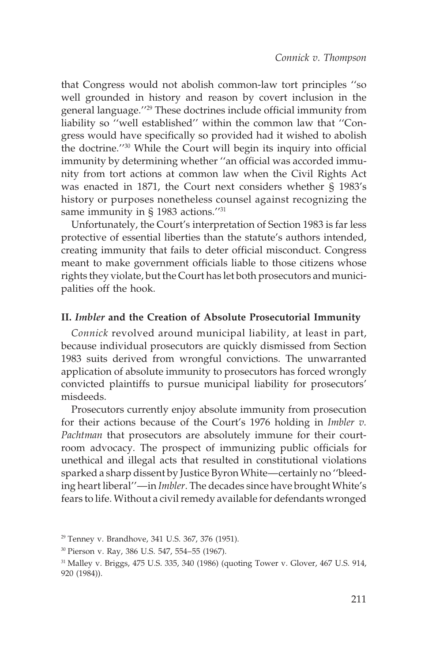*Connick v. Thompson Connick v. Thompson*<br>that Congress would not abolish common-law tort principles "so<br>well grounded in history and reason by covert inclusion in the<br>general language."<sup>29</sup> These doctrines include official immunity from Connick v. Thompson<br>that Congress would not abolish common-law tort principles "so<br>well grounded in history and reason by covert inclusion in the<br>general language."<sup>29</sup> These doctrines include official immunity from<br>liabil Connick v. Thompson<br>that Congress would not abolish common-law tort principles "so<br>well grounded in history and reason by covert inclusion in the<br>general language.''<sup>29</sup> These doctrines include official immunity from<br>liabi *Connick v. Thompson*<br>that Congress would not abolish common-law tort principles "so<br>well grounded in history and reason by covert inclusion in the<br>general language."<sup>29</sup> These doctrines include official immunity from<br>liab that Congress would not abolish common-law tort principles "so<br>well grounded in history and reason by covert inclusion in the<br>general language."<sup>29</sup> These doctrines include official immunity from<br>liability so "well establi that Congress would not abolish common-law tort principles "so<br>well grounded in history and reason by covert inclusion in the<br>general language."<sup>29</sup> These doctrines include official immunity from<br>liability so "well establi well grounded in history and reason by covert inclusion in the general language."<sup>29</sup> These doctrines include official immunity from liability so "well established" within the common law that "Congress would have specifica general language."<sup>29</sup> These doctrines include official immunity from<br>liability so "well established" within the common law that "Con-<br>gress would have specifically so provided had it wished to abolish<br>the doctrine."<sup>30</sup> W liability so "well established" within the common law that "Congress would have specifically so provided had it wished to abolish the doctrine."<sup>30</sup> While the Court will begin its inquiry into official immunity by determin gress would have specifically so provided had it wished to abolish<br>the doctrine."<sup>30</sup> While the Court will begin its inquiry into official<br>immunity by determining whether "an official was accorded immu-<br>nity from tort acti the doctrine.''<sup>30</sup> While the Court will begin its inquiry into official<br>immunity by determining whether "an official was accorded immu-<br>nity from tort actions at common law when the Civil Rights Act<br>was enacted in 1871, t

nity from tort actions at common law when the Civil Rights Act<br>was enacted in 1871, the Court next considers whether § 1983's<br>history or purposes nonetheless counsel against recognizing the<br>same immunity in § 1983 actions. was enacted in 1871, the Court next considers whether § 1983's<br>history or purposes nonetheless counsel against recognizing the<br>same immunity in § 1983 actions."<sup>31</sup><br>Unfortunately, the Court's interpretation of Section 1983 history or purposes nonetheless counsel against recognizing the<br>same immunity in § 1983 actions.<sup>731</sup><br>Unfortunately, the Court's interpretation of Section 1983 is far less<br>protective of essential liberties than the statute same immunity in § 1983 actions.<sup>731</sup><br>Unfortunately, the Court's interpretation of Section 1983 is far less<br>protective of essential liberties than the statute's authors intended,<br>creating immunity that fails to deter offic Unfortunately, the Cour<br>protective of essential libe<br>creating immunity that fa<br>meant to make governme<br>rights they violate, but the<br>palities off the hook.<br>II. *Imbler* and the Creatic **II.** Implement that tails to deter official misconduct. Congress<br>
II. **I** *Inbler* and the Court has let both prosecutors and munici-<br>
palities off the hook.<br> **II.** *Imbler* and the Creation of Absolute Prosecutorial Immu

Figure 2.1 The United States whose the set that the Vindote state is whose<br>this they violate, but the Court has let both prosecutors and munici-<br>lities off the hook.<br>*Imbler* and the Creation of Absolute Prosecutorial Immu Fights they violate, but the Court has let both prosecutors and municipalities off the hook.<br> **II.** *Imbler* and the Creation of Absolute Prosecutorial Immunity<br> *Connick* revolved around municipal liability, at least in p Frames on the Hook.<br>
11. *Imbler* and the Creation of Absolute Prosecutorial Immunity<br>
Connick revolved around municipal liability, at least in part,<br>
because individual prosecutors are quickly dismissed from Section<br>
1983 II. *Imbler* and the Creation of Absolute Prosecutorial Immunity<br>Connick revolved around municipal liability, at least in part,<br>because individual prosecutors are quickly dismissed from Section<br>1983 suits derived from wron **II.** *Imbler* and the Creation of Absolute Prosecutorial Immunity<br> *Connick* revolved around municipal liability, at least in part,<br>
because individual prosecutors are quickly dismissed from Section<br>
1983 suits derived fr misdeeds. cause individual prosecutors are quickly dismissed from Section<br>83 suits derived from wrongful convictions. The unwarranted<br>plication of absolute immunity to prosecutors has forced wrongly<br>nvicted plaintiffs to pursue muni

for the unwarranted application of absolute immunity to prosecutors has forced wrongly convicted plaintiffs to pursue municipal liability for prosecutors' misdeeds.<br>Prosecutors currently enjoy absolute immunity from prosec *Pachtman* that prosecutors' misdeeds.<br> *Prosecutors currently enjoy absolute immunity from prosecution* for their actions because of the Court's 1976 holding in *Imbler v.*<br> *Pachtman* that prosecutors are absolutely immu convicted plaintiffs to pursue municipal liability for prosecutors'<br>misdeeds.<br>Prosecutors currently enjoy absolute immunity from prosecution<br>for their actions because of the Court's 1976 holding in *Imbler v.*<br>Pachtman tha misdeeds.<br>
Prosecutors currently enjoy absolute immunity from prosecution<br>
for their actions because of the Court's 1976 holding in *Imbler v.*<br> *Pachtman* that prosecutors are absolutely immune for their court-<br>
room advo room advocacy. The prospect of immunizing public officials for unethical and illegal acts that resulted in constitutional violations sparked a sharp dissent by Justice Byron White—certainly no "bleed-ing heart liberal"—in for their actions because of the Court's 1976 holding in *Imbler v.*<br>Pachtman that prosecutors are absolutely immune for their court-<br>room advocacy. The prospect of immunizing public officials for<br>unethical and illegal act *Pachtman* that prosecutors are absolutely immune for their court-<br>room advocacy. The prospect of immunizing public officials for<br>unethical and illegal acts that resulted in constitutional violations<br>sparked a sharp dissen ing heart liberal''—in *Imbler*. The decades since have brought White's fears to life. Without a civil remedy available for defendants wronged<br><sup>29</sup> Tenney v. Brandhove, 341 U.S. 367, 376 (1951). <sup>30</sup> Pierson v. Ray, 386 U.

<sup>&</sup>lt;sup>29</sup> Tenney v. Brandhove, 341 U.S. 367, 376 (1951).<br><sup>30</sup> Pierson v. Ray, 386 U.S. 547, 554–55 (1967).<br><sup>31</sup> Malley v. Briggs, 475 U.S. 335, 340 (1986) (quoting Tower v. Glover, 467 U.S. 914, 920 (1984)).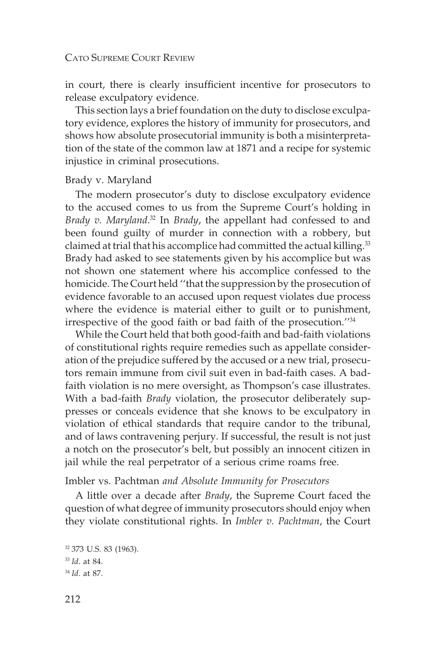CATO SUPREME COURT REVIEW<br>in court, there is clearly insufficient incentive for prosecutors to<br>release exculpatory evidence.<br>This section lays a brief foundation on the duty to disclose exculpa-

CATO SUPREME COURT REVIEW<br>in court, there is clearly insuffici<br>release exculpatory evidence.<br>This section lays a brief foundatic<br>tory evidence, explores the history THE SUPREME COURT REVIEW<br>
COUT COURT REVIEW<br>
COUT COURT EVENT INCOURT SUPPOSE TO PROSECUTE THIS SECTION LINES<br>
This section lays a brief foundation on the duty to disclose exculpa-<br>
This section lays a brief foundation on CATO SUPREME COURT REVIEW<br>
in court, there is clearly insufficient incentive for prosecutors to<br>
release exculpatory evidence.<br>
This section lays a brief foundation on the duty to disclose exculpa-<br>
tory evidence, explores in court, there is clearly insufficient incentive for prosecutors to release exculpatory evidence.<br>This section lays a brief foundation on the duty to disclose exculpatory evidence, explores the history of immunity for pro in court, there is clearly insufficient incentive for prosecutors to<br>release exculpatory evidence.<br>This section lays a brief foundation on the duty to disclose exculpa-<br>tory evidence, explores the history of immunity for p release exculpatory evidence.<br>This section lays a brief foundation on<br>tory evidence, explores the history of in<br>shows how absolute prosecutorial imm<br>tion of the state of the common law at 1<br>injustice in criminal prosecutio This section lays a bief found.<br>tory evidence, explores the histoshows how absolute prosecutori<br>tion of the state of the common injustice in criminal prosecution<br>Brady v. Maryland<br>The modern prosecutor's du<br>to the accused The modern prosecutorial immunity is both a misinterpretation of the state of the common law at 1871 and a recipe for systemic institution in criminal prosecutions.<br>ady v. Maryland<br>The modern prosecutor's duty to disclose

the accused proceduorial infinitivity is both a misinterpretation of the state of the common law at 1871 and a recipe for systemic injustice in criminal prosecutions.<br>Brady v. Maryland<br>The modern prosecutor's duty to discl *Brady v. Maryland*<br>*Brady v. Maryland*<br>**Brady** v. Maryland<br>**The modern prosecutor's duty to disclose exculpatory evidence<br>to the accused comes to us from the Supreme Court's holding in<br>***Brady* **v.** *Maryland***.<sup>32</sup> In** *Brady* Brady v. Maryland<br>The modern prosecutor's duty to disclose exculpatory evidence<br>to the accused comes to us from the Supreme Court's holding in<br>*Brady v. Maryland*.<sup>32</sup> In *Brady*, the appellant had confessed to and<br>been f Brady v. Maryland<br>The modern prosecutor's duty to disclose exculpatory evidence<br>to the accused comes to us from the Supreme Court's holding in<br>Brady v. Maryland.<sup>32</sup> In Brady, the appellant had confessed to and<br>been found to the accused comes to us from the Supreme Court's holding in *Brady v. Maryland*.<sup>32</sup> In *Brady*, the appellant had confessed to and been found guilty of murder in connection with a robbery, but claimed at trial that his *Brady v. Maryland.*<sup>32</sup> In *Brady,* the appellant had confessed to and been found guilty of murder in connection with a robbery, but claimed at trial that his accomplice had committed the actual killing.<sup>33</sup> Brady had ask been found guilty of murder in connection with a robbery, but claimed at trial that his accomplice had committed the actual killing.<sup>33</sup> Brady had asked to see statements given by his accomplice but was not shown one state claimed at trial that his accomplice had committed the actual killing.<sup>33</sup><br>Brady had asked to see statements given by his accomplice but was<br>not shown one statement where his accomplice confessed to the<br>homicide. The Court Brady had asked to see statements given by his accomplice but was<br>not shown one statement where his accomplice confessed to the<br>homicide. The Court held "that the suppression by the prosecution of<br>evidence favorable to an

homicide. The Court held "that the suppression by the prosecution of evidence favorable to an accused upon request violates due process where the evidence is material either to guilt or to punishment, irrespective of the g where the evidence is material either to guilt or to punishment, irrespective of the good faith or bad faith of the prosecution."<sup>34</sup> While the Court held that both good-faith and bad-faith violations of constitutional rig where the evidence is material either to guilt or to punishment, irrespective of the good faith or bad faith of the prosecution."<sup>34</sup> While the Court held that both good-faith and bad-faith violations of constitutional rig irrespective of the good faith or bad faith of the prosecution."<sup>34</sup><br>While the Court held that both good-faith and bad-faith violations<br>of constitutional rights require remedies such as appellate consider-<br>ation of the pre While the Court held that both good-faith and bad-faith violations<br>of constitutional rights require remedies such as appellate consider-<br>ation of the prejudice suffered by the accused or a new trial, prosecu-<br>tors remain i of constitutional rights require remedies such as appellate consideration of the prejudice suffered by the accused or a new trial, prosecutors remain immune from civil suit even in bad-faith cases. A bad-faith violation is ation of the prejudice suffered by the accused or a new trial, prosecutors remain immune from civil suit even in bad-faith cases. A bad-faith violation is no mere oversight, as Thompson's case illustrates. With a bad-faith tors remain immune from civil suit even in bad-faith cases. A bad-faith violation is no mere oversight, as Thompson's case illustrates.<br>With a bad-faith *Brady* violation, the prosecutor deliberately suppresses or conceals faith violation is no mere oversight, as Thompson's case illustrates.<br>With a bad-faith *Brady* violation, the prosecutor deliberately suppresses or conceals evidence that she knows to be exculpatory in violation of ethical With a bad-faith *Brady* violation, the prosecutor deliberately su presses or conceals evidence that she knows to be exculpatory violation of ethical standards that require candor to the tribuna and of laws contravening pe presses or conceals evidence that she knows to be exculpatory in violation of ethical standards that require candor to the tribunal, and of laws contravening perjury. If successful, the result is not just a notch on the pr A little over a decade after *Brady*, the result is not just<br>anotch on the prosecutor's belt, but possibly an innocent citizen in<br>1 while the real perpetrator of a serious crime roams free.<br>beler vs. Pachtman *and Absolute* 

and of any contracting perjary. If successital, the restant  $B$  hot just a notch on the prosecutor's belt, but possibly an innocent citizen in jail while the real perpetrator of a serious crime roams free.<br>Imbler vs. Pach in the prosecutor *s* bent, but possibly an influence childer. In figall while the real perpetrator of a serious crime roams free.<br>
Imbler vs. Pachtman *and Absolute Immunity for Prosecutors*<br>
A little over a decade after they violate constitutional rights. In *Imbler v. Pachtman*, the Court <sup>32</sup> 373 U.S. 83 (1963). <sup>33</sup> *Id.* at 84. <sup>34</sup> *Id.* at 87.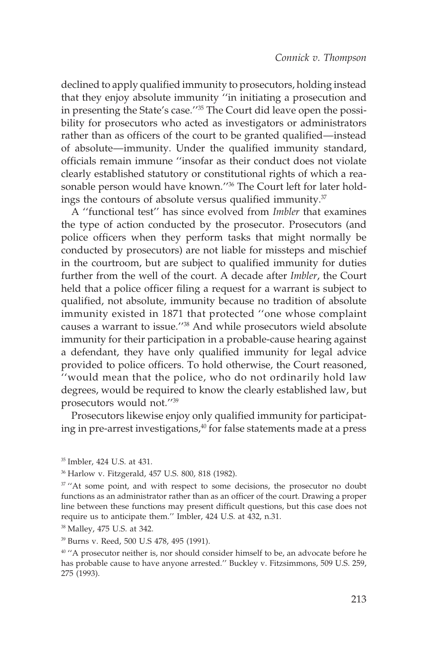*Connick v. Thompson Connick v. Thompson*<br>declined to apply qualified immunity to prosecutors, holding instead<br>that they enjoy absolute immunity "in initiating a prosecution and<br>in presenting the State's case."<sup>35</sup> The Court did leave open th Connick v. Thompson<br>declined to apply qualified immunity to prosecutors, holding instead<br>that they enjoy absolute immunity "in initiating a prosecution and<br>in presenting the State's case."<sup>35</sup> The Court did leave open the *Connick v. Thompson*<br>declined to apply qualified immunity to prosecutors, holding instead<br>that they enjoy absolute immunity "in initiating a prosecution and<br>in presenting the State's case.''<sup>35</sup> The Court did leave open t *Connick v. Thompson*<br>declined to apply qualified immunity to prosecutors, holding instead<br>that they enjoy absolute immunity "in initiating a prosecution and<br>in presenting the State's case."<sup>35</sup> The Court did leave open th declined to apply qualified immunity to prosecutors, holding instead<br>that they enjoy absolute immunity "in initiating a prosecution and<br>in presenting the State's case."<sup>35</sup> The Court did leave open the possi-<br>bility for pr declined to apply qualified immunity to prosecutors, holding instead<br>that they enjoy absolute immunity "in initiating a prosecution and<br>in presenting the State's case."<sup>35</sup> The Court did leave open the possi-<br>bility for pr that they enjoy absolute immunity "in initiating a prosecution and<br>in presenting the State's case."<sup>35</sup> The Court did leave open the possi-<br>bility for prosecutors who acted as investigators or administrators<br>rather than as in presenting the State's case.''<sup>35</sup> The Court did leave open the possibility for prosecutors who acted as investigators or administrators rather than as officers of the court to be granted qualified—instead of absolute bility for prosecutors who acted as investigators or administrators<br>rather than as officers of the court to be granted qualified—instead<br>of absolute—immunity. Under the qualified immunity standard,<br>officials remain immune rather than as officers of the court to be granted qualified—instead<br>of absolute—immunity. Under the qualified immunity standard,<br>officials remain immune "insofar as their conduct does not violate<br>clearly established statu

officials remain immune "insofar as their conduct does not violate<br>clearly established statutory or constitutional rights of which a rea-<br>sonable person would have known."<sup>36</sup> The Court left for later hold-<br>ings the contou clearly established statutory or constitutional rights of which a reasonable person would have known."<sup>36</sup> The Court left for later holdings the contours of absolute versus qualified immunity.<sup>37</sup> A "functional test" has s sonable person would have known."<sup>36</sup> The Court left for later holdings the contours of absolute versus qualified immunity.<sup>37</sup> A "functional test" has since evolved from *Imbler* that examines the type of action conducte ings the contours of absolute versus qualified immunity.<sup>37</sup><br>A "functional test" has since evolved from *Imbler* that examines<br>the type of action conducted by the prosecutor. Prosecutors (and<br>police officers when they per A "functional test" has since evolved from *Imbler* that examines<br>the type of action conducted by the prosecutor. Prosecutors (and<br>police officers when they perform tasks that might normally be<br>conducted by prosecutors) ar the type of action conducted by the prosecutor. Prosecutors (and police officers when they perform tasks that might normally be conducted by prosecutors) are not liable for missteps and mischief in the courtroom, but are s police officers when they perform tasks that might normally be conducted by prosecutors) are not liable for missteps and mischief in the courtroom, but are subject to qualified immunity for duties further from the well of conducted by prosecutors) are not liable for missteps and mischief<br>in the courtroom, but are subject to qualified immunity for duties<br>further from the well of the court. A decade after *Imbler*, the Court<br>held that a polic in the courtroom, but are subject to qualified immunity for duties<br>further from the well of the court. A decade after *Imbler*, the Court<br>held that a police officer filing a request for a warrant is subject to<br>qualified, n further from the well of the court. A decade after *Imbler*, the Court held that a police officer filing a request for a warrant is subject to qualified, not absolute, immunity because no tradition of absolute immunity exi held that a police officer filing a request for a warrant is subject to qualified, not absolute, immunity because no tradition of absolute immunity existed in 1871 that protected "one whose complaint causes a warrant to is immunity existed in 1871 that protected "one whose complaint causes a warrant to issue."<sup>38</sup> And while prosecutors wield absolute immunity for their participation in a probable-cause hearing against a defendant, they have immunity existed in 1871 that protected "one whose complaint<br>causes a warrant to issue."<sup>38</sup> And while prosecutors wield absolute<br>immunity for their participation in a probable-cause hearing against<br>a defendant, they have causes a warrant to issue."<sup>38</sup> And while prosecutors wield absolute<br>immunity for their participation in a probable-cause hearing against<br>a defendant, they have only qualified immunity for legal advice<br>provided to police o immunity for their participation in a probable-cause hearing against<br>a defendant, they have only qualified immunity for legal advice<br>provided to police officers. To hold otherwise, the Court reasoned,<br>"would mean that the For would mean that the police, who do not ordinarily hold law degrees, would be required to know the clearly established law, but prosecutors would not.<sup>739</sup><br>Prosecutors likewise enjoy only qualified immunity for partici

med technical disc canceled cause them.'' Imbler, 424 U.S. at 432, n.31.<br>
<sup>38</sup> Malley, 475 U.S. at 342.<br>
<sup>39</sup> Burns v. Reed, 500 U.S 478, 495 (1991).<br>
<sup>40</sup> "A prosecutor neither is, nor should consider himself to be, an ad <sup>38</sup> Malley, 475 U<br><sup>39</sup> Burns v. Reed<br><sup>40</sup> "A prosecutor<br>has probable ca<br>275 (1993).

<sup>&</sup>lt;sup>35</sup> Imbler, 424 U.S. at 431. <sup>36</sup> Harlow v. Fitzgerald, 457 U.S. 800, 818 (1982). <sup>37</sup> ''At some point, and with respect to some decisions, the prosecutor no doubt functions as an administrator rather than as an officer <sup>35</sup> Imbler, 424 U.S. at 431.<br><sup>36</sup> Harlow v. Fitzgerald, 457 U.S. 800, 818 (1982).<br><sup>37</sup> "At some point, and with respect to some decisions, the prosecutor no doubt<br>functions as an administrator rather than as an officer of <sup>35</sup> Imbler, 424 U.S. at 431.<br><sup>36</sup> Harlow v. Fitzgerald, 457 U.S. 800, 818 (1982).<br><sup>37</sup> "At some point, and with respect to some decisions, the prosecutor no doubt<br>functions as an administrator rather than as an officer o <sup>26</sup> Imbler, 424 U.S. at 431. 38 Malley v. Fitzgerald, 457 U.S. 800, 818 (1982).<br><sup>37</sup> "At some point, and with respect to some decisions, the prosecutor no doubt functions as an administrator rather than as an officer of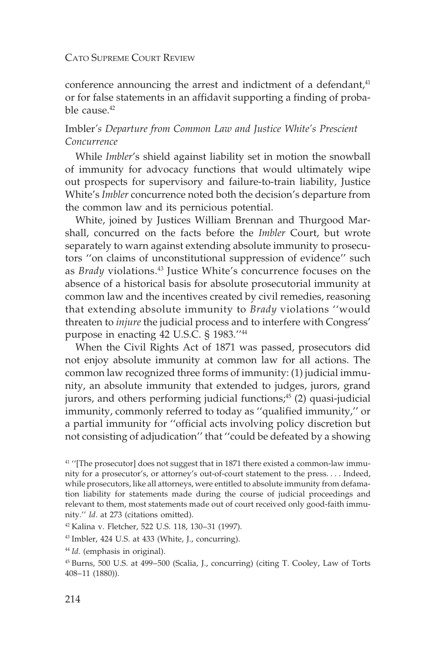CATO SUPREME COURT REVIEW<br>conference announcing the arrest and indictment of a defendant,<sup>41</sup><br>or for false statements in an affidavit supporting a finding of proba-<br>ble cause.<sup>42</sup><br>Imbler's *Denarture from Common Latu and J* CATO SUPREME COURT REVIEW<br>
conference announcing the arrest and indictment of a defendant,<sup>41</sup><br>
or for false statements in an affidavit supporting a finding of proba-<br>
ble cause.<sup>42</sup><br>
Imbler's *Departure from Common Law an* 

## *Concurrence*

For false statements in an affidavit supporting a finding of proba-<br>
For false statements in an affidavit supporting a finding of proba-<br>
Persone and *Istice White's Prescient*<br>
Mile *Imbler's* shield against liability set of its interactions in an antarctverp perint of intentig or press.<br>
ble cause.<sup>42</sup><br>
Imbler's *Departure from Common Law and Justice White's Prescient*<br>
Concurrence<br>
While *Imbler's* shield against liability set in motion t Imbler's *Departure from Common Law and Justice White's Prescient*<br>Concurrence<br>While *Imbler's* shield against liability set in motion the snowball<br>of immunity for advocacy functions that would ultimately wipe<br>out prospect Imbler's *Departure from Common Law and Justice White's Prescient*<br>Concurrence<br>While *Imbler's* shield against liability set in motion the snowball<br>of immunity for advocacy functions that would ultimately wipe<br>out prospect Concurrence<br>While *Imbler's* shield against liability set in motiof<br>of immunity for advocacy functions that would<br>out prospects for supervisory and failure-to-train<br>White's *Imbler* concurrence noted both the decision's<br>th While *Imbler's* shield against liability set in motion the snowball<br>immunity for advocacy functions that would ultimately wipe<br>it prospects for supervisory and failure-to-train liability, Justice<br>hite's *Imbler* concurren

of immunity for advocacy functions that would ultimately wipe<br>out prospects for supervisory and failure-to-train liability, Justice<br>White's *Imbler* concurrence noted both the decision's departure from<br>the common law and i out prospects for supervisory and failure-to-train liability, Justice White's *Imbler* concurrence noted both the decision's departure from the common law and its pernicious potential. White, joined by Justices William Bre White's *Imbler* concurrence noted both the decision's departure from<br>the common law and its pernicious potential.<br>White, joined by Justices William Brennan and Thurgood Mar-<br>shall, concurred on the facts before the *Imble* the common law and its pernicious potential.<br>White, joined by Justices William Brennan and Thurgood Marshall, concurred on the facts before the *Imbler* Court, but wrote<br>separately to warn against extending absolute immuni White, joined by Justices William Brennan and Thurgood Marshall, concurred on the facts before the *Imbler* Court, but wrote separately to warn against extending absolute immunity to prosecutors "on claims of unconstitutio shall, concurred on the facts before the *Imbler* Court, but wrote separately to warn against extending absolute immunity to prosecutors "on claims of unconstitutional suppression of evidence" such as *Brady* violations.<sup>4</sup> separately to warn against extending absolute immunity to prosecutors "on claims of unconstitutional suppression of evidence" such as *Brady* violations.<sup>43</sup> Justice White's concurrence focuses on the absence of a historic as *Brady* violations.<sup>43</sup> Justice White's concurrence focuses on the absence of a historical basis for absolute prosecutorial immunity at common law and the incentives created by civil remedies, reasoning that extending a as *Brady* violations.<sup>43</sup> Justice White's concurrence focuses on the absence of a historical basis for absolute prosecutorial immunity at common law and the incentives created by civil remedies, reasoning that extending a

common law and the incentives created by civil remedies, reasoning<br>that extending absolute immunity to *Brady* violations "would<br>threaten to *injure* the judicial process and to interfere with Congress"<br>purpose in enacting that extending absolute immunity to *Brady* violations "would<br>threaten to *injure* the judicial process and to interfere with Congress"<br>purpose in enacting 42 U.S.C. § 1983."<sup>44</sup><br>When the Civil Rights Act of 1871 was passe threaten to *injure* the judicial process and to interfere with Congress' purpose in enacting 42 U.S.C. § 1983."<sup>44</sup><br>When the Civil Rights Act of 1871 was passed, prosecutors did not enjoy absolute immunity at common law f purpose in enacting 42 U.S.C. § 1983.<sup>744</sup><br>When the Civil Rights Act of 1871 was passed, prosecutors did<br>not enjoy absolute immunity at common law for all actions. The<br>common law recognized three forms of immunity: (1) jud When the Civil Rights Act of 1871 was passed, prosecutors did not enjoy absolute immunity at common law for all actions. The common law recognized three forms of immunity: (1) judicial immunity, an absolute immunity that not enjoy absolute immunity at common law for all actions. The common law recognized three forms of immunity: (1) judicial immunity, an absolute immunity that extended to judges, jurors, grand jurors, and others performing common law recognized three forms of immunity: (1) judicial immu-<br>nity, an absolute immunity that extended to judges, jurors, grand<br>jurors, and others performing judicial functions;<sup>45</sup> (2) quasi-judicial<br>immunity, commonl immunity, commonly referred to today as "qualified immunity," or<br>a partial immunity for "official acts involving policy discretion but<br>not consisting of adjudication" that "could be defeated by a showing<br><sup>41</sup> "[The prosecu

a partial immunity for "official acts involving policy discretion but<br>not consisting of adjudication" that "could be defeated by a showing<br><sup>41</sup> "[The prosecutor] does not suggest that in 1871 there existed a common-law imm not consisting of adjudication" that "could be defeated by a showing<br><sup>41</sup> "[The prosecutor] does not suggest that in 1871 there existed a common-law immu-<br>nity for a prosecutor's, or attorney's out-of-court statement to th <sup>41</sup> "[The prosecutor] does not suggest that in 1871 there existed a common-law immunity for a prosecutor's, or attorney's out-of-court statement to the press.... Indeed, while prosecutors, like all attorneys, were entitl <sup>41</sup> "[The prosecutor] does not suggest that in 1871 there existed a common-law immunity for a prosecutor's, or attorney's out-of-court statement to the press.... Indeed, while prosecutors, like all attorneys, were entitl <sup>41</sup> "[The prosecutor] does not suggest that in 1871 there existed a common-law immunity for a prosecutor's, or attorney's out-of-court statement to the press.... Indeed, while prosecutors, like all attorney's out-of-cour

<sup>&</sup>lt;sup>43</sup> Imbler, 424 U.S. at 433 (White, J., concurring).<br>
<sup>44</sup> *Id.* (emphasis in original).<br>
<sup>45</sup> Burns, 500 U.S. at 499–500 (Scalia, J., concurring) (citing T. Cooley, Law of Torts<br>
408–11 (1880)).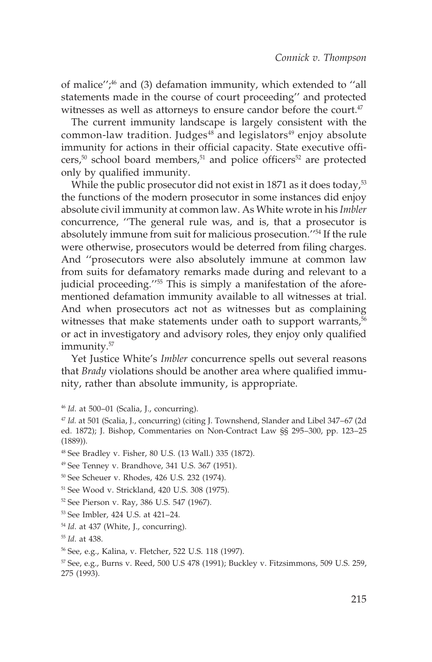*Connick v. Thompson Connick v. Thompson*<br>of malice'';<sup>46</sup> and (3) defamation immunity, which extended to "all<br>statements made in the course of court proceeding" and protected<br>witnesses as well as attorneys to ensure candor before the court.<sup></sup> Connick v. Thompson<br>of malice";<sup>46</sup> and (3) defamation immunity, which extended to "all<br>statements made in the course of court proceeding" and protected<br>witnesses as well as attorneys to ensure candor before the court.<sup>47</sup>

Connick v. Thompson<br>of malice";<sup>46</sup> and (3) defamation immunity, which extended to "all<br>statements made in the course of court proceeding" and protected<br>witnesses as well as attorneys to ensure candor before the court.<sup>47</sup> of malice",<sup>46</sup> and (3) defamation immunity, which extended to "all statements made in the course of court proceeding" and protected witnesses as well as attorneys to ensure candor before the court.<sup>47</sup> The current immuni of malice",<sup>46</sup> and (3) defamation immunity, which extended to "all statements made in the course of court proceeding" and protected witnesses as well as attorneys to ensure candor before the court.<sup>47</sup> The current immuni statements made in the course of court proceeding" and protected<br>witnesses as well as attorneys to ensure candor before the court.<sup>47</sup><br>The current immunity landscape is largely consistent with the<br>common-law tradition. Jud witnesses as well as attorneys to<br>The current immunity landsca<br>common-law tradition. Judges<sup>48</sup><br>immunity for actions in their officers,<sup>50</sup> school board members,<sup>51</sup> a<br>only by qualified immunity.<br>While the public prosecut The current immunity landscape is largely consistent with the common-law tradition. Judges<sup>48</sup> and legislators<sup>49</sup> enjoy absolute immunity for actions in their official capacity. State executive officers,<sup>50</sup> school board

immunity for actions in their official capacity. State executive officers,<sup>50</sup> school board members,<sup>51</sup> and police officers<sup>52</sup> are protected only by qualified immunity.<br>While the public prosecutor did not exist in 1871 a cers,<sup>50</sup> school board members,<sup>51</sup> and police officers<sup>52</sup> are protected<br>only by qualified immunity.<br>While the public prosecutor did not exist in 1871 as it does today,<sup>53</sup><br>the functions of the modern prosecutor in some i only by qualified immunity.<br>While the public prosecutor did not exist in 1871 as it does today,<sup>53</sup><br>the functions of the modern prosecutor in some instances did enjoy<br>absolute civil immunity at common law. As White wrote i While the public prosecutor did not exist in 1871 as it does today,<sup>53</sup> the functions of the modern prosecutor in some instances did enjoy absolute civil immunity at common law. As White wrote in his *Imbler* concurrence, the functions of the modern prosecutor in some instances did enjoy<br>absolute civil immunity at common law. As White wrote in his *Imbler*<br>concurrence, "The general rule was, and is, that a prosecutor is<br>absolutely immune fr absolute civil immunity at common law. As White wrote in his *Imbler* concurrence, "The general rule was, and is, that a prosecutor is absolutely immune from suit for malicious prosecution."<sup>54</sup> If the rule were otherwise, concurrence, "The general rule was, and is, that a prosecutor is<br>absolutely immune from suit for malicious prosecution."<sup>54</sup> If the rule<br>were otherwise, prosecutors would be deterred from filing charges.<br>And "prosecutors w absolutely immune from suit for malicious prosecution.<sup>754</sup> If the rule<br>were otherwise, prosecutors would be deterred from filing charges.<br>And "prosecutors were also absolutely immune at common law<br>from suits for defamator were otherwise, prosecutors would be deterred from filing charges.<br>And "prosecutors were also absolutely immune at common law<br>from suits for defamatory remarks made during and relevant to a<br>judicial proceeding."<sup>55</sup> This i And "prosecutors were also absolutely immune at common law<br>from suits for defamatory remarks made during and relevant to a<br>judicial proceeding."<sup>55</sup> This is simply a manifestation of the afore-<br>mentioned defamation immunit mentioned defamation immunity available to all witnesses at trial.<br>And when prosecutors act not as witnesses but as complaining<br>witnesses that make statements under oath to support warrants,<sup>56</sup><br>or act in investigatory and And when prosecutors act not as witnesses but as complaining<br>witnesses that make statements under oath to support warrants,<sup>56</sup><br>or act in investigatory and advisory roles, they enjoy only qualified<br>immunity.<sup>57</sup><br>Yet Justic witnesses that make statements under oath to support v<br>or act in investigatory and advisory roles, they enjoy only<br>immunity.<sup>57</sup><br>Yet Justice White's *Imbler* concurrence spells out sever<br>that *Brady* violations should be a

Yet Justice White's *Imbler* concurrence spells out several reasons<br>that *Brady* violations should be another area where qualified immu-<br>nity, rather than absolute immunity, is appropriate.<br><sup>46</sup> *Id.* at 500–01 (Scalia, J.

that *Brady* violations should be another area where qualified immunity, rather than absolute immunity, is appropriate.<br><sup>46</sup> *Id.* at 500–01 (Scalia, J., concurring).<br><sup>47</sup> *Id.* at 501 (Scalia, J., concurring) (citing J. (1889)). <sup>46</sup> Id. at 500–01 (Scalia, J., concurring).<br><sup>47</sup> Id. at 501 (Scalia, J., concurring) (citing J. Townshend, Slander and Libel 347–67 (2d<br>ed. 1872); J. Bishop, Commentaries on Non-Contract Law §§ 295–300, pp. 123–25<br>(1889)

<sup>&</sup>lt;sup>54</sup> *Id.* at 437 (White, J., concurring).<br>
<sup>55</sup> *Id.* at 438.<br>
<sup>56</sup> See, e.g., Kalina, v. Fletcher, 522 U.S. 118 (1997).<br>
<sup>57</sup> See, e.g., Burns v. Reed, 500 U.S 478 (1991); Buckley v. Fitzsimmons, 509 U.S. 259, 275 (1993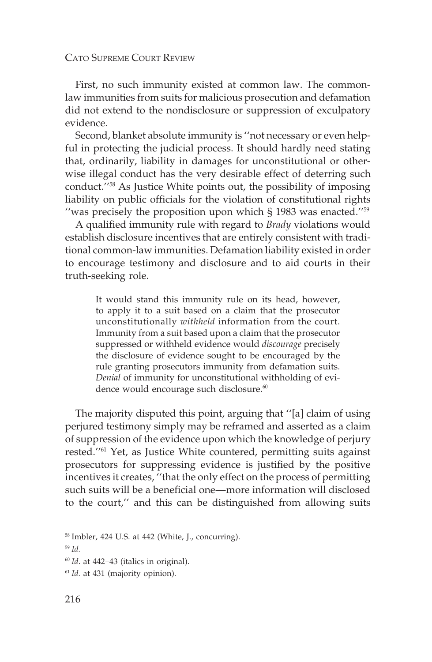NTO SUPREME COURT REVIEW<br>First, no such immunity existed at common law. The common-<br>w immunities from suits for malicious prosecution and defamation<br>d not extend to the nondisclosure or suppression of exculpatory CATO SUPREME COURT REVIEW<br>First, no such immunity existed at common law. The common-<br>law immunities from suits for malicious prosecution and defamation<br>did not extend to the nondisclosure or suppression of exculpatory<br>evid CATO SUPREME COURT REVIEW<br>First, no such immunity existed at common law. The common-<br>law immunities from suits for malicious prosecution and defamation<br>did not extend to the nondisclosure or suppression of exculpatory<br>evid evidence. First, no such immunity existed at common law. The common-<br>w immunities from suits for malicious prosecution and defamation<br>d not extend to the nondisclosure or suppression of exculpatory<br>idence.<br>Second, blanket absolute i

First, no such immunity existed at common law. The common-<br>law immunities from suits for malicious prosecution and defamation<br>did not extend to the nondisclosure or suppression of exculpatory<br>evidence.<br>Second, blanket abso law immunities from suits for malicious prosecution and defamation<br>did not extend to the nondisclosure or suppression of exculpatory<br>evidence.<br>Second, blanket absolute immunity is "not necessary or even help-<br>ful in protec did not extend to the nondisclosure or suppression of exculpatory<br>evidence.<br>Second, blanket absolute immunity is "not necessary or even help-<br>ful in protecting the judicial process. It should hardly need stating<br>that, ordi evidence.<br>
Second, blanket absolute immunity is "not necessary or even help-<br>
ful in protecting the judicial process. It should hardly need stating<br>
that, ordinarily, liability in damages for unconstitutional or other-<br>
wi Second, blanket absolute immunity is "not necessary or even help-<br>ful in protecting the judicial process. It should hardly need stating<br>that, ordinarily, liability in damages for unconstitutional or other-<br>wise illegal co ful in protecting the judicial process. It should hardly need stating<br>that, ordinarily, liability in damages for unconstitutional or other-<br>wise illegal conduct has the very desirable effect of deterring such<br>conduct.''<sup>58</sup>

A qualified immunity rule with regard to Brady violations would conduct.<sup>758</sup> As Justice White points out, the possibility of imposing liability on public officials for the violation of constitutional rights "was precisely the proposition upon which § 1983 was enacted.<sup>759</sup> A qualified liability on public officials for the violation of constitutional rights "was precisely the proposition upon which § 1983 was enacted."<sup>59</sup> A qualified immunity rule with regard to *Brady* violations would establish disclo establish disclosure incentives that are entirely consistent with traditional common-law immunities. Defamation liability existed in order<br>to encourage testimony and disclosure and to aid courts in their<br>truth-seeking role It would stand this immunities. Defamation liability existed in order<br>to encourage testimony and disclosure and to aid courts in their<br>truth-seeking role.<br>It would stand this immunity rule on its head, however,<br>to apply it

to encourage testimony and disclosure and to aid courts in their<br>truth-seeking role.<br>It would stand this immunity rule on its head, however,<br>to apply it to a suit based on a claim that the prosecutor<br>unconstitutionally *wi* beeking role.<br>It would stand this immunity rule on its head, however,<br>It would stand this immunity rule on its head, however,<br>to apply it to a suit based on a claim that the prosecutor<br>unconstitutionally *withheld* informa eeking role.<br>It would stand this immunity rule on its head, however,<br>to apply it to a suit based on a claim that the prosecutor<br>unconstitutionally *withheld* information from the court.<br>Immunity from a suit based upon a cl It would stand this immunity rule on its head, however, to apply it to a suit based on a claim that the prosecutor unconstitutionally *withheld* information from the court. Immunity from a suit based upon a claim that the It would stand this immunity rule on its head, however,<br>to apply it to a suit based on a claim that the prosecutor<br>unconstitutionally *withheld* information from the court.<br>Immunity from a suit based upon a claim that the to apply it to a suit based on a claim that the prosecutor unconstitutionally *withheld* information from the court.<br>Immunity from a suit based upon a claim that the prosecutor suppressed or withheld evidence would *disco* unconstitutionally *withheld* information from the court.<br>Immunity from a suit based upon a claim that the prosecutor<br>suppressed or withheld evidence would *discourage* precisely<br>the disclosure of evidence sought to be enc Immunity from a suit based upon a claim that the prosecutor<br>suppressed or withheld evidence would *discourage* precisely<br>the disclosure of evidence sought to be encouraged by the<br>rule granting prosecutors immunity from def

Intertube and assertion of evidence solid to be encounted by the<br>rule granting prosecutors immunity from defamation suits.<br>Denial of immunity for unconstitutional withholding of evi-<br>dence would encourage such disclosure.<sup></sup> Denial of immunity for unconstitutional withholding of evidence would encourage such disclosure.<sup>60</sup><br>The majority disputed this point, arguing that "[a] claim of using<br>perjured testimony simply may be reframed and asserted dence would encourage such disclosure.<sup>60</sup><br>The majority disputed this point, arguing that "[a] claim of using<br>perjured testimony simply may be reframed and asserted as a claim<br>of suppression of the evidence upon which the The majority disputed this point, arguing that "[a] claim of using<br>perjured testimony simply may be reframed and asserted as a claim<br>of suppression of the evidence upon which the knowledge of perjury<br>rested."<sup>61</sup> Yet, as J The majority disputed this point, arguing that "[a] claim of using<br>perjured testimony simply may be reframed and asserted as a claim<br>of suppression of the evidence upon which the knowledge of perjury<br>rested."<sup>61</sup> Yet, as J perjured testimony simply may be reframed and asserted as a claim<br>of suppression of the evidence upon which the knowledge of perjury<br>rested."<sup>61</sup> Yet, as Justice White countered, permitting suits against<br>prosecutors for su of suppression of the evidence upon which the knowledge of perjury rested."<sup>61</sup> Yet, as Justice White countered, permitting suits against prosecutors for suppressing evidence is justified by the positive incentives it crea such suits will be a beneficial one—more in<br>to the court," and this can be distinguisl<br><sup>58</sup> Imbler, 424 U.S. at 442 (White, J., concurring).<br><sup>59</sup> *Id.* 60 *Id.* at 442–43 (italics in original).<br><sup>61</sup> *Id.* at 431 (majority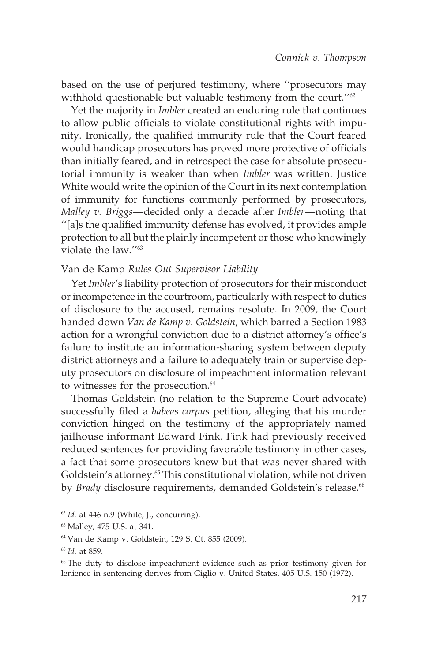*Connick v. Thompson Connick v. Thompson*<br>based on the use of perjured testimony, where "prosecutors may<br>withhold questionable but valuable testimony from the court."<sup>62</sup><br>Yet the majority in *Imbler* created an enduring rule that continues

Connick v. Thompson<br>based on the use of perjured testimony, where "prosecutors may<br>withhold questionable but valuable testimony from the court."<sup>62</sup><br>Yet the majority in *Imbler* created an enduring rule that continues<br>to a Connick v. Thompson<br>based on the use of perjured testimony, where "prosecutors may<br>withhold questionable but valuable testimony from the court."<sup>62</sup><br>Yet the majority in *Imbler* created an enduring rule that continues<br>to a based on the use of perjured testimony, where "prosecutors may<br>withhold questionable but valuable testimony from the court."<sup>62</sup><br>Yet the majority in *Imbler* created an enduring rule that continues<br>to allow public official based on the use of perjured testimony, where "prosecutors may withhold questionable but valuable testimony from the court."<sup>62</sup><br>Yet the majority in *Imbler* created an enduring rule that continues<br>to allow public officia withhold questionable but valuable testimony from the court.<sup>762</sup><br>Yet the majority in *Imbler* created an enduring rule that continues<br>to allow public officials to violate constitutional rights with impu-<br>nity. Ironically, Yet the majority in *Imbler* created an enduring rule that continues<br>to allow public officials to violate constitutional rights with impu-<br>nity. Ironically, the qualified immunity rule that the Court feared<br>would handicap to allow public officials to violate constitutional rights with impu-<br>nity. Ironically, the qualified immunity rule that the Court feared<br>would handicap prosecutors has proved more protective of officials<br>than initially fe nity. Ironically, the qualified immunity rule that the Court feared would handicap prosecutors has proved more protective of officials than initially feared, and in retrospect the case for absolute prosecutorial immunity i *Malley prosecutors* has proved more protective of officials than initially feared, and in retrospect the case for absolute prosecutorial immunity is weaker than when *Imbler* was written. Justice White would write the opi than initially feared, and in retrospect the case for absolute prosecutorial immunity is weaker than when *Imbler* was written. Justice White would write the opinion of the Court in its next contemplation of immunity for f torial immunity is weaker than when *Imbler* was written. Justice White would write the opinion of the Court in its next contemplation of immunity for functions commonly performed by prosecutors, *Malley v. Briggs*—decided White would write the opinion of the Court in its next of immunity for functions commonly performed by *Malley v. Briggs*—decided only a decade after *Imbler* "[a]s the qualified immunity defense has evolved, it protection als the qualified immunity defense has evolved, it provides ample otection to all but the plainly incompetent or those who knowingly olate the law."<sup>63</sup><br>an de Kamp *Rules Out Supervisor Liability*<br>Yet *Imbler's* liability

protection to all but the plainly incompetent or those who knowingly<br>protection to all but the plainly incompetent or those who knowingly<br>violate the law."<sup>63</sup><br>Van de Kamp *Rules Out Supervisor Liability*<br>Yet *Imbler's* l procedure to the accuse punity meanly even to the value Misson<br>Van de Kamp Rules Out Supervisor Liability<br>Yet Imbler's liability protection of prosecutors for their misconduct<br>or incompetence in the courtroom, particularly Van de Kamp *Rules Out Supervisor Liability*<br>
Yet *Imbler's* liability protection of prosecutors for their misconduct<br>
or incompetence in the courtroom, particularly with respect to duties<br>
of disclosure to the accused, re Van de Kamp *Rules Out Supervisor Liability*<br>
Yet *Imbler's* liability protection of prosecutors for their misconduct<br>
or incompetence in the courtroom, particularly with respect to duties<br>
of disclosure to the accused, re Yet *Imbler'*s liability protection of prosecutors for their misconduct<br>or incompetence in the courtroom, particularly with respect to duties<br>of disclosure to the accused, remains resolute. In 2009, the Court<br>handed down or incompetence in the courtroom, particularly with respect to duties<br>of disclosure to the accused, remains resolute. In 2009, the Court<br>handed down *Van de Kamp v. Goldstein*, which barred a Section 1983<br>action for a wron of disclosure to the accused, remains resolute. In 2009, the Court<br>handed down *Van de Kamp v. Goldstein*, which barred a Section 1983<br>action for a wrongful conviction due to a district attorney's office's<br>failure to insti handed down *Van de Kamp v. Goldstein*, which barred a Section 1983<br>action for a wrongful conviction due to a district attorney's office's<br>failure to institute an information-sharing system between deputy<br>district attorney

district attorneys and a failure to adequately train or supervise dep-<br>uty prosecutors on disclosure of impeachment information relevant<br>to witnesses for the prosecution.<sup>64</sup><br>Thomas Goldstein (no relation to the Supreme Co district attorneys and a failure to adequately train or supervise dep-<br>uty prosecutors on disclosure of impeachment information relevant<br>to witnesses for the prosecution.<sup>64</sup><br>Thomas Goldstein (no relation to the Supreme Co uty prosecutors on disclosure of impeachment information relevant<br>to witnesses for the prosecution.<sup>64</sup><br>Thomas Goldstein (no relation to the Supreme Court advocate)<br>successfully filed a *habeas corpus* petition, alleging t conviction hinged on the testimony of the appropriately named jailhouse informant Edward Fink. Fink had previously received reduced sentences for providing favorable testimony in other cases, a fact that some prosecutors k Thomas Goldstein (no relation to the Supreme Court advocate)<br>successfully filed a *habeas corpus* petition, alleging that his murder<br>conviction hinged on the testimony of the appropriately named<br>jailhouse informant Edward successfully filed a *habeas corpus* petition, alleging that his murder conviction hinged on the testimony of the appropriately named jailhouse informant Edward Fink. Fink had previously received reduced sentences for prov reduced sentences for providing favorable testimony in other cases,<br>a fact that some prosecutors knew but that was never shared with<br>Goldstein's attorney.<sup>65</sup> This constitutional violation, while not driven<br>by *Brady* disc a fact that some prosecutors knew but that was never shared with<br>Goldstein's attorney.<sup>65</sup> This constitutional violation, while not driven<br>by *Brady* disclosure requirements, demanded Goldstein's release.<sup>66</sup><br><sup>62</sup> Id. at

<sup>&</sup>lt;sup>63</sup> Malley, 475 U.S. at 341.<br>
<sup>64</sup> Van de Kamp v. Goldstein, 129 S. Ct. 855 (2009).<br>
<sup>65</sup> Id. at 859.<br>
<sup>66</sup> The duty to disclose impeachment evidence such as prior testimony given for lenience in sentencing derives from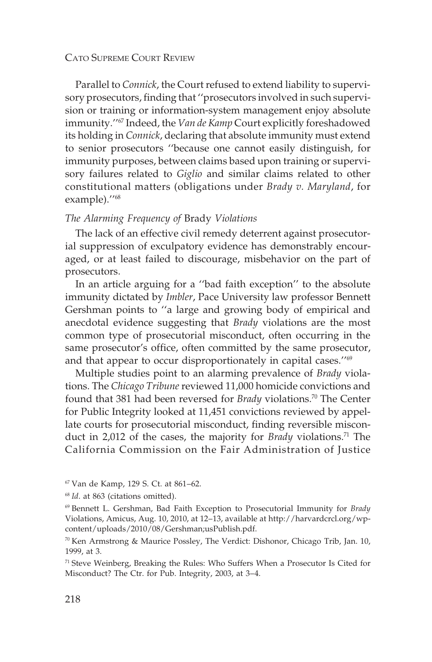Parallel to *Connick*, the Court refused to extend liability to supervisory prosecutors, finding that "prosecutors involved in such supervision or training or information-system management enjoy absolute CATO SUPREME COURT REVIEW<br>Parallel to *Connick*, the Court refused to extend liability to supervi-<br>sory prosecutors, finding that ''prosecutors involved in such supervi-<br>sion or training or information-system management en CATO SUPREME COURT REVIEW<br>Parallel to *Connick,* the Court refused to extend liability to supervi-<br>sory prosecutors, finding that "prosecutors involved in such supervi-<br>sion or training or information-system management enj CATO SUPREME COURT REVIEW<br>
Parallel to *Connick*, the Court refused to extend liability to supervi-<br>
sory prosecutors, finding that "prosecutors involved in such supervi-<br>
sion or training or information-system management Parallel to *Connick*, the Court refused to extend liability to supervisory prosecutors, finding that "prosecutors involved in such supervision or training or information-system management enjoy absolute immunity."<sup>67</sup> Ind Parallel to *Connick*, the Court refused to extend liability to supervisory prosecutors, finding that "prosecutors involved in such supervision or training or information-system management enjoy absolute immunity."<sup>67</sup> Ind sory prosecutors, finding that "prosecutors involved in such supervision or training or information-system management enjoy absolute immunity."<sup>67</sup> Indeed, the *Van de Kamp* Court explicitly foreshadowed its holding in *Co* sion or training or information-system management enjoy absolute<br>immunity.<sup>767</sup> Indeed, the *Van de Kamp* Court explicitly foreshadowed<br>its holding in *Connick*, declaring that absolute immunity must extend<br>to senior prose its holding in *Connick*, declaring that absolute immunity must extend<br>to senior prosecutors "because one cannot easily distinguish, for<br>immunity purposes, between claims based upon training or supervi-<br>sory failures relat to sentor prosecutors because one cannot easily<br>immunity purposes, between claims based upon tra<br>sory failures related to *Giglio* and similar claims<br>constitutional matters (obligations under *Brady*<br>example)."<sup>68</sup><br>The Ala The lack of an effective civil remedy and similar claims related to other nstitutional matters (obligations under *Brady v. Maryland*, for ample).<sup>768</sup><br>ee Alarming Frequency of Brady Violations<br>The lack of an effective civ

ial suppression of exculpatory evidence has demonstrably encouraged, or at least failed to discourage, misbehavior on the part of prosecutors.<br>In an article arguing for a "bad faith exception" to the absolute example)."<sup>68</sup><br>The Alarming Frequency of Brady Violations<br>The lack of an effective civil remedy deterrent against prosecutor-<br>ial suppression of exculpatory evidence has demonstrably encour-<br>aged, or at least failed to dis prosecutors. *In an article arguency of Brady Violations*<br>
The lack of an effective civil remedy deterrent against prosecutor-<br>
suppression of exculpatory evidence has demonstrably encour-<br>
Ind, or at least failed to discourage, misbeh

The lack of an effective civil remedy deterrent against prosecutor-<br>ial suppression of exculpatory evidence has demonstrably encour-<br>aged, or at least failed to discourage, misbehavior on the part of<br>prosecutors.<br>In an art ial suppression of exculpatory evidence has demonstrably encouraged, or at least failed to discourage, misbehavior on the part of prosecutors.<br>In an article arguing for a "bad faith exception" to the absolute immunity dict aged, or at least failed to discourage, misbehavior on the part of prosecutors.<br>In an article arguing for a "bad faith exception" to the absolute immunity dictated by *Imbler*, Pace University law professor Bennett Gershma prosecutors.<br>In an article arguing for a "bad faith exception" to the absolute<br>immunity dictated by *Imbler*, Pace University law professor Bennett<br>Gershman points to "a large and growing body of empirical and<br>anecdotal ev In an article arguing for a "bad faith exception" to the absolute<br>immunity dictated by *Imbler*, Pace University law professor Bennett<br>Gershman points to "a large and growing body of empirical and<br>anecdotal evidence sugge immunity dictated by *Imbler*, Pace University law professor Bennett<br>Gershman points to "a large and growing body of empirical and<br>anecdotal evidence suggesting that *Brady* violations are the most<br>common type of prosecuto anecdotal evidence suggesting that *Brady* violations are the most<br>common type of prosecutorial misconduct, often occurring in the<br>same prosecutor's office, often committed by the same prosecutor,<br>and that appear to occur

common type of prosecutorial misconduct, often occurring in the same prosecutor's office, often committed by the same prosecutor, and that appear to occur disproportionately in capital cases.<sup>7769</sup> Multiple studies point t same prosecutor's office, often committed by the same prosecutor, and that appear to occur disproportionately in capital cases."<sup>69</sup><br>Multiple studies point to an alarming prevalence of *Brady* violations. The *Chicago Tri* and that appear to occur disproportionately in capital cases."<sup>69</sup><br>Multiple studies point to an alarming prevalence of *Brady* viola-<br>tions. The *Chicago Tribune* reviewed 11,000 homicide convictions and<br>found that 381 ha Multiple studies point to an alarming prevalence of *Brady* violations. The *Chicago Tribune* reviewed 11,000 homicide convictions and found that 381 had been reversed for *Brady* violations.<sup>70</sup> The Center for Public Inte tions. The *Chicago Tribune* reviewed 11,000 homicide convictions and found that 381 had been reversed for *Brady* violations.<sup>70</sup> The Center for Public Integrity looked at 11,451 convictions reviewed by appellate courts f

duct in 2,012 of the cases, the majority for *Brady* violations.<sup>71</sup> The<br>California Commission on the Fair Administration of Justice<br><sup>67</sup> Van de Kamp, 129 S. Ct. at 861–62.<br><sup>68</sup> *Id.* at 863 (citations omitted).<br><sup>69</sup> Benne <sup>67</sup> Van de Kamp, 129 S. Ct. at 861–62.<br><sup>68</sup> Id. at 863 (citations omitted).<br><sup>69</sup> Bennett L. Gershman, Bad Faith Exception to Prosecutorial Immunity for *Brady*<br>Violations, Amicus, Aug. 10, 2010, at 12–13, available at htt content/uploads/2010/08/Gershman;usPublish.pdf. <sup>66</sup> Id. at 863 (citations omitted).<br><sup>66</sup> Id. at 863 (citations omitted).<br><sup>69</sup> Bennett L. Gershman, Bad Faith Exception to Prosecutorial Immunity for *Brady*<br>Violations, Amicus, Aug. 10, 2010, at 12–13, available at http: <sup>29</sup> *II*. at 863 (citations omitted).<br>
<sup>69</sup> Bennett L. Gershman, Bad Faith Exception to Prosecutorial Immunity for *Brady* Violations, Amicus, Aug. 10, 2010, at 12–13, available at http://harvardcrcl.org/wp-content/uploa

<sup>&</sup>lt;sup>70</sup> Ken Armstrong & Maurice Possley, The Verdict: Dishonor, Chicago Trib, Jan. 10, 1999, at 3.<br><sup>71</sup> Steve Weinberg, Breaking the Rules: Who Suffers When a Prosecutor Is Cited for Misconduct? The Ctr. for Pub. Integrity,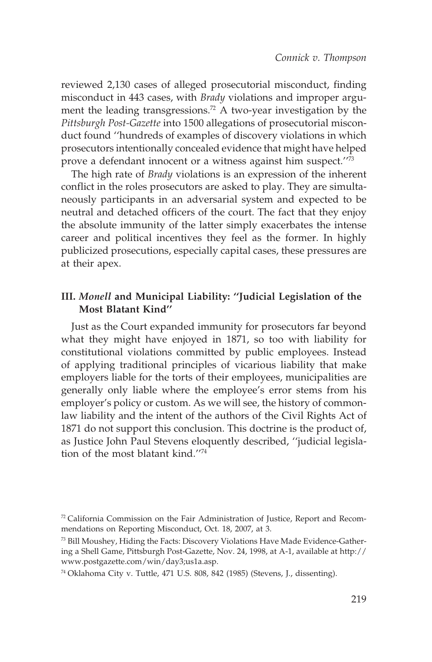*Connick v. Thompson* Connick v. Thompson<br>reviewed 2,130 cases of alleged prosecutorial misconduct, finding<br>misconduct in 443 cases, with *Brady* violations and improper argu-<br>ment the leading transgressions.<sup>72</sup> A two-year investigation by the **Connick v. Thompson**<br>reviewed 2,130 cases of alleged prosecutorial misconduct, finding<br>misconduct in 443 cases, with *Brady* violations and improper argu-<br>ment the leading transgressions.<sup>72</sup> A two-year investigation by t Connick v. Thompson<br>reviewed 2,130 cases of alleged prosecutorial misconduct, finding<br>misconduct in 443 cases, with *Brady* violations and improper argu-<br>ment the leading transgressions.<sup>72</sup> A two-year investigation by the *Connick v. Thompson*<br>reviewed 2,130 cases of alleged prosecutorial misconduct, finding<br>misconduct in 443 cases, with *Brady* violations and improper argu-<br>ment the leading transgressions.<sup>72</sup> A two-year investigation by t reviewed 2,130 cases of alleged prosecutorial misconduct, finding<br>misconduct in 443 cases, with *Brady* violations and improper argu-<br>ment the leading transgressions.<sup>72</sup> A two-year investigation by the<br>*Pittsburgh Post-Ga* reviewed 2,130 cases of alleged prosecutorial misconduct, finding<br>misconduct in 443 cases, with *Brady* violations and improper argu-<br>ment the leading transgressions.<sup>72</sup> A two-year investigation by the<br>*Pittsburgh Post-Ga* misconduct in 443 cases, with *Brady* violations and improper argument the leading transgressions.<sup>72</sup> A two-year investigation by the *Pittsburgh Post-Gazette* into 1500 allegations of prosecutorial misconduct found "hund

Pittsburgh Post-Gazette into 1500 allegations of prosecutorial misconduct found "hundreds of examples of discovery violations in which prosecutors intentionally concealed evidence that might have helped prove a defendant i duct found "hundreds of examples of discovery violations in which<br>prosecutors intentionally concealed evidence that might have helped<br>prove a defendant innocent or a witness against him suspect."<sup>73</sup><br>The high rate of *Brad* prosecutors intentionally concealed evidence that might have helped<br>prove a defendant innocent or a witness against him suspect."<sup>73</sup><br>The high rate of *Brady* violations is an expression of the inherent<br>conflict in the rol prove a defendant innocent or a witness against him suspect.<sup>773</sup><br>The high rate of *Brady* violations is an expression of the inherent<br>conflict in the roles prosecutors are asked to play. They are simulta-<br>neously particip The high rate of *Brady* violations is an expression of the inherent conflict in the roles prosecutors are asked to play. They are simultaneously participants in an adversarial system and expected to be neutral and detache conflict in the roles prosecutors are asked to play. They are simulta-<br>neously participants in an adversarial system and expected to be<br>neutral and detached officers of the court. The fact that they enjoy<br>the absolute immu neously participar<br>neutral and detact<br>the absolute immu<br>career and politic<br>publicized prosecu<br>at their apex. The absolute initially of the latter shippy exactibates the intense<br>career and political incentives they feel as the former. In highly<br>publicized prosecutions, especially capital cases, these pressures are<br>at their apex.<br> **Example 3**<br> **Monell and Municipal Li<br>
Monell and Municipal Li<br>
<b>Most Blatant Kind''**<br> **ust as the Court expanded**<br> **ust as the Court expanded** 

I. *Monell* and Municipal Liability: "Judicial Legislation of the<br>Most Blatant Kind"<br>Just as the Court expanded immunity for prosecutors far beyond<br>hat they might have enjoyed in 1871, so too with liability for<br>nstitutiona III. *Monell* and Municipal Liability: "Judicial Legislation of the<br>Most Blatant Kind"<br>Just as the Court expanded immunity for prosecutors far beyond<br>what they might have enjoyed in 1871, so too with liability for<br>constitu III. *Monell* and Municipal Liability: "Judicial Legislation of the<br>Most Blatant Kind"<br>Just as the Court expanded immunity for prosecutors far beyond<br>what they might have enjoyed in 1871, so too with liability for<br>constitu III. *Monell* and Municipal Liability: "Judicial Legislation of the<br>Most Blatant Kind"<br>Just as the Court expanded immunity for prosecutors far beyond<br>what they might have enjoyed in 1871, so too with liability for<br>constitu Most Blatant Kind<sup>27</sup><br>Just as the Court expanded immunity for prosecutors far beyond<br>what they might have enjoyed in 1871, so too with liability for<br>constitutional violations committed by public employees. Instead<br>of apply Just as the Court expanded immunity for prosecutors far beyond<br>what they might have enjoyed in 1871, so too with liability for<br>constitutional violations committed by public employees. Instead<br>of applying traditional princi what they might have enjoyed in 1871, so too with liability for constitutional violations committed by public employees. Instead of applying traditional principles of vicarious liability that make employers liable for the constitutional violations committed by public employees. Instead of applying traditional principles of vicarious liability that make employers liable for the torts of their employees, municipalities are generally only liab of applying traditional principles of vicarious liability that make<br>employers liable for the torts of their employees, municipalities are<br>generally only liable where the employee's error stems from his<br>employer's policy or employers liable for the torts of their employees, municipalities are<br>generally only liable where the employee's error stems from his<br>employer's policy or custom. As we will see, the history of common-<br>law liability and th employer's policy or custom. As we will see, the history of common-<br>law liability and the intent of the authors of the Civil Rights Act of<br>1871 do not support this conclusion. This doctrine is the product of,<br>as Justice J

<sup>&</sup>lt;sup>72</sup> California Commission on the Fair Administration of Justice, Report and Recommendations on Reporting Misconduct, Oct. 18, 2007, at 3.<br><sup>73</sup> Bill Moushey, Hiding the Facts: Discovery Violations Have Made Evidence-Gather

<sup>&</sup>lt;sup>72</sup> California Commission on the Fair Administration of Justice, Report and Recommendations on Reporting Misconduct, Oct. 18, 2007, at 3.<br><sup>73</sup> Bill Moushey, Hiding the Facts: Discovery Violations Have Made Evidence-Gather <sup>72</sup> California Commission on the Fair Administration of Justice, Report and Recommendations on Reporting Misconduct, Oct. 18, 2007, at 3.<br><sup>73</sup> Bill Moushey, Hiding the Facts: Discovery Violations Have Made Evidence-Gather www.postgazette.com/win/day3;us1a.asp. <sup>74</sup> California Commission on the Fair Administration or Justice, Report and Recc<br>mendations on Reporting Misconduct, Oct. 18, 2007, at 3.<br><sup>73</sup> Bill Moushey, Hiding the Facts: Discovery Violations Have Made Evidence-Gath<br>i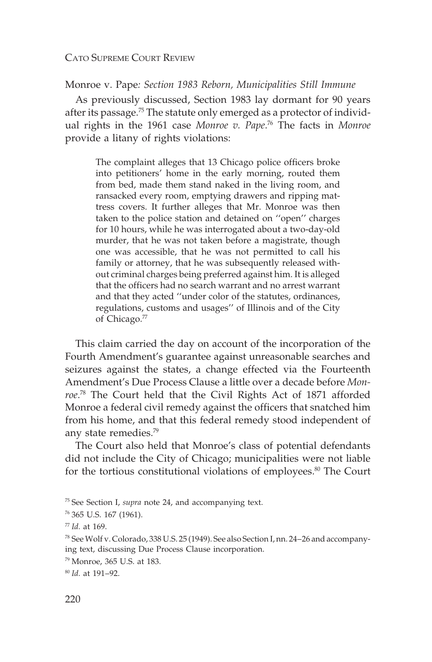CATO SUPREME COURT REVIEW<br>Monroe v. Pape: *Section 1983 Reborn, Municipalities Still Immune*<br>As previously discussed, Section 1983 lay dormant for 90 years<br>after its passage.<sup>75</sup> The statute only emerged as a protector of ATO SUPREME COURT REVIEW<br>
Sonroe v. Pape: *Section 1983 Reborn, Municipalities Still Immune*<br>
As previously discussed, Section 1983 lay dormant for 90 years<br>
ter its passage.<sup>75</sup> The statute only emerged as a protector of CATO SUPREME COURT REVIEW<br>Monroe v. Pape: *Section 1983 Reborn, Municipalities Still Immune*<br>As previously discussed, Section 1983 lay dormant for 90 years<br>after its passage.<sup>75</sup> The statute only emerged as a protector of CATO SUPREME COURT REVIEW<br>Monroe v. Pape: *Section 1983 Reborn, Municipalities Still Immune*<br>As previously discussed, Section 1983 lay dormant for 90 years<br>after its passage.<sup>75</sup> The statute only emerged as a protector of Monroe v. Pape: *Section 1983 Reborn, Mun* As previously discussed, Section 1983 after its passage.<sup>75</sup> The statute only emerge ual rights in the 1961 case *Monroe v. Pu* provide a litany of rights violations:<br>The complain As previously discussed, Section 1983 lay dormant for 90 years<br>after its passage.<sup>75</sup> The statute only emerged as a protector of individ-<br>ual rights in the 1961 case *Monroe v. Pape*.<sup>76</sup> The facts in *Monroe*<br>provide a li

is passage.<sup>75</sup> The statute only emerged as a protector of individ-<br>hts in the 1961 case *Monroe v. Pape*.<sup>76</sup> The facts in *Monroe*<br>e a litany of rights violations:<br>The complaint alleges that 13 Chicago police officers br fits in the 1961 case *Monroe v. Pape.*<sup>76</sup> The facts in *Monroe*<br>e a litany of rights violations:<br>The complaint alleges that 13 Chicago police officers broke<br>into petitioners' home in the early morning, routed them<br>from b ransacked every room, emptying drawers and ripping mattress covers. It further alleges that Mr. Monroe was then taken to the police station and detained on "open" charges The complaint alleges that 13 Chicago police officers broke<br>into petitioners' home in the early morning, routed them<br>from bed, made them stand naked in the living room, and<br>ransacked every room, emptying drawers and rippin The complaint alleges that 13 Chicago police officers broke<br>into petitioners' home in the early morning, routed them<br>from bed, made them stand naked in the living room, and<br>ransacked every room, emptying drawers and rippin into petitioners' home in the early morning, routed them<br>from bed, made them stand naked in the living room, and<br>ransacked every room, emptying drawers and ripping mat-<br>tress covers. It further alleges that Mr. Monroe was from bed, made them stand naked in the living room, and<br>ransacked every room, emptying drawers and ripping mat-<br>tress covers. It further alleges that Mr. Monroe was then<br>taken to the police station and detained on "open" c ransacked every room, emptying drawers and ripping mat-<br>tress covers. It further alleges that Mr. Monroe was then<br>taken to the police station and detained on "open" charges<br>for 10 hours, while he was interrogated about a t for 10 hours, while he was interrogated about a two-day-old murder, that he was not taken before a magistrate, though one was accessible, that he was not permitted to call his family or attorney, that he was subsequently r taken to the police station and detained on "open" charges<br>for 10 hours, while he was interrogated about a two-day-old<br>murder, that he was not taken before a magistrate, though<br>one was accessible, that he was not permitted for 10 hours, while he was interrogated about a two-day-old murder, that he was not taken before a magistrate, though one was accessible, that he was not permitted to call his family or attorney, that he was subsequently r out criminal charges being preferred against him. It is alleged that the officers had no search warrant and no arrest warrant and that they acted "under color of the statutes, ordinances, regulations, customs and usages" o one was accessible, that he was not permitted to call his family or attorney, that he was subsequently released without criminal charges being preferred against him. It is alleged that the officers had no search warrant an family or attorney, that he was subsequently released with-<br>out criminal charges being preferred against him. It is alleged<br>that the officers had no search warrant and no arrest warrant<br>and that they acted "under color of

Fourth Amendment's Due Process Clause a little over a decade before Manager and that they acted "under color of the statues, ordinances, regulations, customs and usages" of Illinois and of the City of Chicago.<sup>77</sup><br>This cla regulations, customs and usages" of Illinois and of the City<br>of Chicago.<sup>77</sup><br>This claim carried the day on account of the incorporation of the<br>Fourth Amendment's guarantee against unreasonable searches and<br>seizures against of Chicago.<sup>77</sup><br>This claim carried the day on account of the incorporation of the<br>Fourth Amendment's guarantee against unreasonable searches and<br>seizures against the states, a change effected via the Fourteenth<br>Amendment's This claim carried the day on account of the incorporation of the Fourth Amendment's guarantee against unreasonable searches and seizures against the states, a change effected via the Fourteenth Amendment's Due Process Cla This claim carried the day on account of the incorporation of the Fourth Amendment's guarantee against unreasonable searches and seizures against the states, a change effected via the Fourteenth Amendment's Due Process Cl Fourth Amendment's guarantee against unreasonable searches and<br>seizures against the states, a change effected via the Fourteenth<br>Amendment's Due Process Clause a little over a decade before Mon-<br>roe.<sup>78</sup> The Court held tha seizures against the states, a change effected via the Fourteenth<br>Amendment's Due Process Clause a little over a decade before *Mon-*<br>*roe.*<sup>78</sup> The Court held that the Civil Rights Act of 1871 afforded<br>Monroe a federal ci roe.<sup>78</sup> The Court held that the Civil Rights Act of 1871 afforded Monroe a federal civil remedy against the officers that snatched him from his home, and that this federal remedy stood independent of any state remedies.<sup>7</sup> Monroe a federal civil remedy against the officers that snatched him<br>from his home, and that this federal remedy stood independent of<br>any state remedies.<sup>79</sup><br>The Court also held that Monroe's class of potential defendants<br>

<sup>75</sup> See Section I, *supra* note 24, and accompanying text.<br><sup>76</sup> See Section I, *supra* note 24, and accompanying text.<br><sup>76</sup> 365 U.S. 167 (1961).<br><sup>77</sup> *Id.* at 169.<br><sup>78</sup> See Wolf v. Colorado, 338 U.S. 25 (1949). See also S

<sup>&</sup>lt;sup>75</sup> See Section I, *supra* note 24, and accompanying text.<br>
<sup>76</sup> 365 U.S. 167 (1961).<br>
<sup>77</sup> Id. at 169.<br>
<sup>78</sup> See Wolf v. Colorado, 338 U.S. 25 (1949). See also Section I, ni<br>
ing text, discussing Due Process Clause inco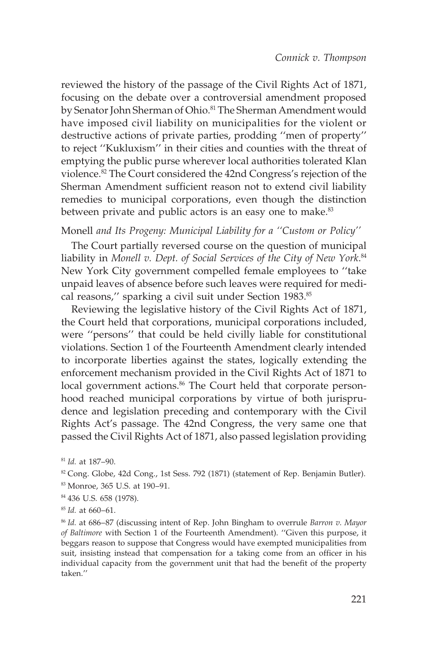*Connick v. Thompson* Connick v. Thompson<br>reviewed the history of the passage of the Civil Rights Act of 1871,<br>focusing on the debate over a controversial amendment proposed<br>by Senator John Sherman of Ohio.<sup>81</sup> The Sherman Amendment would *Connick v. Thompson*<br>reviewed the history of the passage of the Civil Rights Act of 1871,<br>focusing on the debate over a controversial amendment proposed<br>by Senator John Sherman of Ohio.<sup>81</sup> The Sherman Amendment would<br>hav *Connick v. Thompson*<br>reviewed the history of the passage of the Civil Rights Act of 1871,<br>focusing on the debate over a controversial amendment proposed<br>by Senator John Sherman of Ohio.<sup>81</sup> The Sherman Amendment would<br>hav Connick v. Thompson<br>reviewed the history of the passage of the Civil Rights Act of 1871,<br>focusing on the debate over a controversial amendment proposed<br>by Senator John Sherman of Ohio.<sup>81</sup> The Sherman Amendment would<br>have reviewed the history of the passage of the Civil Rights Act of 1871, focusing on the debate over a controversial amendment proposed by Senator John Sherman of Ohio.<sup>81</sup> The Sherman Amendment would have imposed civil liabil reviewed the history of the passage of the Civil Rights Act of 1871,<br>focusing on the debate over a controversial amendment proposed<br>by Senator John Sherman of Ohio.<sup>81</sup> The Sherman Amendment would<br>have imposed civil liabil focusing on the debate over a controversial amendment proposed<br>by Senator John Sherman of Ohio.<sup>81</sup> The Sherman Amendment would<br>have imposed civil liability on municipalities for the violent or<br>destructive actions of priva by Senator John Sherman of Ohio.<sup>81</sup> The Sherman Amendment would<br>have imposed civil liability on municipalities for the violent or<br>destructive actions of private parties, prodding "men of property"<br>to reject "Kukluxism" in have imposed civil liability on municipalities for the violent or<br>destructive actions of private parties, prodding "men of property"<br>to reject "Kukluxism" in their cities and counties with the threat of<br>emptying the public destructive actions of private parties, prodding "men of property"<br>to reject "Kukluxism" in their cities and counties with the threat of<br>emptying the public purse wherever local authorities tolerated Klan<br>violence.<sup>82</sup> The to reject "Kukluxism" in their cities and counties with the threat of<br>emptying the public purse wherever local authorities tolerated Klan<br>violence.<sup>82</sup> The Court considered the 42nd Congress's rejection of the<br>Sherman Amen Frame Amendment sufficient reason not to extend civil liability<br>medies to municipal corporations, even though the distinction<br>tween private and public actors is an easy one to make.<sup>83</sup><br>onell *and Its Progeny: Municipal Li* 

between private and public actors is an easy one to make.<sup>83</sup><br>Monell *and Its Progeny: Municipal Liability for a "Custom or Policy"*<br>The Court partially reversed course on the question of municipal<br>liability in *Monell v.* Monell *and Its Progeny: Municipal Liability for a "Custom or Policy"*<br>The Court partially reversed course on the question of municipal<br>liability in *Monell v. Dept. of Social Services of the City of New York*.<sup>84</sup><br>New Yor Monell *and Its Progeny: Municipal Liability for a "Custom or Policy"*<br>The Court partially reversed course on the question of municipal<br>liability in *Monell v. Dept. of Social Services of the City of New York*.<sup>84</sup><br>New Yor

liability in *Monell v. Dept. of Social Services of the City of New York*.<sup>84</sup><br>New York City government compelled female employees to "take<br>unpaid leaves of absence before such leaves were required for medi-<br>cal reasons," New York City government compelled female employees to "take unpaid leaves of absence before such leaves were required for medical reasons," sparking a civil suit under Section 1983.<sup>85</sup> Reviewing the legislative history o unpaid leaves of absence before such leaves were required for medical reasons," sparking a civil suit under Section 1983.<sup>85</sup><br>Reviewing the legislative history of the Civil Rights Act of 1871,<br>the Court held that corporati cal reasons," sparking a civil suit under Section 1983.<sup>85</sup><br>Reviewing the legislative history of the Civil Rights Act of 1871,<br>the Court held that corporations, municipal corporations included,<br>were "persons" that could be Reviewing the legislative history of the Civil Rights Act of 1871,<br>the Court held that corporations, municipal corporations included,<br>were "persons" that could be held civilly liable for constitutional<br>violations. Section the Court held that corporations, municipal corporations included, were "persons" that could be held civilly liable for constitutional violations. Section 1 of the Fourteenth Amendment clearly intended to incorporate liber were "persons" that could be held civilly liable for constitutional violations. Section 1 of the Fourteenth Amendment clearly intended to incorporate liberties against the states, logically extending the enforcement mechan violations. Section 1 of the Fourteenth Amendment clearly intended<br>to incorporate liberties against the states, logically extending the<br>enforcement mechanism provided in the Civil Rights Act of 1871 to<br>local government act to incorporate liberties against the states, logically extending the enforcement mechanism provided in the Civil Rights Act of 1871 to local government actions.<sup>86</sup> The Court held that corporate person-hood reached municip enforcement mechanism provided in the Civil Rights Act of 1871 to<br>local government actions.<sup>86</sup> The Court held that corporate person-<br>hood reached municipal corporations by virtue of both jurispru-<br>dence and legislation pr dence and legislation preceding and contemporary with the Civil<br>Rights Act's passage. The 42nd Congress, the very same one that<br>passed the Civil Rights Act of 1871, also passed legislation providing<br><sup>81</sup> Id. at 187–90.<br><sup>82</sup>

- 
- 
- 

<sup>83</sup> Monroe, 365 U.S. at 190–91.<br><sup>84</sup> 436 U.S. 658 (1978).<br><sup>85</sup> Id. at 660–61.<br><sup>86</sup> Id. at 686–87 (discussing intent of Rep. John Bingham to overrule *Barron v. Mayor*<br>*of Baltimore* with Section 1 of the Fourteenth Amendm <sup>84</sup> 436 U.S. 658 (1978).<br><sup>85</sup> Id. at 660–61.<br><sup>86</sup> Id. at 666–67 (discussing intent of Rep. John Bingham to overrule *Barron v. Mayor*<br>of *Baltimore* with Section 1 of the Fourteenth Amendment). "Given this purpose, it<br>be <sup>16</sup> 450 U.S. 658 (1978).<br><sup>85</sup> *Id.* at 660–61.<br><sup>86</sup> *Id.* at 686–87 (discussing intent of Rep. John Bingham to overrule *Barron v. Mayor*<br>*of Baltimore* with Section 1 of the Fourteenth Amendment). "Given this purpose, i <sup>186</sup> *Id.* at 660–61. We also simple intent of Rep. John Bingham to overrule *Barron v. Mayor* of *Baltimore* with Section 1 of the Fourteenth Amendment). "Given this purpose, it beggars reason to suppose that Congress w taken.''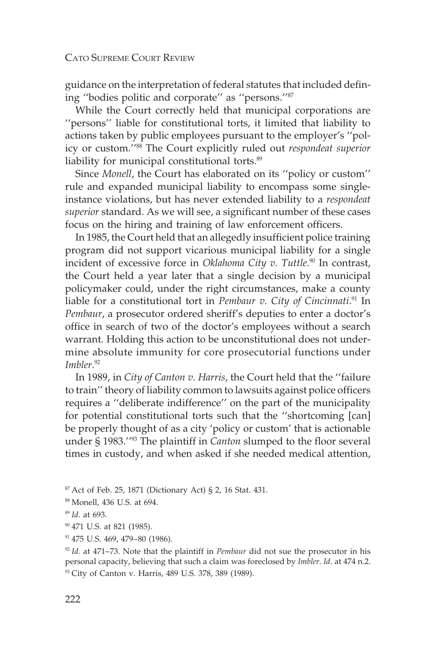guidance on the interpretation of federal statutes that included defining "bodies politic and corporate" as "persons."<sup>87</sup><br>While the Court correctly held that municipal corporations are "persons" liable for constitutional

CATO SUPREME COURT REVIEW<br>guidance on the interpretation of federal statutes that included defin-<br>ing "bodies politic and corporate" as "persons."<sup>87</sup><br>While the Court correctly held that municipal corporations are<br>"persons CATO SUPREME COURT REVIEW<br>
guidance on the interpretation of federal statutes that included defin-<br>
ing "bodies politic and corporate" as "persons."<sup>87</sup><br>
While the Court correctly held that municipal corporations are<br>
"per guidance on the interpretation of federal statutes that included defining "bodies politic and corporate" as "persons."<sup>87</sup><br>While the Court correctly held that municipal corporations are<br>"persons" liable for constitutional guidance on the interpretation of federal statutes that included defining "bodies politic and corporate" as "persons."<sup>87</sup><br>While the Court correctly held that municipal corporations are "persons" liable for constitutional ing "bodies politic and corporate" as "persons."<sup>87</sup><br>While the Court correctly held that municipal corporations are<br>"persons" liable for constitutional torts, it limited that liability to<br>actions taken by public employees

"persons" liable for constitutional torts, it limited that liability to<br>actions taken by public employees pursuant to the employer's "pol-<br>icy or custom."<sup>88</sup> The Court explicitly ruled out *respondeat superior*<br>liability actions taken by public employees pursuant to the employer's "pol-<br>icy or custom."<sup>88</sup> The Court explicitly ruled out *respondeat superior*<br>liability for municipal constitutional torts.<sup>89</sup><br>Since *Monell*, the Court has el icy or custom."<sup>88</sup> The Court explicitly ruled out *respondeat superior*<br>liability for municipal constitutional torts.<sup>89</sup><br>Since *Monell*, the Court has elaborated on its "policy or custom"<br>rule and expanded municipal liab liability for municipal constitutional torts.<sup>89</sup><br>
Since *Monell*, the Court has elaborated on its "policy or custom<br>
rule and expanded municipal liability to encompass some single<br>
instance violations, but has never exten Since *Monell*, the Court has elaborated on its "policy or custom"<br>le and expanded municipal liability to encompass some single-<br>stance violations, but has never extended liability to a *respondeat*<br>*perior* standard. As

rule and expanded municipal liability to encompass some single-<br>instance violations, but has never extended liability to a *respondeat*<br>superior standard. As we will see, a significant number of these cases<br>focus on the h instance violations, but has never extended liability to a *respondeat superior* standard. As we will see, a significant number of these cases focus on the hiring and training of law enforcement officers. In 1985, the Co superior standard. As we will see, a significant number of these cases focus on the hiring and training of law enforcement officers.<br>In 1985, the Court held that an allegedly insufficient police training program did not s focus on the hiring and training of law enforcement officers.<br>In 1985, the Court held that an allegedly insufficient police training<br>program did not support vicarious municipal liability for a single<br>incident of excessive In 1985, the Court held that an allegedly insufficient police training<br>program did not support vicarious municipal liability for a single<br>incident of excessive force in *Oklahoma City v. Tuttle*.<sup>90</sup> In contrast,<br>the Court program did not support vicarious municipal liability for a single<br>incident of excessive force in *Oklahoma City v. Tuttle.*<sup>90</sup> In contrast,<br>the Court held a year later that a single decision by a municipal<br>policymaker co incident of excessive force in *Oklahoma City v. Tuttle.*<sup>90</sup> In contrast, the Court held a year later that a single decision by a municipal policymaker could, under the right circumstances, make a county liable for a con the Court held a year later that a single decision by a municipal<br>policymaker could, under the right circumstances, make a county<br>liable for a constitutional tort in *Pembaur v. City of Cincimati.*<sup>91</sup> In<br>*Pembaur*, a pro liable for a constitutional tort in *Pembaur v. City of Cincinnati.*<sup>91</sup> In *Pembaur*, a prosecutor ordered sheriff's deputies to enter a doctor's office in search of two of the doctor's employees without a search warrant *Pembaur*, a prosecutor ordered sheriff's deputies to enter a doctor's office in search of two of the doctor's employees without a search warrant. Holding this action to be unconstitutional does not under-<br>mine absolute im

office in search of two of the doctor's employees without a search<br>warrant. Holding this action to be unconstitutional does not under-<br>mine absolute immunity for core prosecutorial functions under<br>*Imbler*.<sup>92</sup><br>In 1989, in warrant. Holding this action to be unconstitutional does not under-<br>mine absolute immunity for core prosecutorial functions under<br>*Imbler*.<sup>92</sup><br>In 1989, in *City of Canton v*. *Harris*, the Court held that the "failure<br>to mine absolute immunity for core prosecutorial functions under *Imbler*.<sup>92</sup><br>In 1989, in *City of Canton v. Harris*, the Court held that the "failure<br>to train" theory of liability common to lawsuits against police officers<br> *Imbler*.<sup>92</sup><br>In 1989, in *City of Canton v*. *Harris*, the Court held that the "failure<br>to train" theory of liability common to lawsuits against police officers<br>requires a "deliberate indifference" on the part of the muni In 1989, in *City of Canton v. Harris*, the Court held that the "failure to train" theory of liability common to lawsuits against police officers requires a "deliberate indifference" on the part of the municipality for pot requires a "deliberate indifference" on the part of the municipality for potential constitutional torts such that the "shortcoming [can] be properly thought of as a city 'policy or custom' that is actionable under § 1983.

under § 1983.''<sup>93</sup> The plaintiff in *Canton* slumped to the floor several<br>times in custody, and when asked if she needed medical attention,<br><sup>87</sup> Act of Feb. 25, 1871 (Dictionary Act) § 2, 16 Stat. 431.<br><sup>88</sup> Monell, 436 U <sup>99</sup> Id. at 693.<br><sup>90</sup> 471 U.S. at 821 (1985).<br><sup>91</sup> 475 U.S. 469, 479–80 (1986).<br><sup>92</sup> Id. at 471–73. Note that the plaintiff in *Pembaur* did not sue the prosecutor in his<br>personal capacity, believing that such a claim was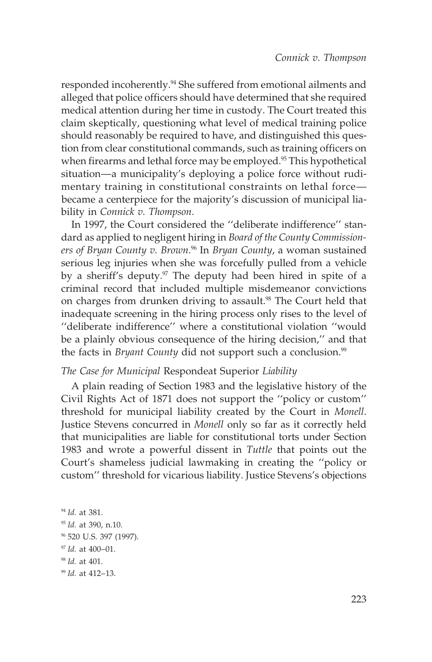*Connick v. Thompson* Connick v. Thompson<br>responded incoherently.<sup>94</sup> She suffered from emotional ailments and<br>alleged that police officers should have determined that she required<br>medical attention during her time in custody. The Court treated *Connick v. Thompson*<br>responded incoherently.<sup>94</sup> She suffered from emotional ailments and<br>alleged that police officers should have determined that she required<br>medical attention during her time in custody. The Court treat *Connick v. Thompson*<br>responded incoherently.<sup>94</sup> She suffered from emotional ailments and<br>alleged that police officers should have determined that she required<br>medical attention during her time in custody. The Court treat *Connick v. Thompson*<br>responded incoherently.<sup>94</sup> She suffered from emotional ailments and<br>alleged that police officers should have determined that she required<br>medical attention during her time in custody. The Court treat responded incoherently.<sup>94</sup> She suffered from emotional ailments and alleged that police officers should have determined that she required medical attention during her time in custody. The Court treated this claim skeptic responded incoherently.<sup>94</sup> She suffered from emotional ailments and<br>alleged that police officers should have determined that she required<br>medical attention during her time in custody. The Court treated this<br>claim skeptica alleged that police officers should have determined that she required medical attention during her time in custody. The Court treated this claim skeptically, questioning what level of medical training police should reasona medical attention during her time in custody. The Court treated this<br>claim skeptically, questioning what level of medical training police<br>should reasonably be required to have, and distinguished this ques-<br>tion from clear claim skeptically, questioning what level of medical training police<br>should reasonably be required to have, and distinguished this ques-<br>tion from clear constitutional commands, such as training officers on<br>when firearms a should reasonably be required to have, and distinguished this question from clear constitutional commands, such as training officers on when firearms and lethal force may be employed.<sup>95</sup> This hypothetical situation—a muni tion from clear constitutional commands, such as training officers on<br>when firearms and lethal force may be employed.<sup>95</sup> This hypothetical<br>situation—a municipality's deploying a police force without rudi-<br>mentary training

situation—a municipality's deploying a police force without rudi-<br>mentary training in constitutional constraints on lethal force—<br>became a centerpiece for the majority's discussion of municipal lia-<br>bility in *Connick v. T* mentary training in constitutional constraints on lethal force—<br>became a centerpiece for the majority's discussion of municipal lia-<br>bility in *Connick v. Thompson*.<br>In 1997, the Court considered the "deliberate indifferen became a centerpiece for the majority's discussion of municipal liability in *Connick v. Thompson.*<br>In 1997, the Court considered the "deliberate indifference" standard as applied to negligent hiring in *Board of the Count* bility in *Connick v. Thompson.*<br>In 1997, the Court considered the "deliberate indifference" stan-<br>dard as applied to negligent hiring in *Board of the County Commission-*<br>*ers of Bryan County v. Brown.*<sup>96</sup> In *Bryan Coun* In 1997, the Court considered the "deliberate indifference" stan-<br>dard as applied to negligent hiring in *Board of the County Commission-*<br>*ers of Bryan County v. Brown.*<sup>96</sup> In *Bryan County*, a woman sustained<br>serious le dard as applied to negligent hiring in *Board of the County Commission-*<br>ers of *Bryan County v. Brown.*<sup>96</sup> In *Bryan County,* a woman sustained<br>serious leg injuries when she was forcefully pulled from a vehicle<br>by a sher serious leg injuries when she was forcefully pulled from a vehicle<br>by a sheriff's deputy.<sup>97</sup> The deputy had been hired in spite of a<br>criminal record that included multiple misdemeanor convictions<br>on charges from drunken serious leg injuries when she was forcefully pulled from a vehicle<br>by a sheriff's deputy.<sup>97</sup> The deputy had been hired in spite of a<br>criminal record that included multiple misdemeanor convictions<br>on charges from drunken d by a sheriff's deputy.<sup>97</sup> The deputy had been hired in spite of a criminal record that included multiple misdemeanor convictions on charges from drunken driving to assault.<sup>98</sup> The Court held that inadequate screening in criminal record that included multiple misdemeanor convictions<br>on charges from drunken driving to assault.<sup>98</sup> The Court held that<br>inadequate screening in the hiring process only rises to the level of<br>"deliberate indiffere Heliberate indifference" where a constitutional violation "would a plainly obvious consequence of the hiring decision," and that e facts in *Bryant County* did not support such a conclusion."<sup>9</sup><br>*ie Case for Municipal Resp* 

The Case for Municipal Respondeat Superior Liability<br>A plain reading of Section 1983 and the legislative history of the<br>Civil Rights Act of 1871 does not support the "policy or custom"<br>threshold for municipal liability cre the facts in *Bryant County* did not support such a conclusion.<sup>99</sup><br>The Case for Municipal Respondeat Superior Liability<br>A plain reading of Section 1983 and the legislative history of the<br>Civil Rights Act of 1871 does not The Case for Municipal Respondeat Superior Liability<br>A plain reading of Section 1983 and the legislative history of the<br>Civil Rights Act of 1871 does not support the "policy or custom"<br>threshold for municipal liability cre A plain reading of Section 1983 and the legislative history of the Civil Rights Act of 1871 does not support the "policy or custom" threshold for municipal liability created by the Court in *Monell*. Justice Stevens concur Civil Rights Act of 1871 does not support the "policy or custom" threshold for municipal liability created by the Court in *Monell*. Justice Stevens concurred in *Monell* only so far as it correctly held that municipalitie threshold for municipal liability created by the Court in *Monell*. Justice Stevens concurred in *Monell* only so far as it correctly held that municipalities are liable for constitutional torts under Section 1983 and wrot

94 *Id.* at 381. 95 *Id.* at 390, n.10. 96 520 U.S. 397 (1997). 97 *Id.* at 400–01. 98 *Id.* at 401. 99 *Id.* at 412–13.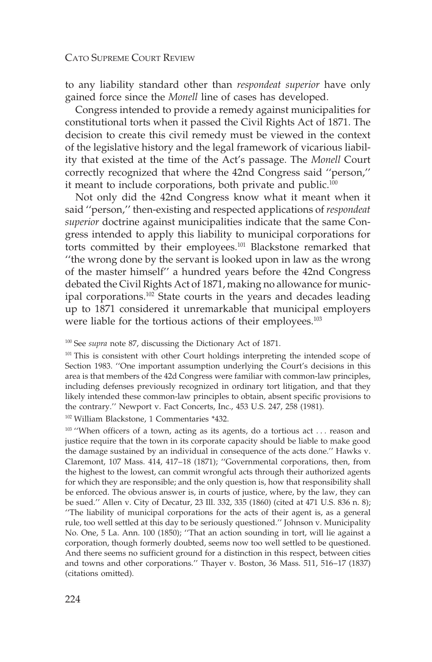to any liability standard other than *respondeat superior* have only

CATO SUPREME COURT REVIEW<br>to any liability standard other than *respondeat superior* have<br>gained force since the *Monell* line of cases has developed.<br>Congress intended to provide a remedy against municipalitie<br>constitutio ATO SUPREME COURT REVIEW<br>
any liability standard other than *respondeat superior* have only<br>
ined force since the *Monell* line of cases has developed.<br>
Congress intended to provide a remedy against municipalities for<br>
nst CATO SUPREME COURT REVIEW<br>to any liability standard other than *respondeat superior* have only<br>gained force since the *Monell* line of cases has developed.<br>Congress intended to provide a remedy against municipalities for<br>c to any liability standard other than *respondeat superior* have only gained force since the *Monell* line of cases has developed. Congress intended to provide a remedy against municipalities for constitutional torts when i to any liability standard other than *respondeat superior* have only gained force since the *Monell* line of cases has developed. Congress intended to provide a remedy against municipalities for constitutional torts when i gained force since the *Monell* line of cases has developed.<br>Congress intended to provide a remedy against municipalities for constitutional torts when it passed the Civil Rights Act of 1871. The decision to create this ci Congress intended to provide a remedy against municipalities for constitutional torts when it passed the Civil Rights Act of 1871. The decision to create this civil remedy must be viewed in the context of the legislative constitutional torts when it passed the Civil Rights Act of 1871. The decision to create this civil remedy must be viewed in the context of the legislative history and the legal framework of vicarious liability that existe

of the legislative history and the legal framework of vicarious liabil-<br>ity that existed at the time of the Act's passage. The *Monell* Court<br>correctly recognized that where the 42nd Congress said "person,"<br>it meant to inc ity that existed at the time of the Act's passage. The *Monell* Court<br>correctly recognized that where the 42nd Congress said "person,"<br>it meant to include corporations, both private and public.<sup>100</sup><br>Not only did the 42nd C correctly recognized that where the 42nd Congress said "person,"<br>it meant to include corporations, both private and public.<sup>100</sup><br>Not only did the 42nd Congress know what it meant when it<br>said "person," then-existing and re it meant to include corporations, both private and public.<sup>100</sup><br>Not only did the 42nd Congress know what it meant when it<br>said "person," then-existing and respected applications of *respondeat*<br>superior doctrine against m Not only did the 42nd Congress know what it meant when it said "person," then-existing and respected applications of *respondeat superior* doctrine against municipalities indicate that the same Congress intended to apply said "person," then-existing and respected applications of *respondeat* superior doctrine against municipalities indicate that the same Congress intended to apply this liability to municipal corporations for torts committ *superior* doctrine against municipalities indicate that the same Congress intended to apply this liability to municipal corporations for torts committed by their employees.<sup>101</sup> Blackstone remarked that "the wrong done b gress intended to apply this liability to municipal corporations for torts committed by their employees.<sup>101</sup> Blackstone remarked that "the wrong done by the servant is looked upon in law as the wrong of the master himself torts committed by their employees.<sup>101</sup> Blackstone remarked that "the wrong done by the servant is looked upon in law as the wrong of the master himself" a hundred years before the 42nd Congress debated the Civil Rights "the wrong done by the servant is looked upon in law as the w<br>of the master himself" a hundred years before the 42nd Cong<br>debated the Civil Rights Act of 1871, making no allowance for m<br>ipal corporations.<sup>102</sup> State court ipal corporations.<sup>102</sup> State courts in the years and decades leading<br>up to 1871 considered it unremarkable that municipal employers<br>were liable for the tortious actions of their employees.<sup>103</sup><br><sup>100</sup> See *supra* note 87,

including defenses previously recognized in ordinary tort intgation, and that they<br>likely intended these common-law principles to obtain, absent specific provisions to<br>the contrary." Newport v. Fact Concerts, Inc., 453 U.S Intery Interided these common-law principles to obtain, absent specific provisions to the contrary." Newport v. Fact Concerts, Inc., 453 U.S. 247, 258 (1981).<br><sup>102</sup> William Blackstone, 1 Commentaries \*432.<br><sup>103</sup> "When offi Ine contrary. Newport V. ract Concerts, Inc., 455 U.S. 247, 256 (1981).<br>
<sup>102</sup> William Blackstone, 1 Commentaries \*432.<br>
<sup>103</sup> "When officers of a town, acting as its agents, do a tortious act ... reason and<br>
justice requi <sup>102</sup> William Blackstone, 1 Commentaries  $*432$ .<br><sup>103</sup> "When officers of a town, acting as its agents, do a tortious act ... reason and<br>justice require that the town in its corporate capacity should be liable to make good justice require that the town in its corporate capacity should be liable to make good the damage sustained by an individual in consequence of the acts done." Hawks v. Claremont, 107 Mass. 414, 417–18 (1871); "Governmental justice require that the town in its corporate capacity should be liable to make good<br>the damage sustained by an individual in consequence of the acts done." Hawks v.<br>Claremont, 107 Mass. 414, 417–18 (1871); "Governmental Claremont, 107 Mass. 414, 417–18 (1871); "Governmental corporations, then, from<br>the highest to the lowest, can commit wrongful acts through their authorized agents<br>for which they are responsible; and the only question is, Claremont, 107 Mass. 414, 417–18 (1871); "Governmental corporations, then, from<br>the highest to the lowest, can commit wrongful acts through their authorized agents<br>for which they are responsible; and the only question is, the highest to the lowest, can commit wrongful acts through their authorized agents<br>for which they are responsible; and the only question is, how that responsibility shall<br>be enforced. The obvious answer is, in courts of j for which they are responsible; and the only question is, how that responsibility shall be enforced. The obvious answer is, in courts of justice, where, by the law, they can be sued." Allen v. City of Decatur, 23 Ill. 332, be enforced. The obvious answer is, in courts of justice, where, by the law, they can<br>be sued." Allen v. City of Decatur, 23 Ill. 332, 335 (1860) (cited at 471 U.S. 836 n. 8);<br>"The liability of municipal corporations for t be sued." Allen v. City of Decatur, 23 Ill. 332, 335 (1860) (cited at 471 U.S. 836 n. 8);<br>"The liability of municipal corporations for the acts of their agent is, as a general<br>rule, too well settled at this day to be serio "The liability of municipal corporations for the acts of their agent is, as a general rule, too well settled at this day to be seriously questioned." Johnson v. Municipality No. One, 5 La. Ann. 100 (1850); "That an action rule, too well settled at t<br>No. One, 5 La. Ann. 10<br>corporation, though form<br>And there seems no suff<br>and towns and other co<br>(citations omitted).

<sup>&</sup>lt;sup>100</sup> See *supra* note 87, discussing the Dictionary Act of 1871.<br><sup>100</sup> See *supra* note 87, discussing the Dictionary Act of 1871.<br><sup>101</sup> This is consistent with other Court holdings interpreting the intended scope of<br>Sect <sup>100</sup> See *supra* note 87, discussing the Dictionary Act of 1871.<br><sup>101</sup> This is consistent with other Court holdings interpreting the intended scope of Section 1983. "One important assumption underlying the Court's decisio <sup>100</sup> See *supra* note 87, discussing the Dictionary Act of 1871.<br><sup>101</sup> This is consistent with other Court holdings interpreting the intended scope of<br>Section 1983. "One important assumption underlying the Court's decisio <sup>100</sup> See *supra* note 87, discussing the Dictionary Act of 1871.<br><sup>101</sup> This is consistent with other Court holdings interpreting the intended scope of Section 1983. "One important assumption underlying the Court's decisio <sup>101</sup> This is consistent with other Court holdings interpreting the intended scope of Section 1983. "One important assumption underlying the Court's decisions in this area is that members of the 42d Congress were familiar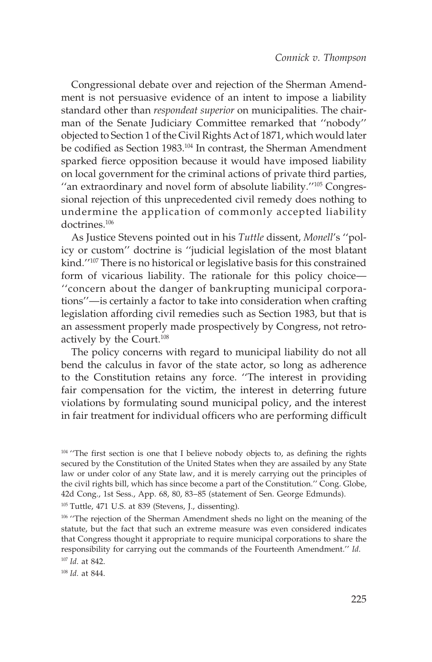*Connick v. Thompson* Connick v. Thompson<br>Congressional debate over and rejection of the Sherman Amend-<br>ent is not persuasive evidence of an intent to impose a liability<br>andard other than *respondeat superior* on municipalities. The chair-Connick v. Thompson<br>Congressional debate over and rejection of the Sherman Amend-<br>ment is not persuasive evidence of an intent to impose a liability<br>standard other than *respondeat superior* on municipalities. The chair-<br>m Connick v. Thompson<br>Congressional debate over and rejection of the Sherman Amend-<br>ment is not persuasive evidence of an intent to impose a liability<br>standard other than *respondeat superior* on municipalities. The chair-<br>m *Connick v. Thompson*<br>Congressional debate over and rejection of the Sherman Amend-<br>ment is not persuasive evidence of an intent to impose a liability<br>standard other than *respondeat superior* on municipalities. The chair-Congressional debate over and rejection of the Sherman Amendment is not persuasive evidence of an intent to impose a liability standard other than *respondeat superior* on municipalities. The chairman of the Senate Judicia Congressional debate over and rejection of the Sherman Amend-<br>ment is not persuasive evidence of an intent to impose a liability<br>standard other than *respondeat superior* on municipalities. The chair-<br>man of the Senate Jud ment is not persuasive evidence of an intent to impose a liability<br>standard other than *respondeat superior* on municipalities. The chair-<br>man of the Senate Judiciary Committee remarked that "nobody"<br>objected to Section 1 standard other than *respondeat superior* on municipalities. The chair-<br>man of the Senate Judiciary Committee remarked that "nobody"<br>objected to Section 1 of the Civil Rights Act of 1871, which would later<br>be codified as S man of the Senate Judiciary Committee remarked that "nobody"<br>objected to Section 1 of the Civil Rights Act of 1871, which would later<br>be codified as Section 1983.<sup>104</sup> In contrast, the Sherman Amendment<br>sparked fierce oppo objected to Section 1 of the Civil Rights Act of 1871, which would later<br>be codified as Section 1983.<sup>104</sup> In contrast, the Sherman Amendment<br>sparked fierce opposition because it would have imposed liability<br>on local gover be codified as Section 1983.<sup>104</sup> In contrast, the Sherman Amendment sparked fierce opposition because it would have imposed liability on local government for the criminal actions of private third parties, "an extraordinar on local government for the criminal actions of private third parties,<br>
"an extraordinary and novel form of absolute liability.<sup>"105</sup> Congressional rejection of this unprecedented civil remedy does nothing to<br>
undermine th

"an extraordinary and novel form of absolute liability."<sup>105</sup> Congressional rejection of this unprecedented civil remedy does nothing to undermine the application of commonly accepted liability doctrines.<sup>106</sup> As Justice sional rejection of this unprecedented civil remedy does nothing to<br>undermine the application of commonly accepted liability<br>doctrines.<sup>106</sup><br>As Justice Stevens pointed out in his *Tuttle* dissent, *Monell's* "pol-<br>icy or c undermine the application of commonly accepted liability<br>doctrines.<sup>106</sup><br>As Justice Stevens pointed out in his *Tuttle* dissent, *Monell's* "pol-<br>icy or custom" doctrine is "judicial legislation of the most blatant<br>kind."<sup></sup> doctrines.<sup>106</sup><br>As Justice Stevens pointed out in his *Tuttle* dissent, *Monell's* "pol-<br>icy or custom" doctrine is "judicial legislation of the most blatant<br>kind."<sup>107</sup> There is no historical or legislative basis for this As Justice Stevens pointed out in his *Tuttle* dissent, *Monell's* "pol-<br>icy or custom" doctrine is "judicial legislation of the most blatant<br>kind."<sup>107</sup> There is no historical or legislative basis for this constrained<br>for icy or custom'' doctrine is "judicial legislation of the most blatant kind."<sup>107</sup> There is no historical or legislative basis for this constrained form of vicarious liability. The rationale for this policy choice—"concern kind."<sup>107</sup> There is no historical or legislative basis for this constrained form of vicarious liability. The rationale for this policy choice—<br>"concern about the danger of bankrupting municipal corporations"—is certainly form of vicarious liability. The rationale for this policy choice—<br>"concern about the danger of bankrupting municipal corpora-<br>tions"—is certainly a factor to take into consideration when crafting<br>legislation affording ci

tions"—is certainly a factor to take into consideration when crafting<br>legislation affording civil remedies such as Section 1983, but that is<br>an assessment properly made prospectively by Congress, not retro-<br>actively by the legislation affording civil remedies such as Section 1983, but that is<br>an assessment properly made prospectively by Congress, not retro-<br>actively by the Court.<sup>108</sup><br>The policy concerns with regard to municipal liability do an assessment properly made prospectively by Congress, not retro-<br>actively by the Court.<sup>108</sup><br>The policy concerns with regard to municipal liability do not all<br>bend the calculus in favor of the state actor, so long as adhe actively by the Court.<sup>108</sup><br>The policy concerns with regard to municipal liability do not all<br>bend the calculus in favor of the state actor, so long as adherence<br>to the Constitution retains any force. "The interest in prov The policy concerns with regard to municipal liability do not all<br>bend the calculus in favor of the state actor, so long as adherence<br>to the Constitution retains any force. "The interest in providing<br>fair compensation for

violations by formulating sound municipal policy, and the interest<br>in fair treatment for individual officers who are performing difficult<br><sup>104</sup> "The first section is one that I believe nobody objects to, as defining the r in fair treatment for individual officers who are performing difficult<br><sup>104</sup> "The first section is one that I believe nobody objects to, as defining the rights<br>secured by the Constitution of the United States when they are <sup>104</sup> "The first section is one that I believe nobody objects to, as defining the rights secured by the Constitution of the United States when they are assailed by any State law or under color of any State law, and it is m <sup>104</sup> "The first section is one that I believe nobody objects to, as defining the rights secured by the Constitution of the United States when they are assailed by any State law or under color of any State law, and it is m <sup>104</sup> "The first section is one that I believe nobody objects to, as defining the rights secured by the Constitution of the United States when they are assailed by any State law or under color of any State law, and it is m

statute of the civil rights bill, which has since become a part of the Constitution." Cong. Globe, 42d Cong., 1st Sess., App. 68, 80, 83–85 (statement of Sen. George Edmunds).<br><sup>105</sup> Tuttle, 471 U.S. at 839 (Stevens, J., di 42d Cong., 1st Sess., App. 68, 80, 83–85 (statement of Sen. George Edmunds).<br><sup>105</sup> Tuttle, 471 U.S. at 839 (Stevens, J., dissenting).<br><sup>106</sup> "The rejection of the Sherman Amendment sheds no light on the meaning of the<br>stat responsibility for carrying out the commands of the Fourteenth Amendment.'' *Id.* 108 *I*d. at 842. If *If I*d. at 844. 108 *Id.* at 844.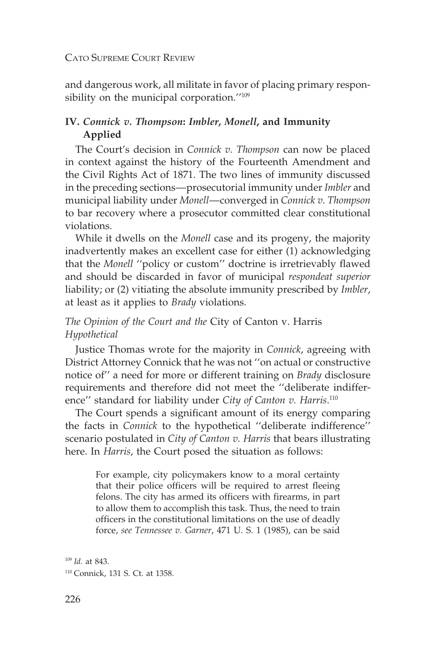CATO SUPREME COURT REVIEW<br>and dangerous work, all militate in favor of placing primary respon-<br>sibility on the municipal corporation.<sup>7109</sup> Sibility on the municipal corporation.''<sup>109</sup><br>IV. *Connick v. Thompson*: *Imbler*, *Monell*, and *Immunity*<br>**IV.** *Connick v. Thompson***:** *Imbler***,** *Monell***, and** *Immunity***<br><b>Applied**<br>The Court's decision in *Connick v. Thomp* 

# **Applied**

d dangerous work, all militate in favor of placing primary respon-<br>positive on the municipal corporation.<sup>7109</sup><br>The Court's decision in *Connick v. Thompson* can now be placed<br>context against the history of the Fourteenth in context against multiple and Immunity<br> **IV.** *Connick v. Thompson: Imbler, Monell,* and Immunity<br>
Applied<br>
The Court's decision in *Connick v. Thompson* can now be placed<br>
in context against the history of the Fourteent IV. *Connick v. Thompson: Imbler, Monell,* and Immunity<br>Applied<br>The Court's decision in *Connick v. Thompson* can now be placed<br>in context against the history of the Fourteenth Amendment and<br>the Civil Rights Act of 1871. T IV. Connick v. Thompson: Imbler, Monell, and Immunity<br>
Applied<br>
The Court's decision in Connick v. Thompson can now be placed<br>
in context against the history of the Fourteenth Amendment and<br>
the Civil Rights Act of 1871. T Applied<br>The Court's decision in *Connick v. Thompson* can now be placed<br>in context against the history of the Fourteenth Amendment and<br>the Civil Rights Act of 1871. The two lines of immunity discussed<br>in the preceding sect The Court's decision in *Connick v. Thompson* can now be placed<br>in context against the history of the Fourteenth Amendment and<br>the Civil Rights Act of 1871. The two lines of immunity discussed<br>in the preceding sections—pro violations. e Civil Rights Act of 1871. The two lines of immunity discussed<br>the preceding sections—prosecutorial immunity under *Imbler* and<br>unicipal liability under *Monell*—converged in *Connick v. Thompson*<br>bar recovery where a pro

in the preceding sections—prosecutorial immunity under *Imbler* and<br>municipal liability under *Monell*—converged in *Connick v. Thompson*<br>to bar recovery where a prosecutor committed clear constitutional<br>violations.<br>While municipal liability under *Monell*—converged in *Connick v. Thompson*<br>to bar recovery where a prosecutor committed clear constitutional<br>violations.<br>While it dwells on the *Monell* case and its progeny, the majority<br>inadver to bar recovery where a prosecutor committed clear constitutional violations.<br>While it dwells on the *Monell* case and its progeny, the majority inadvertently makes an excellent case for either (1) acknowledging that the violations.<br>
While it dwells on the *Monell* case and its progeny, the majority<br>
inadvertently makes an excellent case for either (1) acknowledging<br>
that the *Monell* "policy or custom" doctrine is irretrievably flawed<br>
an *The Monell "policy or custom"* doctrine is irretrievably flaws and should be discarded in favor of municipal *respondeat superifiability*; or (2) vitiating the absolute immunity prescribed by *Imblat* least as it applies

# *Hypothetical*

In the section of the discussion in the majority prescribed by *Imbler*,<br>least as it applies to *Brady* violations.<br>le Opinion of the Court and the City of Canton v. Harris<br>prothetical<br>Justice Thomas wrote for the majority The Opinion of the Court and the City of Canton v. Harris<br>
Hypothetical<br>
Justice Thomas wrote for the majority in *Connick*, agreeing with<br>
District Attorney Connick that he was not "on actual or constructive<br>
notice of" a The Opinion of the Court and the City of Canton v. Harris<br>Hypothetical<br>Justice Thomas wrote for the majority in *Connick*, agreeing with<br>District Attorney Connick that he was not "on actual or constructive<br>notice of" a nee The Opinion of the Court and the City of Canton v. Harris<br>Hypothetical<br>Justice Thomas wrote for the majority in *Connick*, agreeing with<br>District Attorney Connick that he was not "on actual or constructive<br>notice of" a nee Hypothetical<br>Justice Thomas wrote for the majority in *Connick*, agreeing with<br>District Attorney Connick that he was not "on actual or constructive<br>notice of" a need for more or different training on *Brady* disclosure<br>req District Attorney Connick that he was not "on actual or constructive<br>notice of" a need for more or different training on *Brady* disclosure<br>requirements and therefore did not meet the "deliberate indiffer-<br>ence" standard f

notice of" a need for more or different training on *Brady* disclosure requirements and therefore did not meet the "deliberate indifference" standard for liability under *City of Canton v. Harris*.<sup>110</sup> The Court spends a requirements and therefore did not meet the "deliberate incence" standard for liability under *City of Canton v. Harris*.<sup>110</sup><br>The Court spends a significant amount of its energy comp<br>the facts in *Connick* to the hypothet Court spends a significant amount of its energy comparing<br>that in *Connick* to the hypothetical "deliberate indifference"<br>io postulated in *City of Canton v. Harris* that bears illustrating<br>n *Harris*, the Court posed the

scenario postulated in *City of Canton v. Harris* that bears illustrating<br>here. In *Harris*, the Court posed the situation as follows:<br>For example, city policymakers know to a moral certainty<br>that their police officers wil io postulated in *City of Canton v*. Harris that bears illustrating<br>n *Harris*, the Court posed the situation as follows:<br>For example, city policymakers know to a moral certainty<br>that their police officers will be required In *Harris*, the Court posed the situation as follows:<br>For example, city policymakers know to a moral certainty<br>that their police officers will be required to arrest fleeing<br>felons. The city has armed its officers with fir For example, city policymakers know to a moral certainty that their police officers will be required to arrest fleeing felons. The city has armed its officers with firearms, in part to allow them to accomplish this task. T For example, city policymakers know to a moral certainty that their police officers will be required to arrest fleeing felons. The city has armed its officers with firearms, in part to allow them to accomplish this task. T to allow them to accomp<br>officers in the constituti<br>force*, see Tennessee v. G.*<br><sup>109</sup> *Id.* at 843.<br><sup>110</sup> Connick, 131 S. Ct. at 1358.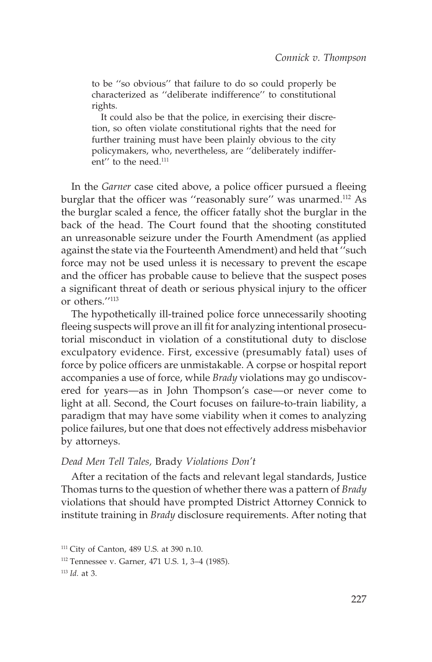Connick v. Thompson<br>to be ''so obvious'' that failure to do so could properly be<br>characterized as ''deliberate indifference'' to constitutional<br>rights. Connick v. Thompso<br>to be "so obvious" that failure to do so could properly be<br>characterized as "deliberate indifference" to constitutional<br>rights.<br>It could also be that the police, in exercising their discrerights.

Connick v. Th<br>
be "so obvious" that failure to do so could properly be<br>
aracterized as "deliberate indifference" to constitutional<br>
ghts.<br>
It could also be that the police, in exercising their discre-<br>
on, so often violate to be "so obvious" that failure to do so could properly be characterized as "deliberate indifference" to constitutional rights.<br>It could also be that the police, in exercising their discretion, so often violate constitutio to be "so obvious" that failure to do so could properly be characterized as "deliberate indifference" to constitutional rights. It could also be that the police, in exercising their discretion, so often violate constitutio characterized as "deliberate indifference" to constitutional<br>rights.<br>It could also be that the police, in exercising their discre-<br>tion, so often violate constitutional rights that the need for<br>further training must have b It could also be that the police, in exercising their discretion, so often violate constitutional rights that the need for further training must have been plainly obvious to the city policymakers, who, nevertheless, are " It collid also be that the police, it exercising then uscle-<br>tion, so often violate constitutional rights that the need for<br>further training must have been plainly obvious to the city<br>policymakers, who, nevertheless, are "

burglar that the officer was "reasonably obvious to the city<br>policymakers, who, nevertheless, are "deliberately indiffer-<br>ent" to the need.<sup>111</sup><br>In the *Garner* case cited above, a police officer pursued a fleeing<br>burglar policymakers, who, nevertheless, are "deliberately indifferent" to the need.<sup>111</sup><br>ent" to the need.<sup>111</sup><br>In the *Garner* case cited above, a police officer pursued a fleeing<br>burglar that the officer was "reasonably sure" w ent" to the need.<sup>111</sup><br>In the *Garner* case cited above, a police officer pursued a fleeing<br>burglar that the officer was "reasonably sure" was unarmed.<sup>112</sup> As<br>the burglar scaled a fence, the officer fatally shot the burgl In the *Garner* case cited above, a police officer pursued a fleeing burglar that the officer was "reasonably sure" was unarmed.<sup>112</sup> As the burglar scaled a fence, the officer fatally shot the burglar in the back of the h In the *Garner* case cited above, a police officer pursued a fleeing<br>burglar that the officer was "reasonably sure" was unarmed.<sup>112</sup> As<br>the burglar scaled a fence, the officer fatally shot the burglar in the<br>back of the h burglar that the officer was "reasonably sure" was unarmed.<sup>112</sup> As<br>the burglar scaled a fence, the officer fatally shot the burglar in the<br>back of the head. The Court found that the shooting constituted<br>an unreasonable se the burglar scaled a fence, the officer fatally shot the burglar in the back of the head. The Court found that the shooting constituted an unreasonable seizure under the Fourth Amendment (as applied against the state via t back of the head. The Court found that the shooting constituted<br>an unreasonable seizure under the Fourth Amendment (as applied<br>against the state via the Fourteenth Amendment) and held that "such<br>force may not be used unles an unreasonable seizure under the Fourth Amendment (as applied<br>against the state via the Fourteenth Amendment) and held that "such<br>force may not be used unless it is necessary to prevent the escape<br>and the officer has prob

force may not be used unless it is necessary to prevent the escape<br>and the officer has probable cause to believe that the suspect poses<br>a significant threat of death or serious physical injury to the officer<br>or others.<sup>711</sup> and the officer has probable cause to believe that the suspect poses<br>a significant threat of death or serious physical injury to the officer<br>or others.<sup>7113</sup><br>The hypothetically ill-trained police force unnecessarily shooti a significant threat of death or serious physical injury to the officer<br>or others.<sup>7113</sup><br>The hypothetically ill-trained police force unnecessarily shooting<br>fleeing suspects will prove an ill fit for analyzing intentional p or others.<sup>7113</sup><br>The hypothetically ill-trained police force unnecessarily shooting<br>fleeing suspects will prove an ill fit for analyzing intentional prosecu-<br>torial misconduct in violation of a constitutional duty to discl The hypothetically ill-trained police force unnecessarily shooting fleeing suspects will prove an ill fit for analyzing intentional prosecutorial misconduct in violation of a constitutional duty to disclose exculpatory evi fleeing suspects will prove an ill fit for analyzing intentional prosecutorial misconduct in violation of a constitutional duty to disclose exculpatory evidence. First, excessive (presumably fatal) uses of force by police torial misconduct in violation of a constitutional duty to disclose<br>exculpatory evidence. First, excessive (presumably fatal) uses of<br>force by police officers are unmistakable. A corpse or hospital report<br>accompanies a use exculpatory evidence. First, excessive (presumably fatal) uses of<br>force by police officers are unmistakable. A corpse or hospital report<br>accompanies a use of force, while *Brady* violations may go undiscov-<br>ered for years force by police officers are unmistakable. A corpse or hospital report accompanies a use of force, while *Brady* violations may go undiscovered for years—as in John Thompson's case—or never come to light at all. Second, th accompanies a use<br>ered for years—a<br>light at all. Secono<br>paradigm that ma<br>police failures, but<br>by attorneys.<br>Dead Men Tell Tale *Dead Men Tell Tales,* Brady *Violations Don't*<br>*Dead Men Tell Tales,* but one that does not effectively add<br>by attorneys.<br>*Dead Men Tell Tales,* Brady *Violations Don't*<br>After a recitation of the facts and relevant legal<br> Tradigm that may have some viability when it comes to analyzing<br>plice failures, but one that does not effectively address misbehavior<br>attorneys.<br>ead Men Tell Tales, Brady Violations Don't<br>After a recitation of the facts an

police failures, but one that does not effectively address misbehavior<br>by attorneys.<br>Dead Men Tell Tales, Brady Violations Don't<br>After a recitation of the facts and relevant legal standards, Justice<br>Thomas turns to the que by attorneys.<br>
Dead Men Tell Tales, Brady Violations Don't<br>
After a recitation of the facts and relevant legal standards, Justice<br>
Thomas turns to the question of whether there was a pattern of *Brady*<br>
violations that sho Dead Men Tell Tales, Brady *Violations Don't*<br>After a recitation of the facts and relevant legal standards, Justice<br>Thomas turns to the question of whether there was a pattern of *Brady*<br>violations that should have prompte violations that should have prompted Di<br>institute training in *Brady* disclosure requ<br><sup>111</sup> City of Canton, 489 U.S. at 390 n.10.<br><sup>112</sup> Tennessee v. Garner, 471 U.S. 1, 3–4 (1985).<br><sup>113</sup> *Id.* at 3.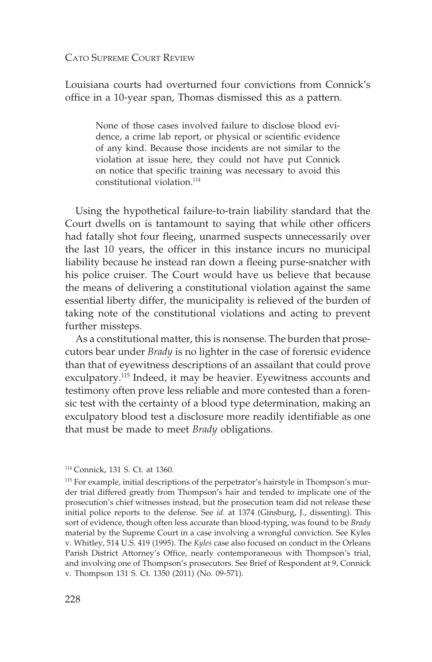Louisiana courts had overturned four convictions from Connick's CATO SUPREME COURT REVIEW<br>Louisiana courts had overturned four convictions from Connick<br>office in a 10-year span, Thomas dismissed this as a pattern.<br>None of those cases involved failure to disclose blood evi-

Louisiana courts had overturned four convictions from Connick's<br>office in a 10-year span, Thomas dismissed this as a pattern.<br>None of those cases involved failure to disclose blood evi-<br>dence, a crime lab report, or physic and courts had overturned four convictions from Connick's<br>
in a 10-year span, Thomas dismissed this as a pattern.<br>
None of those cases involved failure to disclose blood evi-<br>
dence, a crime lab report, or physical or scie In a 10-year span, Thomas dismissed this as a pattern.<br>None of those cases involved failure to disclose blood evi-<br>dence, a crime lab report, or physical or scientific evidence<br>of any kind. Because those incidents are not It a 10-year span, Thomas cusmissed this as a pattern.<br>None of those cases involved failure to disclose blood evi-<br>dence, a crime lab report, or physical or scientific evidence<br>of any kind. Because those incidents are not None of those cases involved failure to disclose blood evi-<br>dence, a crime lab report, or physical or scientific evidence<br>of any kind. Because those incidents are not similar to the<br>violation at issue here, they could not None of those cases involved failure to disclose blood evi-<br>dence, a crime lab report, or physical or scientific evidence<br>of any kind. Because those incidents are not similar to the<br>violation at issue here, they could not

violation at issue here, they could not have put Connick<br>on notice that specific training was necessary to avoid this<br>constitutional violation.<sup>114</sup><br>Using the hypothetical failure-to-train liability standard that the<br>Court on notice that specific training was necessary to avoid this<br>constitutional violation.<sup>114</sup><br>Using the hypothetical failure-to-train liability standard that the<br>Court dwells on is tantamount to saying that while other offic constitutional violation.<sup>114</sup><br>Using the hypothetical failure-to-train liability standard that the<br>Court dwells on is tantamount to saying that while other officers<br>had fatally shot four fleeing, unarmed suspects unnecessa Using the hypothetical failure-to-train liability standard that the Court dwells on is tantamount to saying that while other officers had fatally shot four fleeing, unarmed suspects unnecessarily over the last 10 years, th Using the hypothetical failure-to-train liability standard that the Court dwells on is tantamount to saying that while other officers had fatally shot four fleeing, unarmed suspects unnecessarily over the last 10 years, th Court dwells on is tantamount to saying that while other officers<br>had fatally shot four fleeing, unarmed suspects unnecessarily over<br>the last 10 years, the officer in this instance incurs no municipal<br>liability because he had fatally shot four fleeing, unarmed suspects unnecessarily over<br>the last 10 years, the officer in this instance incurs no municipal<br>liability because he instead ran down a fleeing purse-snatcher with<br>his police cruiser. the last 10 years, the officer in this instance incurs no municipal<br>liability because he instead ran down a fleeing purse-snatcher with<br>his police cruiser. The Court would have us believe that because<br>the means of deliveri liability because he insemblished in this police cruiser. The<br>the means of deliverinces<br>essential liberty differ<br>taking note of the confurther missteps.<br>As a constitutional neutors bear under *Brad* s police cruiser. The Court would have us believe that because<br>e means of delivering a constitutional violation against the same<br>sential liberty differ, the municipality is relieved of the burden of<br>king note of the consti

the means of delivering a constitutional violation against the same<br>essential liberty differ, the municipality is relieved of the burden of<br>taking note of the constitutional violations and acting to prevent<br>further misstep essential liberty differ, the municipality is relieved of the burden of taking note of the constitutional violations and acting to prevent further missteps.<br>As a constitutional matter, this is nonsense. The burden that pro taking note of the constitutional violations and acting to prevent<br>further missteps.<br>As a constitutional matter, this is nonsense. The burden that prose-<br>cutors bear under *Brady* is no lighter in the case of forensic evid further missteps.<br>As a constitutional matter, this is nonsense. The burden that prose-<br>cutors bear under *Brady* is no lighter in the case of forensic evidence<br>than that of eyewitness descriptions of an assailant that coul As a constitutional matter, this is nonsense. The burden that prose-<br>cutors bear under *Brady* is no lighter in the case of forensic evidence<br>than that of eyewitness descriptions of an assailant that could prove<br>exculpato cutors bear under *Brady* is no lighter in the case of forensic evidence<br>than that of eyewitness descriptions of an assailant that could prove<br>exculpatory.<sup>115</sup> Indeed, it may be heavier. Eyewitness accounts and<br>testimony than that of eyewitness descriptions of an assailant that could prove exculpatory.<sup>115</sup> Indeed, it may be heavier. Eyewitness accounts and testimony often prove less reliable and more contested than a forensic test with th

exculpatory blood test a disclosure more readily identifiable as one<br>that must be made to meet *Brady* obligations.<br><sup>114</sup> Connick, 131 S. Ct. at 1360.<br><sup>115</sup> For example, initial descriptions of the perpetrator's hairstyle <sup>114</sup> Connick, 131 S. Ct. at 1360.<br><sup>115</sup> For example, initial descriptions of the perpetrator's hairstyle in Thompson's mur-<br>der trial differed greatly from Thompson's hair and tended to implicate one of the<br>prosecution's <sup>114</sup> Connick, 131 S. Ct. at 1360.<br><sup>115</sup> For example, initial descriptions of the perpetrator's hairstyle in Thompson's mur-<br>der trial differed greatly from Thompson's hair and tended to implicate one of the<br>prosecution's <sup>114</sup> Connick, 131 S. Ct. at 1360.<br><sup>115</sup> For example, initial descriptions of the perpetrator's hairstyle in Thompson's mur-<br>der trial differed greatly from Thompson's hair and tended to implicate one of the<br>prosecution's <sup>114</sup> Connick, 131 S. Ct. at 1360.<br><sup>115</sup> For example, initial descriptions of the perpetrator's hairstyle in Thompson's mur-<br>der trial differed greatly from Thompson's hair and tended to implicate one of the<br>prosecution's <sup>115</sup> For example, initial descriptions of the perpetrator's hairstyle in Thompson's mur-<br>der trial differed greatly from Thompson's hair and tended to implicate one of the<br>prosecution's chief witnesses instead, but the p der trial differed greatly from Thompson's hair and tended to implicate one of the prosecution's chief witnesses instead, but the prosecution team did not release these initial police reports to the defense. See *id.* at 1 prosecution's chief witnesses instead, but the prosecution team did not release these initial police reports to the defense. See *id.* at 1374 (Ginsburg, J., dissenting). This sort of evidence, though often less accurate t initial police reports to the defense. See *id.* at 1374 (Ginsburg, J., dissenting). This sort of evidence, though often less accurate than blood-typing, was found to be *Brady* material by the Supreme Court in a case invo sort of evidence, though often less accurate than blood material by the Supreme Court in a case involving a v<br>v. Whitley, 514 U.S. 419 (1995). The *Kyles* case also focust Parish District Attorney's Office, nearly contempo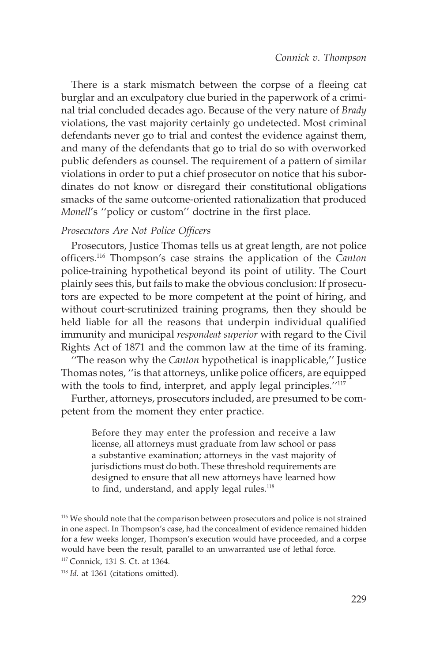*Connick v. Thompson* Connick v. Thompson<br>There is a stark mismatch between the corpse of a fleeing cat<br>trial and an exculpatory clue buried in the paperwork of a crimi-<br>I trial concluded decades ago. Because of the very nature of *Brady* **Connick v. Thompson**<br>
There is a stark mismatch between the corpse of a fleeing cat<br>
burglar and an exculpatory clue buried in the paperwork of a crimi-<br>
rnal trial concluded decades ago. Because of the very nature of *Br* Connick v. Thompson<br>There is a stark mismatch between the corpse of a fleeing cat<br>burglar and an exculpatory clue buried in the paperwork of a crimi-<br>nal trial concluded decades ago. Because of the very nature of *Brady*<br>v Connick v. Thompson<br>There is a stark mismatch between the corpse of a fleeing cat<br>burglar and an exculpatory clue buried in the paperwork of a crimi-<br>nal trial concluded decades ago. Because of the very nature of *Brady*<br>v There is a stark mismatch between the corpse of a fleeing cat<br>burglar and an exculpatory clue buried in the paperwork of a crimi-<br>nal trial concluded decades ago. Because of the very nature of *Brady*<br>violations, the vast There is a stark mismatch between the corpse of a fleeing cat<br>burglar and an exculpatory clue buried in the paperwork of a crimi-<br>nal trial concluded decades ago. Because of the very nature of *Brady*<br>violations, the vast burglar and an exculpatory clue buried in the paperwork of a crimi-<br>nal trial concluded decades ago. Because of the very nature of *Brady*<br>violations, the vast majority certainly go undetected. Most criminal<br>defendants nev nal trial concluded decades ago. Because of the very nature of *Brady* violations, the vast majority certainly go undetected. Most criminal defendants never go to trial and contest the evidence against them, and many of th violations, the vast majority certainly go undetected. Most criminal defendants never go to trial and contest the evidence against them, and many of the defendants that go to trial do so with overworked public defenders as defendants never go to trial and contest the evidence against them,<br>and many of the defendants that go to trial do so with overworked<br>public defenders as counsel. The requirement of a pattern of similar<br>violations in order and many of the defendants that go to trial do so with overworked<br>public defenders as counsel. The requirement of a pattern of similar<br>violations in order to put a chief prosecutor on notice that his subor-<br>dinates do not public defenders as counsel. The requirer<br>violations in order to put a chief prosecut<br>dinates do not know or disregard their<br>smacks of the same outcome-oriented rat<br>*Monell's* "policy or custom" doctrine in<br>*Prosecutors Ar* Provided and their proceeded of the tells in the season<br>nates do not know or disregard their constitutional obligations<br>nacks of the same outcome-oriented rationalization that produced<br>*onell's* "policy or custom" doctrine

smacks of the same outcome-oriented rationalization that produced *Monell's* "policy or custom" doctrine in the first place.<br>*Prosecutors Are Not Police Officers*<br>Prosecutors, Justice Thomas tells us at great length, are n *Monell's* "policy or custom" doctrine in the first place.<br>*Prosecutors Are Not Police Officers*<br>Prosecutors, Justice Thomas tells us at great length, are not police<br>officers.<sup>116</sup> Thompson's case strains the application o *Prosecutors Are Not Police Officers*<br>Prosecutors, Justice Thomas tells us at great length, are not police<br>officers.<sup>116</sup> Thompson's case strains the application of the *Canton*<br>police-training hypothetical beyond its poin *Prosecutors Are Not Police Officers*<br>
Prosecutors, Justice Thomas tells us at great length, are not police<br>
officers.<sup>116</sup> Thompson's case strains the application of the *Canton*<br>
police-training hypothetical beyond its p Prosecutors, Justice Thomas tells us at great length, are not police officers.<sup>116</sup> Thompson's case strains the application of the *Canton* police-training hypothetical beyond its point of utility. The Court plainly sees t officers.<sup>116</sup> Thompson's case strains the application of the *Canton* police-training hypothetical beyond its point of utility. The Court plainly sees this, but fails to make the obvious conclusion: If prosecutors are exp police-training hypothetical beyond its point of utility. The Court plainly sees this, but fails to make the obvious conclusion: If prosecutors are expected to be more competent at the point of hiring, and without court-sc plainly sees this, but fails to make the obvious conclusion: If prosecutors are expected to be more competent at the point of hiring, and without court-scrutinized training programs, then they should be held liable for all rs are expected to be more competent at the point of hiring, and<br>
ithout court-scrutinized training programs, then they should be<br>
ld liable for all the reasons that underpin individual qualified<br>
munity and municipal *res* without court-scrutinized training programs, then they should be<br>held liable for all the reasons that underpin individual qualified<br>immunity and municipal *respondeat superior* with regard to the Civil<br>Rights Act of 1871 a

held liable for all the reasons that underpin individual qualified<br>immunity and municipal *respondeat superior* with regard to the Civil<br>Rights Act of 1871 and the common law at the time of its framing.<br>"The reason why the Rights Act of 1871 and the common law at the time of its framing.<br>
"The reason why the *Canton* hypothetical is inapplicable," Justice<br>
Thomas notes, "is that attorneys, unlike police officers, are equipped<br>
with the tools

is notes, "is that attorneys, unlike police officers, are equipped<br>he tools to find, interpret, and apply legal principles."<sup>117</sup><br>her, attorneys, prosecutors included, are presumed to be com-<br>from the moment they enter pra license tools to find, interpret, and apply legal principles."<sup>117</sup><br>her, attorneys, prosecutors included, are presumed to be com-<br>from the moment they enter practice.<br>Before they may enter the profession and receive a law<br> her, attorneys, prosecutors included, are presumed to be com<br>from the moment they enter practice.<br>Before they may enter the profession and receive a law<br>license, all attorneys must graduate from law school or pass<br>a substa from the moment they enter practice.<br>Before they may enter the profession and receive a law<br>license, all attorneys must graduate from law school or pass<br>a substantive examination; attorneys in the vast majority of<br>jurisdic Before they may enter the profession and receive a law<br>license, all attorneys must graduate from law school or pass<br>a substantive examination; attorneys in the vast majority of<br>jurisdictions must do both. These threshold r % a substantive examination; attorneys in the vast majority of jurisdictions must do both. These threshold requirements are designed to ensure that all new attorneys have learned how to find, understand, and apply legal r

jurisdictions must do both. These threshold requirements are<br>designed to ensure that all new attorneys have learned how<br>to find, understand, and apply legal rules.<sup>118</sup><br><sup>116</sup> We should note that the comparison between pros designed to ensure that all new attorneys have learned how<br>to find, understand, and apply legal rules.<sup>118</sup><br><sup>116</sup> We should note that the comparison between prosecutors and police is not strained<br>in one aspect. In Thompson for a find, understand, and apply legal rules.<sup>118</sup><br><sup>116</sup> We should note that the comparison between prosecutors and police is not strained<br>in one aspect. In Thompson's case, had the concealment of evidence remained hidden <sup>116</sup> We should note that the comparison between prosecutors and police is not strain in one aspect. In Thompson's case, had the concealment of evidence remained hid for a few weeks longer, Thompson's execution would have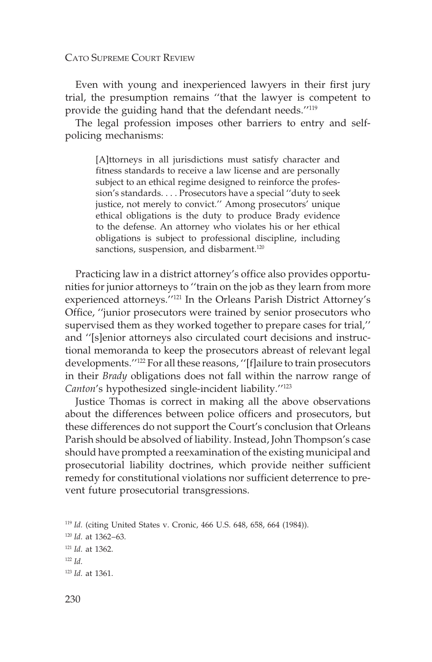THET SUPREME COURT REVIEW<br>Even with young and inexperienced lawyers in their first jury<br>al, the presumption remains "that the lawyer is competent to<br>ovide the guiding hand that the defendant needs."<sup>119</sup> CATO SUPREME COURT REVIEW<br>Even with young and inexperienced lawyers in their first jury<br>trial, the presumption remains "that the lawyer is competent to<br>provide the guiding hand that the defendant needs."<sup>119</sup><br>The legal pro CATO SUPREME COURT REVIEW<br>Even with young and inexperienced lawyers in their first jury<br>trial, the presumption remains "that the lawyer is competent to<br>provide the guiding hand that the defendant needs."<sup>119</sup><br>The legal pro Even with young and i<br>trial, the presumption ren<br>provide the guiding hand<br>The legal profession im<br>policing mechanisms:<br>[A]ttorneys in all juri

the presumption remains that the lawyer is competent to<br>e the guiding hand that the defendant needs.<sup>7119</sup><br>legal profession imposes other barriers to entry and self-<br>g mechanisms:<br>[A]ttorneys in all jurisdictions must sati Fither guiding hand that the defendant needs.<sup>27117</sup><br>legal profession imposes other barriers to entry and self-<br>g mechanisms:<br>[A]ttorneys in all jurisdictions must satisfy character and<br>fitness standards to receive a law l policing mechanisms:<br>
[A]ttorneys in all jurisdictions must satisfy character and<br>
fitness standards to receive a law license and are personally<br>
subject to an ethical regime designed to reinforce the profes-<br>
sion's stand g mechanisms:<br>[A]ttorneys in all jurisdictions must satisfy character and<br>fitness standards to receive a law license and are personally<br>subject to an ethical regime designed to reinforce the profes-<br>sion's standards....Pro [A]ttorneys in all jurisdictions must satisfy character and fitness standards to receive a law license and are personally subject to an ethical regime designed to reinforce the profession's standards....Prosecutors have a [A]ttorneys in all jurisdictions must satisfy character and fitness standards to receive a law license and are personally subject to an ethical regime designed to reinforce the profession's standards....Prosecutors have a fitness standards to receive a law license and are personally subject to an ethical regime designed to reinforce the profession's standards.... Prosecutors have a special "duty to seek justice, not merely to convict." Amon subject to an ethical regime designed to reinforce the profes-<br>sion's standards....Prosecutors have a special "duty to seek<br>justice, not merely to convict." Among prosecutors' unique<br>ethical obligations is the duty to prod sion's standards.... Prosecutors have a special "duty to seek justice, not merely to convict." Among prosecutors' unique ethical obligations is the duty to produce Brady evidence to the defense. An attorney who violates h

not to the defense. An attorney who violates his or her ethical<br>obligations is subject to professional discipline, including<br>sanctions, suspension, and disbarment.<sup>120</sup><br>Practicing law in a district attorney's office also p obligations is subject to professional discipline, including<br>sanctions, suspension, and disbarment.<sup>120</sup><br>Practicing law in a district attorney's office also provides opportu-<br>nities for junior attorneys to "train on the jo sanctions, suspension, and disbarment.<sup>120</sup><br>Practicing law in a district attorney's office also provides opportu-<br>nities for junior attorneys to "train on the job as they learn from more<br>experienced attorneys."<sup>121</sup> In the Practicing law in a district attorney's office also provides opportunities for junior attorneys to "train on the job as they learn from more experienced attorneys."<sup>121</sup> In the Orleans Parish District Attorney's Office, "j Practicing law in a district attorney's office also provides opportunities for junior attorneys to "train on the job as they learn from more experienced attorneys."<sup>121</sup> In the Orleans Parish District Attorney's Office, "j nities for junior attorneys to "train on the job as they learn from more experienced attorneys."<sup>121</sup> In the Orleans Parish District Attorney's Office, "junior prosecutors were trained by senior prosecutors who supervised experienced attorneys.''<sup>121</sup> In the Orleans Parish District Attorney's Office, ''junior prosecutors were trained by senior prosecutors who supervised them as they worked together to prepare cases for trial,'' and ''[s]eni Office, "junior prosecutors were trained by senior prosecutors who supervised them as they worked together to prepare cases for trial," and "[s]enior attorneys also circulated court decisions and instructional memoranda to supervised them as they worked together to prepare cases for trial,"<br>and "[s]enior attorneys also circulated court decisions and instruc-<br>tional memoranda to keep the prosecutors abreast of relevant legal<br>developments."<sup>12</sup> tional memoranda to keep the prosecutors abreast of relevant legal<br>developments."<sup>122</sup> For all these reasons, "[f]ailure to train prosecutors<br>in their *Brady* obligations does not fall within the narrow range of<br>*Canton's* 

developments.<sup>7122</sup> For all these reasons, "[f]ailure to train prosecutors<br>in their *Brady* obligations does not fall within the narrow range of<br>*Canton's* hypothesized single-incident liability.<sup>7123</sup><br>Justice Thomas is co in their *Brady* obligations does not fall within the narrow range of *Canton's* hypothesized single-incident liability."<sup>123</sup><br>Justice Thomas is correct in making all the above observations about the differences between po Canton's hypothesized single-incident liability.<sup>7123</sup><br>Justice Thomas is correct in making all the above observations<br>about the differences between police officers and prosecutors, but<br>these differences do not support the Justice Thomas is correct in making all the above observations<br>about the differences between police officers and prosecutors, but<br>these differences do not support the Court's conclusion that Orleans<br>Parish should be absolv about the differences between police officers and prosecutors, but<br>these differences do not support the Court's conclusion that Orleans<br>Parish should be absolved of liability. Instead, John Thompson's case<br>should have prom these differences do not support the Court's contributions of the absolved of liability. Instead, should have prompted a reexamination of the expresecutorial liability doctrines, which proversed for constitutional violatio

```
119 Id. (citing United States v. Cronic, 466 U.S. 648, 658, 664 (1984)).<br>
1<sup>19</sup> Id. (citing United States v. Cronic, 466 U.S. 648, 658, 664 (1984)).<br>
<sup>120</sup> Id. at 1362–63.<br>
<sup>121</sup> Id. at 1362. <sup>122</sup> Id. at 1361.<br>
```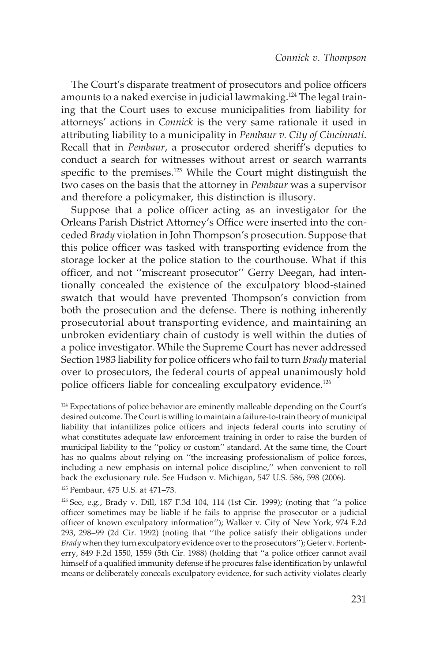*Connick v. Thompson* Connick v. Thompson<br>The Court's disparate treatment of prosecutors and police officers<br>nounts to a naked exercise in judicial lawmaking.<sup>124</sup> The legal train-<br>g that the Court uses to excuse municipalities from liability f Connick v. Thompson<br>The Court's disparate treatment of prosecutors and police officers<br>amounts to a naked exercise in judicial lawmaking.<sup>124</sup> The legal train-<br>ing that the Court uses to excuse municipalities from liabilit *Connick v. Thompson*<br>The Court's disparate treatment of prosecutors and police officers<br>amounts to a naked exercise in judicial lawmaking.<sup>124</sup> The legal train-<br>ing that the Court uses to excuse municipalities from liabil *Connick v. Thompson*<br>The Court's disparate treatment of prosecutors and police officers<br>amounts to a naked exercise in judicial lawmaking.<sup>124</sup> The legal train-<br>ing that the Court uses to excuse municipalities from liabil The Court's disparate treatment of prosecutors and police officers<br>amounts to a naked exercise in judicial lawmaking.<sup>124</sup> The legal train-<br>ing that the Court uses to excuse municipalities from liability for<br>attorneys' act amounts to a naked exercise in judicial lawmaking.<sup>124</sup> The legal training that the Court uses to excuse municipalities from liability for attorneys' actions in *Connick* is the very same rationale it used in attributing l ing that the Court uses to excuse municipalities from liability for attorneys' actions in *Connick* is the very same rationale it used in attributing liability to a municipality in *Pembaur v. City of Cincinnati*. Recall t attorneys' actions in *Connick* is the very same rationale it used in attributing liability to a municipality in *Pembaur* v. *City of Cincinnati*. Recall that in *Pembaur*, a prosecutor ordered sheriff's deputies to condu attributing liability to a municipality in *Pembaur v. City of Cinc*<br>Recall that in *Pembaur*, a prosecutor ordered sheriff's depu<br>conduct a search for witnesses without arrest or search wa<br>specific to the premises.<sup>125</sup> W ecall that in *Pembaur*, a prosecutor ordered sheriff's deputies to nduct a search for witnesses without arrest or search warrants ecific to the premises.<sup>125</sup> While the Court might distinguish the ro cases on the basis th

conduct a search for witnesses without arrest or search warrants specific to the premises.<sup>125</sup> While the Court might distinguish the two cases on the basis that the attorney in *Pembaur* was a supervisor and therefore a p specific to the premises.<sup>125</sup> While the Court might distinguish the two cases on the basis that the attorney in *Pembaur* was a supervisor and therefore a policymaker, this distinction is illusory. Suppose that a police o two cases on the basis that the attorney in *Pembaur* was a supervisor and therefore a policymaker, this distinction is illusory.<br>Suppose that a police officer acting as an investigator for the Orleans Parish District Atto and therefore a policymaker, this distinction is illusory.<br>Suppose that a police officer acting as an investigator for the Orleans Parish District Attorney's Office were inserted into the conceded *Brady* violation in John Suppose that a police officer acting as an investigator for the Orleans Parish District Attorney's Office were inserted into the conceded *Brady* violation in John Thompson's prosecution. Suppose that this police officer w Orleans Parish District Attorney's Office were inserted into the conceded *Brady* violation in John Thompson's prosecution. Suppose that this police officer was tasked with transporting evidence from the storage locker at ceded *Brady* violation in John Thompson's prosecution. Suppose that<br>this police officer was tasked with transporting evidence from the<br>storage locker at the police station to the courthouse. What if this<br>officer, and not this police officer was tasked with transporting evidence from the storage locker at the police station to the courthouse. What if this officer, and not "miscreant prosecutor" Gerry Deegan, had intentionally concealed the storage locker at the police station to the courthouse. What if this officer, and not "miscreant prosecutor" Gerry Deegan, had intentionally concealed the existence of the exculpatory blood-stained swatch that would have p officer, and not "miscreant prosecutor" Gerry Deegan, had intentionally concealed the existence of the exculpatory blood-stained swatch that would have prevented Thompson's conviction from both the prosecution and the defe tionally concealed the existence of the exculpatory blood-stained<br>swatch that would have prevented Thompson's conviction from<br>both the prosecution and the defense. There is nothing inherently<br>prosecutorial about transporti swatch that would have prevented Thompson's conviction from<br>both the prosecution and the defense. There is nothing inherently<br>prosecutorial about transporting evidence, and maintaining an<br>unbroken evidentiary chain of cust both the prosecution and the defense. There is nothing inherently prosecutorial about transporting evidence, and maintaining an unbroken evidentiary chain of custody is well within the duties of a police investigator. Whil prosecutorial about transporting evidence, and maintaining a<br>unbroken evidentiary chain of custody is well within the duties<br>a police investigator. While the Supreme Court has never addresse<br>Section 1983 liability for poli a police investigator. While the Supreme Court has never addressed Section 1983 liability for police officers who fail to turn *Brady* material over to prosecutors, the federal courts of appeal unanimously hold police off

over to prosecutors, the federal courts of appeal unanimously hold<br>police officers liable for concealing exculpatory evidence.<sup>126</sup><br><sup>124</sup> Expectations of police behavior are eminently malleable depending on the Court's<br>des by different courts of appear unanimously note<br>police officers liable for concealing exculpatory evidence.<sup>126</sup><br><sup>124</sup> Expectations of police behavior are eminently malleable depending on the Court's<br>desired outcome. The Co liability that infantilizes police officers and injects federal courts into scrutiny of what constitutes adequate law enforcement training in order to raise the burden of municipal liability to the "policy or custom" stand <sup>124</sup> Expectations of police behavior are eminently malleable depending on the Court's desired outcome. The Court is willing to maintain a failure-to-train theory of municipal liability that infantilizes police officers an <sup>124</sup> Expectations of police behavior are eminently malleable depending on the Court's desired outcome. The Court is willing to maintain a failure-to-train theory of municipal liability that infantilizes police officers an desired outcome. The Court is willing to maintain a failure-to-train theory of municipal liability that infantilizes police officers and injects federal courts into scrutiny of what constitutes adequate law enforcement tra liability that infantilizes police officers and injects federal courts into scrutiny of what constitutes adequate law enforcement training in order to raise the burden of municipal liability to the "policy or custom" stand

nas no quams about relying on the increasing proressionalism or police forces,<br>including a new emphasis on internal police discipline," when convenient to roll<br>back the exclusionary rule. See Hudson v. Michigan, 547 U.S. 5 back the exclusionary rule. See Hudson v. Michigan, 547 U.S. 586, 598 (2006).<br><sup>125</sup> Pembaur, 475 U.S. at 471–73.<br><sup>126</sup> See, e.g., Brady v. Dill, 187 F.3d 104, 114 (1st Cir. 1999); (noting that "a police<br>officer sometimes m pack the exclusionary rule. See Hudson V. Michigan, 547 U.S. 386, 598 (2006).<br><sup>125</sup> Pembaur, 475 U.S. at 471–73.<br><sup>126</sup> See, e.g., Brady v. Dill, 187 F.3d 104, 114 (1st Cir. 1999); (noting that "a police<br>officer sometimes m <sup>125</sup> Pembaur, 475 U.S. at 471–73.<br><sup>126</sup> See, e.g., Brady v. Dill, 187 F.3d 104, 114 (1st Cir. 1999); (noting that "a police officer sometimes may be liable if he fails to apprise the prosecutor or a judicial officer of kn <sup>126</sup> See, e.g., Brady v. Dill, 187 F.3d 104, 114 (1st Cir. 1999); (noting that ''a police officer sometimes may be liable if he fails to apprise the prosecutor or a judicial officer of known exculpatory information''); Wa officer sometimes may be liable if he fails to apprise the prosecutor or a judicial<br>officer of known exculpatory information''); Walker v. City of New York, 974 F.2d<br>293, 298–99 (2d Cir. 1992) (noting that "the police sati officer of known exculpatory information''); Walker v. City of New York, 974 F.2d<br>293, 298–99 (2d Cir. 1992) (noting that "the police satisfy their obligations under<br>*Brady* when they turn exculpatory evidence over to the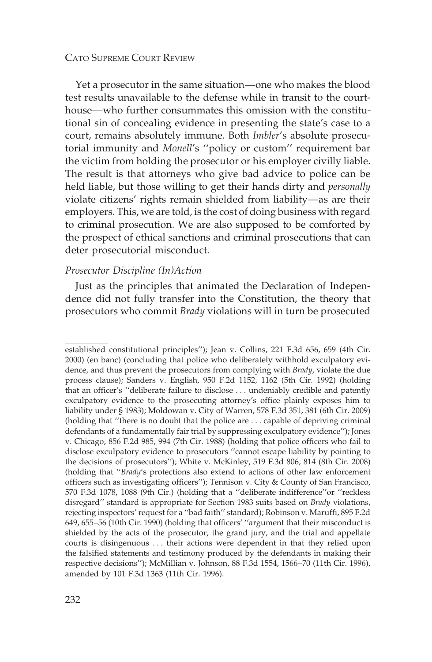YO SUPREME COURT REVIEW<br>Yet a prosecutor in the same situation—one who makes the blood<br>St results unavailable to the defense while in transit to the court-<br>Juse—who further consummates this omission with the constitu-CATO SUPREME COURT REVIEW<br>
Yet a prosecutor in the same situation—one who makes the blood<br>
test results unavailable to the defense while in transit to the court-<br>
house—who further consummates this omission with the consti CATO SUPREME COURT REVIEW<br>
Yet a prosecutor in the same situation—one who makes the blood<br>
test results unavailable to the defense while in transit to the court-<br>
house—who further consummates this omission with the consti CATO SUPREME COURT REVIEW<br>
Yet a prosecutor in the same situation—one who makes the blood<br>
test results unavailable to the defense while in transit to the court-<br>
house—who further consummates this omission with the consti Yet a prosecutor in the same situation—one who makes the blood<br>test results unavailable to the defense while in transit to the court-<br>house—who further consummates this omission with the constitu-<br>tional sin of concealing Yet a prosecutor in the same situation—one who makes the blood<br>test results unavailable to the defense while in transit to the court-<br>house—who further consummates this omission with the constitu-<br>tional sin of concealing test results unavailable to the defense while in transit to the court-<br>house—who further consummates this omission with the constitu-<br>tional sin of concealing evidence in presenting the state's case to a<br>court, remains abs house—who further consummates this omission with the constitutional sin of concealing evidence in presenting the state's case to a court, remains absolutely immune. Both *Imbler's* absolute prosecutorial immunity and *Mone* tional sin of concealing evidence in presenting the state's case to a<br>court, remains absolutely immune. Both *Imbler's* absolute prosecu-<br>torial immunity and *Monell's* "policy or custom" requirement bar<br>the victim from ho court, remains absolutely immune. Both *Imbler's* absolute prosecutorial immunity and *Monell's* "policy or custom" requirement bar the victim from holding the prosecutor or his employer civilly liable. The result is that torial immunity and *Monell's* "policy or custom" requirement bar<br>the victim from holding the prosecutor or his employer civilly liable.<br>The result is that attorneys who give bad advice to police can be<br>held liable, but th the victim from holding the prosecutor or his employer civilly liable.<br>The result is that attorneys who give bad advice to police can be<br>held liable, but those willing to get their hands dirty and *personally*<br>violate citi The result is that attorneys who give bad advice to police can be held liable, but those willing to get their hands dirty and *personally* violate citizens' rights remain shielded from liability—as are their employers. Thi held liable, but those willing to get the violate citizens' rights remain shield employers. This, we are told, is the costo criminal prosecution. We are also the prospect of ethical sanctions and deter prosecutorial miscon *Prosecutor Discipline (In)Action*<br>*Prosecutor Discipline (In)Action*<br>*Prosecutor Discipline (In)Action*<br>*Prosecutor Discipline (In)Action*<br>Just as the principles that animated the<br>dence did not fully transfer into the Con to criminal prosecution. We are also supposed to be comforted by<br>the prospect of ethical sanctions and criminal prosecutions that can<br>deter prosecutorial misconduct.<br>Prosecutor Discipline (In)Action<br>Just as the principles

the prospect of ethical sanctions and criminal prosecutions that can<br>deter prosecutorial misconduct.<br>Prosecutor Discipline (In)Action<br>Just as the principles that animated the Declaration of Indepen-<br>dence did not fully tra deter prosecutorial misconduct.<br> *Prosecutor Discipline (In)Action*<br>
Just as the principles that animated the Declaration of Indepen-<br>
dence did not fully transfer into the Constitution, the theory that<br>
prosecutors who co

dence did not fully transfer into the Constitution, the theory that<br>prosecutors who commit *Brady* violations will in turn be prosecuted<br>established constitutional principles''); Jean v. Collins, 221 F.3d 656, 659 (4th Cir prosecutors who commit *Brady* violations will in turn be prosecuted<br>
<del>concluding</del> constitutional principles"); Jean v. Collins, 221 F.3d 656, 659 (4th Cir.<br>
2000) (en banc) (concluding that police who deliberately withhol established constitutional principles"); Jean v. Collins, 221 F.3d 656, 659 (4th Cir. 2000) (en banc) (concluding that police who deliberately withhold exculpatory evidence, and thus prevent the prosecutors from complying established constitutional principles"); Jean v. Collins, 221 F.3d 656, 659 (4th Cir. 2000) (en banc) (concluding that police who deliberately withhold exculpatory evidence, and thus prevent the prosecutors from complying established constitutional principles"); Jean v. Collins, 221 F.3d 656, 659 (4th Cir. 2000) (en banc) (concluding that police who deliberately withhold exculpatory evidence, and thus prevent the prosecutors from complying established constitutional principles"); Jean v. Collins, 221 F.3d 656, 659 (4th Cir. 2000) (en banc) (concluding that police who deliberately withhold exculpatory evidence, and thus prevent the prosecutors from complying 2000) (en banc) (concluding that police who deliberately withhold exculpatory evidence, and thus prevent the prosecutors from complying with *Brady*, violate the due process clause); Sanders v. English, 950 F.2d 1152, 1162 dence, and thus prevent the prosecutors from complying with *Brady*, violate the due process clause); Sanders v. English, 950 F.2d 1152, 1162 (5th Cir. 1992) (holding that an officer's "deliberate failure to disclose ... u process clause); Sanders v. English, 950 F.2d 1152, 1162 (5th Cir. 1992) (holding that an officer's "deliberate failure to disclose ... undeniably credible and patently exculpatory evidence to the prosecuting attorney's of that an officer's "deliberate failure to disclose ... undeniably credible and patently exculpatory evidence to the prosecuting attorney's office plainly exposes him to liability under § 1983); Moldowan v. City of Warren, 5 exculpatory evidence to the prosecuting attorney's office plainly exposes him to liability under § 1983); Moldowan v. City of Warren, 578 F.3d 351, 381 (6th Cir. 2009) (holding that "there is no doubt that the police are . liability under § 1983); Moldowan v. City of Warren, 578 F.3d 351, 381 (6th Cir. 2009) (holding that "there is no doubt that the police are ... capable of depriving criminal defendants of a fundamentally fair trial by supp (holding that "there is no doubt that the police are ... capable of depriving criminal defendants of a fundamentally fair trial by suppressing exculpatory evidence"); Jones v. Chicago, 856 F.2d 985, 994 (7th Cir. 1988) (ho defendants of a fundamentally fair trial by suppressing exculpatory evidence"); Jones v. Chicago, 856 F.2d 985, 994 (7th Cir. 1988) (holding that police officers who fail to disclose exculpatory evidence to prosecutors" ca v. Chicago, 856 F.2d 985, 994 (7th Cir. 1988) (holding that police officers who fail to disclose exculpatory evidence to prosecutors "cannot escape liability by pointing to the decisions of prosecutors"); White v. McKinley disclose exculpatory evidence to prosecutors "cannot escape liability by pointing to<br>the decisions of prosecutors"); White v. McKinley, 519 F.3d 806, 814 (8th Cir. 2008)<br>(holding that "*Brady's* protections also extend to the decisions of prosecutors''); White v. McKinley, 519 F.3d 806, 814 (8th Cir. 2008) (holding that "*Brady's* protections also extend to actions of other law enforcement officers such as investigating officers''); Tenniso (holding that "Brady's protections also extend to actions of other law enforcement officers such as investigating officers"); Tennison v. City & County of San Francisco, 570 F.3d 1078, 1088 (9th Cir.) (holding that a "del 570 F.3d 1078, 1088 (9th Cir.) (holding that a "deliberate indifference" or "reckless disregard" standard is appropriate for Section 1983 suits based on *Brady* violations, rejecting inspectors' request for a "bad faith" 570 F.3d 1078, 1088 (9th Cir.) (holding that a "deliberate indifference" or "reckless disregard" standard is appropriate for Section 1983 suits based on *Brady* violations, rejecting inspectors' request for a "bad faith" s disregard" standard is appropriate for Section 1983 suits based on *Brady* violations, rejecting inspectors' request for a "bad faith" standard); Robinson v. Maruffi, 895 F.2d 649, 655–56 (10th Cir. 1990) (holding that off rejecting inspectors' request for a "bad faith" standard); Robinson v. Maruffi, 895 F.2d 649, 655–56 (10th Cir. 1990) (holding that officers' "argument that their misconduct is shielded by the acts of the prosecutor, the g shielded by the acts of the prosecutor, the grand jury, and the trial and appellate courts is disingenuous ... their actions were dependent in that they relied upon the falsified statements and testimony produced by the de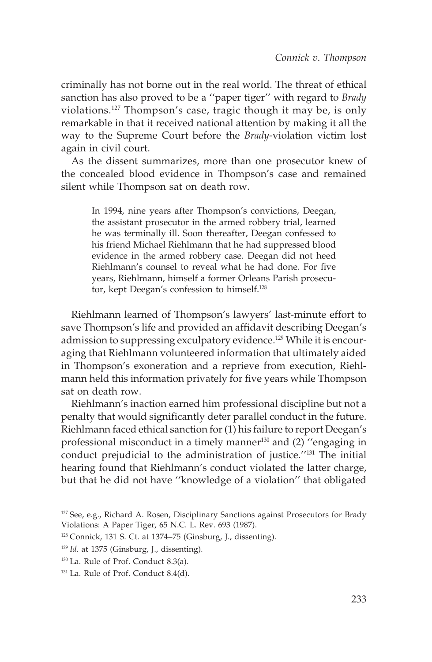*Connick v. Thompson Connick v. Thompson*<br>criminally has not borne out in the real world. The threat of ethical<br>sanction has also proved to be a "paper tiger" with regard to *Brady*<br>violations.<sup>127</sup> Thompson's case, tragic though it may be, i Connick v. Thompson<br>criminally has not borne out in the real world. The threat of ethical<br>sanction has also proved to be a "paper tiger" with regard to *Brady*<br>violations.<sup>127</sup> Thompson's case, tragic though it may be, is *Connick v. Thompson*<br>criminally has not borne out in the real world. The threat of ethical<br>sanction has also proved to be a "paper tiger" with regard to *Brady*<br>violations.<sup>127</sup> Thompson's case, tragic though it may be, i Connick v. Thompson<br>criminally has not borne out in the real world. The threat of ethical<br>sanction has also proved to be a "paper tiger" with regard to *Brady*<br>violations.<sup>127</sup> Thompson's case, tragic though it may be, is criminally has not borne out in the real world. The threat of ethical<br>sanction has also proved to be a "paper tiger" with regard to *Brady*<br>violations.<sup>127</sup> Thompson's case, tragic though it may be, is only<br>remarkable in t criminally has not borne<br>sanction has also proved<br>violations.<sup>127</sup> Thompsor<br>remarkable in that it rece<br>way to the Supreme Cc<br>again in civil court.<br>As the dissent summa<br>the concealed blood evi nction has also proved to be a "paper tiger" with regard to *Brady* olations.<sup>127</sup> Thompson's case, tragic though it may be, is only markable in that it received national attention by making it all the ay to the Supreme Co violations.<sup>127</sup> Thompson's case, tragic though it may be, is only remarkable in that it received national attention by making it all the way to the Supreme Court before the *Brady*-violation victim lost again in civil cou remarkable in that it received national attention by making it all the<br>way to the Supreme Court before the *Brady*-violation victim lost<br>again in civil court.<br>As the dissent summarizes, more than one prosecutor knew of<br>the

As the dissent summarizes, more than one prosecutor knew of<br>e concealed blood evidence in Thompson's case and remained<br>ent while Thompson sat on death row.<br>In 1994, nine years after Thompson's convictions, Deegan,<br>the assi the concealed blood evidence in Thompson's case and remained<br>silent while Thompson sat on death row.<br>In 1994, nine years after Thompson's convictions, Deegan,<br>the assistant prosecutor in the armed robbery trial, learned<br>he ncealed blood evidence in Thompson's case and remained<br>while Thompson sat on death row.<br>In 1994, nine years after Thompson's convictions, Deegan,<br>the assistant prosecutor in the armed robbery trial, learned<br>he was terminal while Thompson sat on death row.<br>In 1994, nine years after Thompson's convictions, Deegan,<br>the assistant prosecutor in the armed robbery trial, learned<br>he was terminally ill. Soon thereafter, Deegan confessed to<br>his friend In 1994, nine years after Thompson's convictions, Deegan,<br>the assistant prosecutor in the armed robbery trial, learned<br>he was terminally ill. Soon thereafter, Deegan confessed to<br>his friend Michael Riehlmann that he had su In 1994, nine years after Thompson's convictions, Deegan,<br>the assistant prosecutor in the armed robbery trial, learned<br>he was terminally ill. Soon thereafter, Deegan confessed to<br>his friend Michael Riehlmann that he had su he was terminally ill. Soon thereafter, Deegan confessed to his friend Michael Riehlmann that he had suppressed blood evidence in the armed robbery case. Deegan did not heed Riehlmann's counsel to reveal what he had done. tor, he was terminally ill. Soon thereafter, Deegan confessed to<br>his friend Michael Riehlmann that he had suppressed blood<br>evidence in the armed robbery case. Deegan did not heed<br>Riehlmann's counsel to reveal what he had d

Final mann's counsel to reveal what he had done. For five<br>Riehlmann's counsel to reveal what he had done. For five<br>years, Riehlmann, himself a former Orleans Parish prosecu-<br>tor, kept Deegan's confession to himself.<sup>128</sup><br>R years, Riehlmann, himself a former Orleans Parish prosecutor, kept Deegan's confession to himself.<sup>128</sup><br>Riehlmann learned of Thompson's lawyers' last-minute effort to<br>save Thompson's life and provided an affidavit describi tor, kept Deegan's confession to himself.<sup>128</sup><br>Riehlmann learned of Thompson's lawyers' last-minute effort to<br>save Thompson's life and provided an affidavit describing Deegan's<br>admission to suppressing exculpatory evidence Riehlmann learned of Thompson's lawyers' last-minute effort to<br>save Thompson's life and provided an affidavit describing Deegan's<br>admission to suppressing exculpatory evidence.<sup>129</sup> While it is encour-<br>aging that Riehlmann Riehlmann learned of Thompson's lawyers' last-minute effort to<br>save Thompson's life and provided an affidavit describing Deegan's<br>admission to suppressing exculpatory evidence.<sup>129</sup> While it is encour-<br>aging that Riehlmann admission to suppressing exculpatory evidence.<sup>129</sup> While it is encouraging that Riehlmann volunteered information that ultimately aided in Thompson's exoneration and a reprieve from execution, Riehlmann held this informat lmission to suppressing exculpatory evidence.<sup>129</sup> While it is encour-<br>ing that Riehlmann volunteered information that ultimately aided<br>Thompson's exoneration and a reprieve from execution, Riehl-<br>ann held this information

aging that Riehlmann volunteered information that ultimately aided<br>in Thompson's exoneration and a reprieve from execution, Riehl-<br>mann held this information privately for five years while Thompson<br>sat on death row.<br>Riehlm in Thompson's exoneration and a reprieve from execution, Riehlmann held this information privately for five years while Thompson sat on death row.<br>
Riehlmann's inaction earned him professional discipline but not a penalty mann held this information privately for five years while Thompson<br>sat on death row.<br>Riehlmann's inaction earned him professional discipline but not a<br>penalty that would significantly deter parallel conduct in the future.<br> sat on death row.<br>
Riehlmann's inaction earned him professional discipline but not a<br>
penalty that would significantly deter parallel conduct in the future.<br>
Riehlmann faced ethical sanction for (1) his failure to report D Riehlmann's inaction earned him professional discipline but not a<br>penalty that would significantly deter parallel conduct in the future.<br>Riehlmann faced ethical sanction for (1) his failure to report Deegan's<br>professional penalty that would significantly deter parallel conduct in the future.<br>Riehlmann faced ethical sanction for (1) his failure to report Deegan's<br>professional misconduct in a timely manner<sup>130</sup> and (2) "engaging in<br>conduct pr hearing found that Riehlmann's conduct violated the latter charge,<br>but that he did not have "knowledge of a violation" that obligated<br><sup>127</sup> See, e.g., Richard A. Rosen, Disciplinary Sanctions against Prosecutors for Brady<br>

<sup>&</sup>lt;sup>127</sup> See, e.g., Richard A. Rosen, Disciplinary Sanctions against Pr<br><sup>127</sup> See, e.g., Richard A. Rosen, Disciplinary Sanctions against Pr<br>Violations: A Paper Tiger, 65 N.C. L. Rev. 693 (1987).<br><sup>128</sup> Connick, 131 S. Ct. at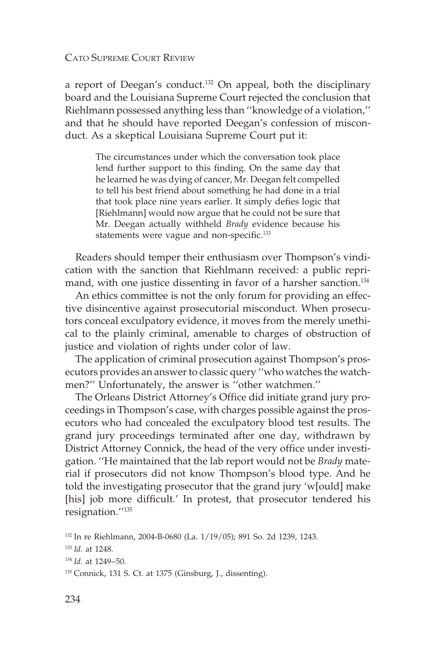CATO SUPREME COURT REVIEW<br>a report of Deegan's conduct.<sup>132</sup> On appeal, both the disciplinary<br>board and the Louisiana Supreme Court rejected the conclusion that<br>Riehlmann possessed anything less than ''knowledge of a viola CATO SUPREME COURT REVIEW<br>a report of Deegan's conduct.<sup>132</sup> On appeal, both the disciplinary<br>board and the Louisiana Supreme Court rejected the conclusion that<br>Riehlmann possessed anything less than "knowledge of a violat CATO SUPREME COURT REVIEW<br>a report of Deegan's conduct.<sup>132</sup> On appeal, both the disciplinary<br>board and the Louisiana Supreme Court rejected the conclusion that<br>Riehlmann possessed anything less than ''knowledge of a viola CATO SUPREME COURT REVIEW<br>
a report of Deegan's conduct.<sup>132</sup> On appeal, both the disciplinary<br>
board and the Louisiana Supreme Court rejected the conclusion that<br>
Riehlmann possessed anything less than "knowledge of a vio a report of Deegan's conduct.<sup>132</sup> On appeal, both the dis<br>board and the Louisiana Supreme Court rejected the conclu<br>Riehlmann possessed anything less than "knowledge of a vi<br>and that he should have reported Deegan's confe board and the Louisiana Supreme Court rejected the conclusion that<br>Riehlmann possessed anything less than "knowledge of a violation,"<br>and that he should have reported Deegan's confession of miscon-<br>duct. As a skeptical Lou

here supposes the supported Deegan's confession of miscon<br>at he should have reported Deegan's confession of miscon<br>as a skeptical Louisiana Supreme Court put it:<br>The circumstances under which the conversation took place<br>le at he should have reported Deegan's confession of miscon-<br>As a skeptical Louisiana Supreme Court put it:<br>The circumstances under which the conversation took place<br>lend further support to this finding. On the same day that<br> As a skeptical Louisiana Supreme Court put it:<br>The circumstances under which the conversation took place<br>lend further support to this finding. On the same day that<br>he learned he was dying of cancer, Mr. Deegan felt compell The circumstances under which the conversation took place lend further support to this finding. On the same day that he learned he was dying of cancer, Mr. Deegan felt compelled to tell his best friend about something he h The circumstances under which the conversation took place<br>lend further support to this finding. On the same day that<br>he learned he was dying of cancer, Mr. Deegan felt compelled<br>to tell his best friend about something he h lend further support to this finding. On the same day that<br>he learned he was dying of cancer, Mr. Deegan felt compelled<br>to tell his best friend about something he had done in a trial<br>that took place nine years earlier. It he learned he was dying of cancer, Mr. Deegan felt compelled<br>to tell his best friend about something he had done in a trial<br>that took place nine years earlier. It simply defies logic that<br>[Riehlmann] would now argue that h

that took place nine years earlier. It simply denes logic that<br>
[Riehlmann] would now argue that he could not be sure that<br>
Mr. Deegan actually withheld *Brady* evidence because his<br>
statements were vague and non-specific.

Mr. Deegan actually withheld *Brady* evidence because his<br>statements were vague and non-specific.<sup>133</sup><br>Readers should temper their enthusiasm over Thompson's vindi-<br>cation with the sanction that Riehlmann received: a publi Readers should temper their enthusiasm over Thompson's vindication with the sanction that Riehlmann received: a public repri-<br>mand, with one justice dissenting in favor of a harsher sanction.<sup>134</sup> An ethics committee is no Readers should temper their enthusiasm over Thompson's vindication with the sanction that Riehlmann received: a public reprimand, with one justice dissenting in favor of a harsher sanction.<sup>134</sup> An ethics committee is not cation with the sanction that Riehlmann received: a public repri-<br>mand, with one justice dissenting in favor of a harsher sanction.<sup>134</sup><br>An ethics committee is not the only forum for providing an effec-<br>tive disincentive a mand, with one justice dissenting in favor of a harshe<br>An ethics committee is not the only forum for provid<br>tive disincentive against prosecutorial misconduct. Wl<br>tors conceal exculpatory evidence, it moves from the m<br>cal An ethics committee is not the only forum for providing an effec-<br>re disincentive against prosecutorial misconduct. When prosecu-<br>rs conceal exculpatory evidence, it moves from the merely unethi-<br>I to the plainly criminal, tive disincentive against prosecutorial misconduct. When prosecutors conceal exculpatory evidence, it moves from the merely unethical to the plainly criminal, amenable to charges of obstruction of justice and violation of tors conceal exculpatory evidence, it moves from the merely u<br>cal to the plainly criminal, amenable to charges of obstructi<br>justice and violation of rights under color of law.<br>The application of criminal prosecution agains

I to the plainly criminal, amenable to charges of obstruction of stice and violation of rights under color of law.<br>The application of criminal prosecution against Thompson's prosutors provides an answer to classic query "w justice and violation of rights under color of law.<br>The application of criminal prosecution against Thompson's prosecutors provides an answer to classic query "who watches the watchmen?" Unfortunately, the answer is "other The application of criminal prosecution against Thompson's prosecutors provides an answer to classic query "who watches the watchmen?" Unfortunately, the answer is "other watchmen."<br>The Orleans District Attorney's Office d ecutors provides an answer to classic query "who watches the watchmen?" Unfortunately, the answer is "other watchmen."<br>The Orleans District Attorney's Office did initiate grand jury proceedings in Thompson's case, with cha men?" Unfortunately, the answer is "other watchmen."<br>The Orleans District Attorney's Office did initiate grand jury pro-<br>ceedings in Thompson's case, with charges possible against the pros-<br>ecutors who had concealed the ex The Orleans District Attorney's Office did initiate grand jury proceedings in Thompson's case, with charges possible against the prosecutors who had concealed the exculpatory blood test results. The grand jury proceedings ceedings in Thompson's case, with charges possible against the prosecutors who had concealed the exculpatory blood test results. The grand jury proceedings terminated after one day, withdrawn by District Attorney Connick, ecutors who had concealed the exculpatory blood test results. The grand jury proceedings terminated after one day, withdrawn by District Attorney Connick, the head of the very office under investigation. "He maintained tha grand jury proceedings terminated after one day, withdrawn by District Attorney Connick, the head of the very office under investigation. "He maintained that the lab report would not be *Brady* material if prosecutors did resignation.''<sup>135</sup>

132 In re Riehlmann, 2004-B-0680 (La. 1/19/05); 891 So. 2d 1239, 1243.<br>
<sup>132</sup> In re Riehlmann, 2004-B-0680 (La. 1/19/05); 891 So. 2d 1239, 1243.<br>
<sup>133</sup> *Id.* at 1248.<br>
<sup>134</sup> *Id.* at 1249–50.<br>
<sup>135</sup> Connick, 131 S. Ct. at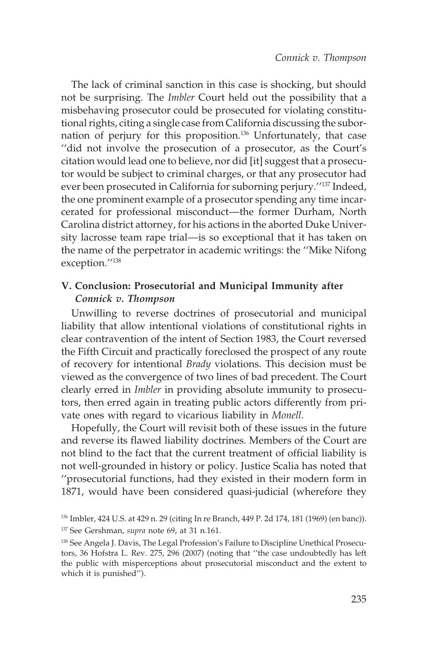*Connick v. Thompson* Connick v. Thompson<br>The lack of criminal sanction in this case is shocking, but should<br>the surprising. The *Imbler* Court held out the possibility that a<br>isbehaving prosecutor could be prosecuted for violating constitu-Connick v. Thompson<br>The lack of criminal sanction in this case is shocking, but should<br>not be surprising. The *Imbler* Court held out the possibility that a<br>misbehaving prosecutor could be prosecuted for violating constitu Connick v. Thompson<br>The lack of criminal sanction in this case is shocking, but should<br>not be surprising. The *Imbler* Court held out the possibility that a<br>misbehaving prosecutor could be prosecuted for violating constitu Connick v. Thompson<br>The lack of criminal sanction in this case is shocking, but should<br>not be surprising. The *Imbler* Court held out the possibility that a<br>misbehaving prosecutor could be prosecuted for violating constitu The lack of criminal sanction in this case is shocking, but should<br>not be surprising. The *Imbler* Court held out the possibility that a<br>misbehaving prosecutor could be prosecuted for violating constitu-<br>tional rights, cit The lack of criminal sanction in this case is shocking, but should<br>not be surprising. The *Imbler* Court held out the possibility that a<br>misbehaving prosecutor could be prosecuted for violating constitu-<br>tional rights, cit not be surprising. The *Imbler* Court held out the possibility that a misbehaving prosecutor could be prosecuted for violating constitutional rights, citing a single case from California discussing the subornation of perju misbehaving prosecutor could be prosecuted for violating constitu-<br>tional rights, citing a single case from California discussing the subor-<br>nation of perjury for this proposition.<sup>136</sup> Unfortunately, that case<br>"did not in tional rights, citing a single case from California discussing the subor-<br>nation of perjury for this proposition.<sup>136</sup> Unfortunately, that case<br>"did not involve the prosecution of a prosecutor, as the Court's<br>citation woul nation of perjury for this proposition.<sup>136</sup> Unfortunately, that case "did not involve the prosecution of a prosecutor, as the Court's citation would lead one to believe, nor did [it] suggest that a prosecutor would be sub "did not involve the prosecution of a prosecutor, as the Court's citation would lead one to believe, nor did [it] suggest that a prosecutor would be subject to criminal charges, or that any prosecutor had ever been prosec citation would lead one to believe, nor did [it] suggest that a prosecutor would be subject to criminal charges, or that any prosecutor had<br>ever been prosecuted in California for suborning perjury."<sup>137</sup> Indeed,<br>the one pr tor would be subject to criminal charges, or that any prosecutor had<br>ever been prosecuted in California for suborning perjury."<sup>137</sup> Indeed,<br>the one prominent example of a prosecutor spending any time incar-<br>cerated for pr ever been prosecuted in California for suborning perjury.''<sup>137</sup> Indeed,<br>the one prominent example of a prosecutor spending any time incar-<br>cerated for professional misconduct—the former Durham, North<br>Carolina district att Carolina district attorney, for his actions in the aborted Duke University lacrosse team rape trial—is so exceptional that it has taken on the name of the perpetrator in academic writings: the "Mike Nifong exception."<sup>138</sup> *Conory Incresse team rape trial—is so e* name of the perpetrator in acade:<br> *Conclusion: Prosecutorial and N*<br> *Conclusion: Prosecutorial and N*<br> *Connick v. Thompson*<br> *Connick v. Thompson*<br> *Connick v. Thompson*<br> *Conni* 

the name of the perpetrator in academic writings: the "Mike Nifong exception."<sup>138</sup><br>V. Conclusion: Prosecutorial and Municipal Immunity after<br>*Connick v. Thompson*<br>Unwilling to reverse doctrines of prosecutorial and munici exception."<sup>138</sup><br>
V. Conclusion: Prosecutorial and Municipal Immunity after<br>
Connick v. Thompson<br>
Unwilling to reverse doctrines of prosecutorial and municipal<br>
liability that allow intentional violations of constitutional V. Conclusion: Prosecutorial and Municipal Immunity after<br>
Connick v. Thompson<br>
Unwilling to reverse doctrines of prosecutorial and municipal<br>
liability that allow intentional violations of constitutional rights in<br>
clear **V. Conclusion: Prosecutorial and Municipal Immunity after**<br> **Connick v. Thompson**<br>
Unwilling to reverse doctrines of prosecutorial and municipal<br>
liability that allow intentional violations of constitutional rights in<br>
cl **Connick v. Thompson**<br>Unwilling to reverse doctrines of prosecutorial and municipal<br>liability that allow intentional violations of constitutional rights in<br>clear contravention of the intent of Section 1983, the Court rever Unwilling to reverse doctrines of prosecutorial and municipal<br>liability that allow intentional violations of constitutional rights in<br>clear contravention of the intent of Section 1983, the Court reversed<br>the Fifth Circuit liability that allow intentional violations of constitutional rights in clear contravention of the intent of Section 1983, the Court reversed the Fifth Circuit and practically foreclosed the prospect of any route of recove clear contravention of the intent of Section 1983, the Court reversed<br>the Fifth Circuit and practically foreclosed the prospect of any route<br>of recovery for intentional *Brady* violations. This decision must be<br>viewed as t the Fifth Circuit and practically foreclosed the prospect of any route<br>of recovery for intentional *Brady* violations. This decision must be<br>viewed as the convergence of two lines of bad precedent. The Court<br>clearly erred

viewed as the convergence of two lines of bad precedent. The Court<br>clearly erred in *Imbler* in providing absolute immunity to prosecu-<br>tors, then erred again in treating public actors differently from pri-<br>vate ones with clearly erred in *Imbler* in providing absolute immunity to prosecutors, then erred again in treating public actors differently from private ones with regard to vicarious liability in *Monell*.<br>Hopefully, the Court will re tors, then erred again in treating public actors differently from private ones with regard to vicarious liability in *Monell*.<br>
Hopefully, the Court will revisit both of these issues in the future<br>
and reverse its flawed l vate ones with regard to vicarious liability in *Monell*.<br>
Hopefully, the Court will revisit both of these issues in the future<br>
and reverse its flawed liability doctrines. Members of the Court are<br>
not blind to the fact t Hopefully, the Court will revisit both of these issues in the future<br>and reverse its flawed liability doctrines. Members of the Court are<br>not blind to the fact that the current treatment of official liability is<br>not well-g not well-grounded in history or policy. Justice Scalia has noted that<br>
"prosecutorial functions, had they existed in their modern form in<br>
1871, would have been considered quasi-judicial (wherefore they<br>
<sup>136</sup> Imbler, 424

<sup>&</sup>lt;sup>136</sup> Imbler, 424 U.S. at 429 n. 29 (citing In re Branch, 449 P. 2d 174, 181 (1969) (en banc)).<br><sup>137</sup> See Gershman, *supra* note 69, at 31 n.161.<br><sup>138</sup> See Angela J. Davis, The Legal Profession's Failure to Discipline Unet <sup>136</sup> Imbler, 424 U.S. at 429 n. 29 (citing In re Branch, 449 P. 2d 174, 181 (1969) (en banc)).<br><sup>137</sup> See Gershman, *supra* note 69, at 31 n.161.<br><sup>138</sup> See Angela J. Davis, The Legal Profession's Failure to Discipline Unet <sup>136</sup> Imbler, 424 U.S. at 429 n. 29 (citing In re Branch, 449 P. 2d 174, 181 (1969) (en banc)).<br><sup>137</sup> See Gershman, *supra* note 69, at 31 n.161.<br><sup>138</sup> See Angela J. Davis, The Legal Profession's Failure to Discipline Une